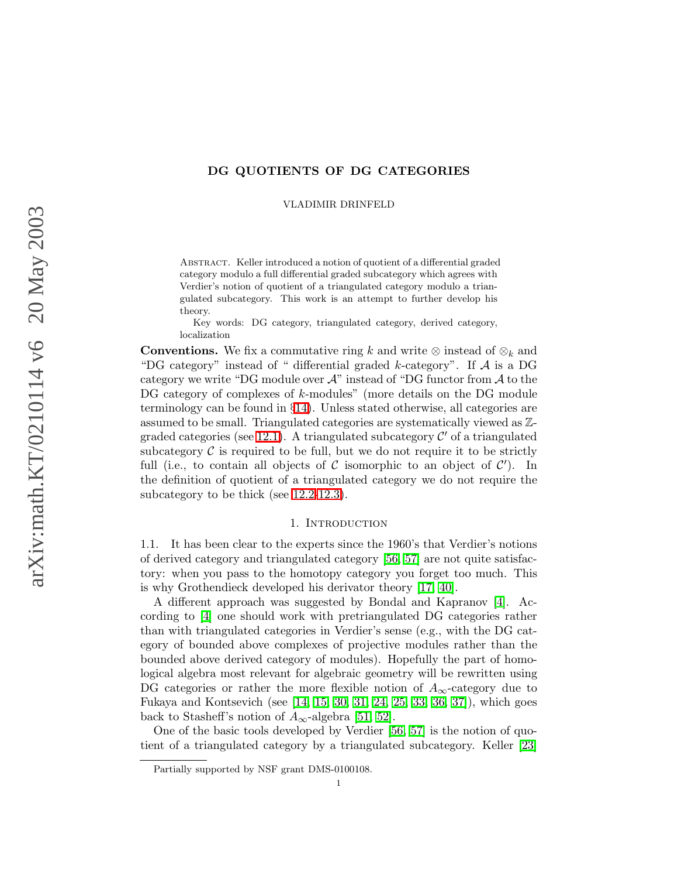## DG QUOTIENTS OF DG CATEGORIES

VLADIMIR DRINFELD

Abstract. Keller introduced a notion of quotient of a differential graded category modulo a full differential graded subcategory which agrees with Verdier's notion of quotient of a triangulated category modulo a triangulated subcategory. This work is an attempt to further develop his theory.

Key words: DG category, triangulated category, derived category, localization

**Conventions.** We fix a commutative ring k and write  $\otimes$  instead of  $\otimes_k$  and "DG category" instead of " differential graded  $k$ -category". If  $A$  is a DG category we write "DG module over  $\mathcal{A}$ " instead of "DG functor from  $\mathcal{A}$  to the DG category of complexes of k-modules" (more details on the DG module terminology can be found in §[14\)](#page-33-0). Unless stated otherwise, all categories are assumed to be small. Triangulated categories are systematically viewed as Z-graded categories (see [12.1\)](#page-29-0). A triangulated subcategory  $\mathcal{C}'$  of a triangulated subcategory  $\mathcal C$  is required to be full, but we do not require it to be strictly full (i.e., to contain all objects of C isomorphic to an object of  $C'$ ). In the definition of quotient of a triangulated category we do not require the subcategory to be thick (see [12.2-](#page-29-1)[12.3\)](#page-30-0).

### 1. INTRODUCTION

1.1. It has been clear to the experts since the 1960's that Verdier's notions of derived category and triangulated category [\[56,](#page-48-0) [57\]](#page-49-0) are not quite satisfactory: when you pass to the homotopy category you forget too much. This is why Grothendieck developed his derivator theory [\[17,](#page-47-0) [40\]](#page-48-1).

A different approach was suggested by Bondal and Kapranov [\[4\]](#page-46-0). According to [\[4\]](#page-46-0) one should work with pretriangulated DG categories rather than with triangulated categories in Verdier's sense (e.g., with the DG category of bounded above complexes of projective modules rather than the bounded above derived category of modules). Hopefully the part of homological algebra most relevant for algebraic geometry will be rewritten using DG categories or rather the more flexible notion of  $A_{\infty}$ -category due to Fukaya and Kontsevich (see [\[14,](#page-47-1) [15,](#page-47-2) [30,](#page-47-3) [31,](#page-48-2) [24,](#page-47-4) [25,](#page-47-5) [33,](#page-48-3) [36,](#page-48-4) [37\]](#page-48-5)), which goes back to Stasheff's notion of  $A_{\infty}$ -algebra [\[51,](#page-48-6) [52\]](#page-48-7).

One of the basic tools developed by Verdier [\[56,](#page-48-0) [57\]](#page-49-0) is the notion of quotient of a triangulated category by a triangulated subcategory. Keller [\[23\]](#page-47-6)

Partially supported by NSF grant DMS-0100108.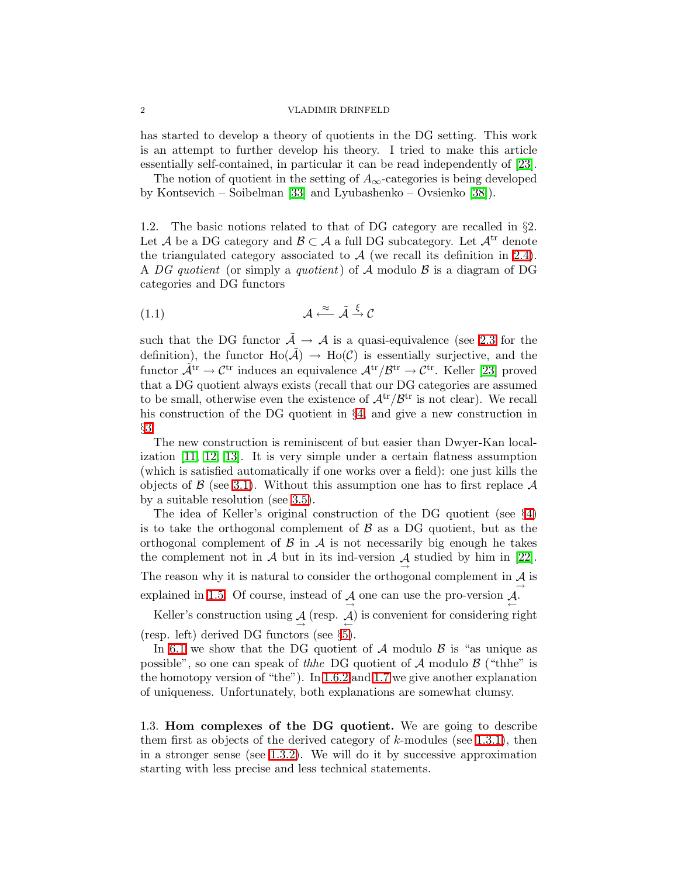has started to develop a theory of quotients in the DG setting. This work is an attempt to further develop his theory. I tried to make this article essentially self-contained, in particular it can be read independently of [\[23\]](#page-47-6).

The notion of quotient in the setting of  $A_{\infty}$ -categories is being developed by Kontsevich – Soibelman [\[33\]](#page-48-3) and Lyubashenko – Ovsienko [\[38\]](#page-48-8)).

1.2. The basic notions related to that of DG category are recalled in §2. Let A be a DG category and  $\mathcal{B} \subset \mathcal{A}$  a full DG subcategory. Let  $\mathcal{A}^{tr}$  denote the triangulated category associated to  $A$  (we recall its definition in [2.4\)](#page-7-0). A DG quotient (or simply a quotient) of A modulo  $\beta$  is a diagram of DG categories and DG functors

<span id="page-1-0"></span>
$$
(1.1) \t\t \mathcal{A} \xleftarrow{\approx} \tilde{\mathcal{A}} \xrightarrow{\xi} \mathcal{C}
$$

such that the DG functor  $\tilde{\mathcal{A}} \to \mathcal{A}$  is a quasi-equivalence (see [2.3](#page-7-1) for the definition), the functor  $\text{Ho}(\tilde{\mathcal{A}}) \to \text{Ho}(\mathcal{C})$  is essentially surjective, and the functor  $\tilde{\mathcal{A}}^{tr} \to \mathcal{C}^{tr}$  induces an equivalence  $\mathcal{A}^{tr}/\mathcal{B}^{tr} \to \mathcal{C}^{tr}$ . Keller [\[23\]](#page-47-6) proved that a DG quotient always exists (recall that our DG categories are assumed to be small, otherwise even the existence of  $\mathcal{A}^{tr}/\mathcal{B}^{tr}$  is not clear). We recall his construction of the DG quotient in §[4,](#page-13-0) and give a new construction in §[3.](#page-9-0)

The new construction is reminiscent of but easier than Dwyer-Kan localization [\[11,](#page-47-7) [12,](#page-47-8) [13\]](#page-47-9). It is very simple under a certain flatness assumption (which is satisfied automatically if one works over a field): one just kills the objects of  $\beta$  (see [3.1\)](#page-9-1). Without this assumption one has to first replace  $\mathcal A$ by a suitable resolution (see [3.5\)](#page-10-0).

The idea of Keller's original construction of the DG quotient (see §[4\)](#page-13-0) is to take the orthogonal complement of  $\beta$  as a DG quotient, but as the orthogonal complement of  $\beta$  in  $\mathcal A$  is not necessarily big enough he takes the complement not in  $\mathcal A$  but in its ind-version  $\mathcal A$  studied by him in [\[22\]](#page-47-10). The reason why it is natural to consider the orthogonal complement in  $\mathcal{A}$  is explained in [1.5.](#page-3-0) Of course, instead of  $\mathcal{A}$  one can use the pro-version  $\mathcal{A}$ .

Keller's construction using  $\mathcal{A}$  (resp.  $\mathcal{A}$ ) is convenient for considering right (resp. left) derived DG functors (see §[5\)](#page-17-0).

In [6.1](#page-19-0) we show that the DG quotient of  $A$  modulo  $B$  is "as unique as possible", so one can speak of the DG quotient of  $A$  modulo  $B$  ("thhe" is the homotopy version of "the"). In [1.6.2](#page-4-0) and [1.7](#page-5-0) we give another explanation of uniqueness. Unfortunately, both explanations are somewhat clumsy.

1.3. Hom complexes of the DG quotient. We are going to describe them first as objects of the derived category of k-modules (see [1.3.1\)](#page-2-0), then in a stronger sense (see [1.3.2\)](#page-2-1). We will do it by successive approximation starting with less precise and less technical statements.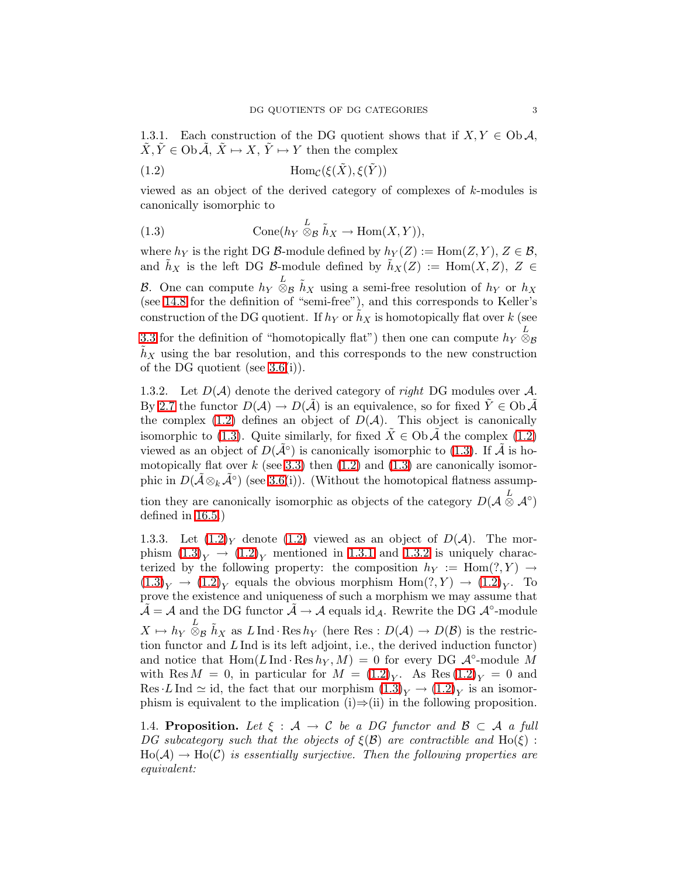<span id="page-2-2"></span><span id="page-2-0"></span>1.3.1. Each construction of the DG quotient shows that if  $X, Y \in Ob \mathcal{A}$ ,  $\tilde{X}, \tilde{Y} \in \text{Ob } \tilde{\mathcal{A}}, \tilde{X} \mapsto X, \tilde{Y} \mapsto Y$  then the complex

(1.2) 
$$
\text{Hom}_{\mathcal{C}}(\xi(\tilde{X}), \xi(\tilde{Y}))
$$

<span id="page-2-3"></span>viewed as an object of the derived category of complexes of k-modules is canonically isomorphic to

(1.3) 
$$
\text{Cone}(h_Y \overset{L}{\otimes}_{\mathcal{B}} \tilde{h}_X \to \text{Hom}(X, Y)),
$$

where  $h_Y$  is the right DG B-module defined by  $h_Y(Z) := \text{Hom}(Z, Y), Z \in \mathcal{B}$ , and  $h_X$  is the left DG B-module defined by  $h_X(Z) := \text{Hom}(X, Z)$ ,  $Z \in$ B. One can compute  $h_Y \otimes_B \tilde{h}_X$  using a semi-free resolution of  $h_Y$  or  $h_X$ (see [14.8](#page-35-0) for the definition of "semi-free"), and this corresponds to Keller's construction of the DG quotient. If  $h_Y$  or  $\tilde{h}_X$  is homotopically flat over k (see

[3.3](#page-10-1) for the definition of "homotopically flat") then one can compute  $h_Y \overset{L}{\otimes}_{\mathcal{B}}$  $h_X$  using the bar resolution, and this corresponds to the new construction of the DG quotient (see [3.6\(](#page-11-0)i)).

<span id="page-2-1"></span>1.3.2. Let  $D(\mathcal{A})$  denote the derived category of *right* DG modules over  $\mathcal{A}$ . By [2.7](#page-8-0) the functor  $D(\mathcal{A}) \to D(\tilde{\mathcal{A}})$  is an equivalence, so for fixed  $\tilde{Y} \in \text{Ob } \tilde{\mathcal{A}}$ the complex [\(1.2\)](#page-2-2) defines an object of  $D(\mathcal{A})$ . This object is canonically isomorphic to [\(1.3\)](#page-2-3). Quite similarly, for fixed  $X \in Ob \mathcal{A}$  the complex [\(1.2\)](#page-2-2) viewed as an object of  $D(\tilde{\mathcal{A}}^{\circ})$  is canonically isomorphic to [\(1.3\)](#page-2-3). If  $\tilde{\mathcal{A}}$  is homotopically flat over  $k$  (see [3.3\)](#page-10-1) then [\(1.2\)](#page-2-2) and [\(1.3\)](#page-2-3) are canonically isomorphic in  $D(\tilde{\mathcal{A}} \otimes_k \tilde{\mathcal{A}}^{\circ})$  (see [3.6\(](#page-11-0)i)). (Without the homotopical flatness assump-

tion they are canonically isomorphic as objects of the category  $D(\mathcal{A} \overset{L}{\otimes} \mathcal{A}^{\circ})$ defined in [16.5.](#page-42-0))

1.3.3. Let  $(1.2)$ <sub>Y</sub> denote  $(1.2)$  viewed as an object of  $D(\mathcal{A})$ . The morphism  $(1.3)_{Y} \rightarrow (1.2)_{Y}$  $(1.3)_{Y} \rightarrow (1.2)_{Y}$  $(1.3)_{Y} \rightarrow (1.2)_{Y}$  $(1.3)_{Y} \rightarrow (1.2)_{Y}$  mentioned in [1.3.1](#page-2-0) and [1.3.2](#page-2-1) is uniquely characterized by the following property: the composition  $h_Y := \text{Hom}(?, Y) \rightarrow$  $(1.3)_{Y} \rightarrow (1.2)_{Y}$  $(1.3)_{Y} \rightarrow (1.2)_{Y}$  $(1.3)_{Y} \rightarrow (1.2)_{Y}$  $(1.3)_{Y} \rightarrow (1.2)_{Y}$  equals the obvious morphism  $Hom(?, Y) \rightarrow (1.2)_{Y}$ . To prove the existence and uniqueness of such a morphism we may assume that  $\tilde{\mathcal{A}} = \mathcal{A}$  and the DG functor  $\tilde{\mathcal{A}} \to \mathcal{A}$  equals id<sub>A</sub>. Rewrite the DG  $\mathcal{A}^{\circ}\text{-module}$  $X \mapsto h_Y \overset{L}{\otimes}_{\mathcal{B}} \tilde{h}_X$  as  $L \text{ Ind } \text{Res } h_Y$  (here Res :  $D(\mathcal{A}) \to D(\mathcal{B})$  is the restriction functor and  $L \text{Ind}$  is its left adjoint, i.e., the derived induction functor) and notice that  $\text{Hom}(L \text{ Ind} \cdot \text{Res } h_Y, M) = 0$  for every DG  $\mathcal{A}^{\circ}$ -module M with Res  $M = 0$ , in particular for  $M = (1.2)<sub>Y</sub>$  $M = (1.2)<sub>Y</sub>$  $M = (1.2)<sub>Y</sub>$ . As Res  $(1.2)<sub>Y</sub> = 0$  and Res LInd  $\simeq$  id, the fact that our morphism  $(1.3)_Y \to (1.2)_Y$  $(1.3)_Y \to (1.2)_Y$  $(1.3)_Y \to (1.2)_Y$  $(1.3)_Y \to (1.2)_Y$  is an isomorphism is equivalent to the implication (i)⇒(ii) in the following proposition.

<span id="page-2-4"></span>1.4. Proposition. Let  $\xi : A \to C$  be a DG functor and  $B \subset A$  a full DG subcategory such that the objects of  $\xi(\mathcal{B})$  are contractible and  $Ho(\xi)$ :  $Ho(A) \to Ho(C)$  is essentially surjective. Then the following properties are equivalent: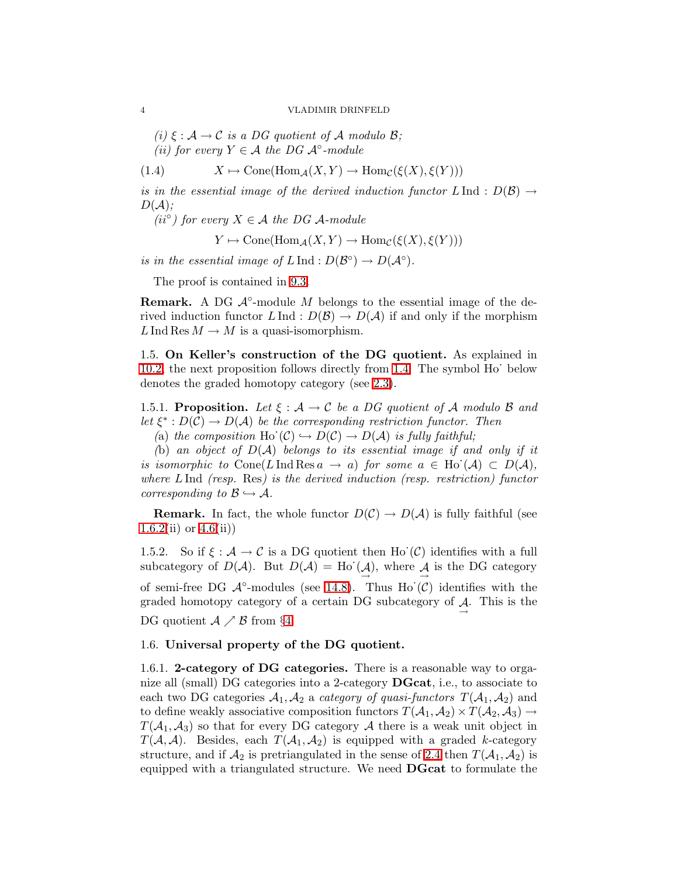(i)  $\xi : \mathcal{A} \to \mathcal{C}$  is a DG quotient of  $\mathcal{A}$  modulo  $\mathcal{B}$ ; (ii) for every  $Y \in \mathcal{A}$  the DG  $\mathcal{A}^{\circ}\text{-module}$ 

(1.4) 
$$
X \mapsto \text{Cone}(\text{Hom}_{\mathcal{A}}(X, Y) \to \text{Hom}_{\mathcal{C}}(\xi(X), \xi(Y)))
$$

is in the essential image of the derived induction functor  $L \text{ Ind } : D(\mathcal{B}) \to$  $D(A)$ ;

 $(i^{o})$  for every  $X \in \mathcal{A}$  the DG A-module

<span id="page-3-2"></span> $Y \mapsto \text{Cone}(\text{Hom}_{\mathcal{A}}(X, Y) \to \text{Hom}_{\mathcal{C}}(\xi(X), \xi(Y)))$ 

is in the essential image of  $L \text{ Ind}: D(\mathcal{B}^{\circ}) \to D(\mathcal{A}^{\circ}).$ 

The proof is contained in [9.3.](#page-27-0)

**Remark.** A DG  $\mathcal{A}^{\circ}$ -module M belongs to the essential image of the derived induction functor  $L \text{ Ind}: D(\mathcal{B}) \to D(\mathcal{A})$  if and only if the morphism L Ind Res  $M \to M$  is a quasi-isomorphism.

<span id="page-3-0"></span>1.5. On Keller's construction of the DG quotient. As explained in [10.2,](#page-28-0) the next proposition follows directly from [1.4.](#page-2-4) The symbol Ho· below denotes the graded homotopy category (see [2.3\)](#page-7-1).

<span id="page-3-1"></span>1.5.1. Proposition. Let  $\xi : \mathcal{A} \to \mathcal{C}$  be a DG quotient of A modulo B and let  $\xi^*: D(\mathcal{C}) \to D(\mathcal{A})$  be the corresponding restriction functor. Then

(a) the composition Ho  $(C) \hookrightarrow D(C) \rightarrow D(A)$  is fully faithful;

(b) an object of  $D(\mathcal{A})$  belongs to its essential image if and only if it is isomorphic to Cone(LInd Res  $a \to a$ ) for some  $a \in$  Ho  $(\mathcal{A}) \subset D(\mathcal{A})$ , where  $L \text{Ind}$  (resp. Res) is the derived induction (resp. restriction) functor corresponding to  $\mathcal{B} \hookrightarrow \mathcal{A}$ .

**Remark.** In fact, the whole functor  $D(\mathcal{C}) \to D(\mathcal{A})$  is fully faithful (see  $1.6.2(ii)$  $1.6.2(ii)$  or  $4.6(ii)$ 

1.5.2. So if  $\xi : \mathcal{A} \to \mathcal{C}$  is a DG quotient then Ho'( $\mathcal{C}$ ) identifies with a full subcategory of  $D(\mathcal{A})$ . But  $D(\mathcal{A}) = Ho(\mathcal{A})$ , where  $\mathcal{A}$  is the DG category of semi-free DG  $\mathcal{A}^{\circ}$ -modules (see [14.8\)](#page-35-0). Thus Ho $(\mathcal{C})$  identifies with the graded homotopy category of a certain DG subcategory of  $\mathcal{A}$ . This is the DG quotient  $A \nearrow B$  from §[4.](#page-13-0)

### 1.6. Universal property of the DG quotient.

1.6.1. 2-category of DG categories. There is a reasonable way to organize all (small) DG categories into a 2-category DGcat, i.e., to associate to each two DG categories  $A_1, A_2$  a *category of quasi-functors*  $T(A_1, A_2)$  and to define weakly associative composition functors  $T(A_1, A_2) \times T(A_2, A_3) \rightarrow$  $T(\mathcal{A}_1, \mathcal{A}_3)$  so that for every DG category A there is a weak unit object in  $T(A, \mathcal{A})$ . Besides, each  $T(A_1, A_2)$  is equipped with a graded k-category structure, and if  $\mathcal{A}_2$  is pretriangulated in the sense of [2.4](#page-7-0) then  $T(\mathcal{A}_1, \mathcal{A}_2)$  is equipped with a triangulated structure. We need DGcat to formulate the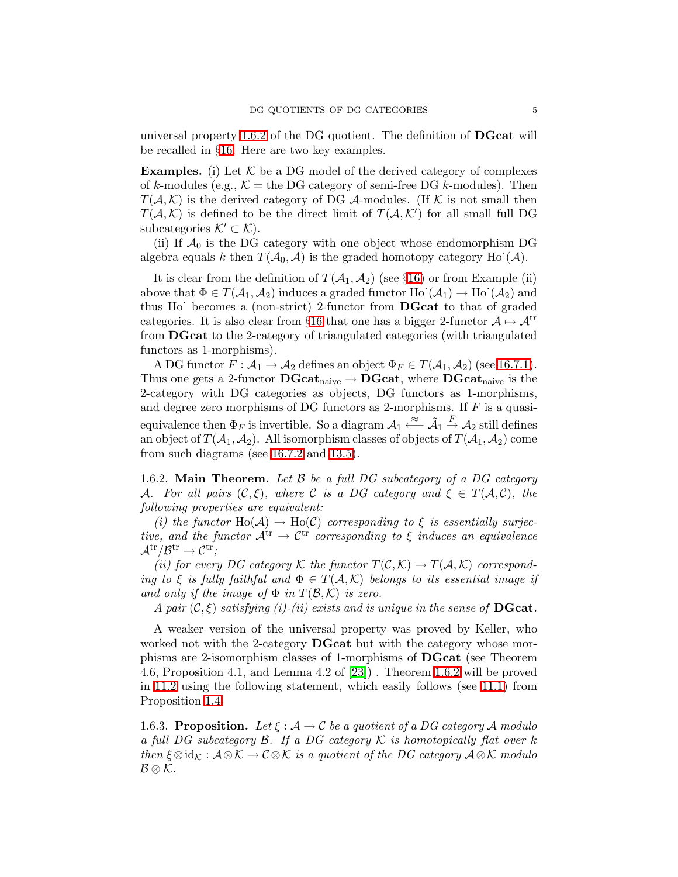universal property [1.6.2](#page-4-0) of the DG quotient. The definition of DGcat will be recalled in §[16.](#page-41-0) Here are two key examples.

**Examples.** (i) Let  $K$  be a DG model of the derived category of complexes of k-modules (e.g.,  $\mathcal{K} =$  the DG category of semi-free DG k-modules). Then  $T(\mathcal{A}, \mathcal{K})$  is the derived category of DG  $\mathcal{A}$ -modules. (If  $\mathcal{K}$  is not small then  $T(A, K)$  is defined to be the direct limit of  $T(A, K')$  for all small full DG subcategories  $\mathcal{K}' \subset \mathcal{K}$ ).

(ii) If  $\mathcal{A}_0$  is the DG category with one object whose endomorphism DG algebra equals k then  $T(A_0, A)$  is the graded homotopy category Ho  $(A)$ .

It is clear from the definition of  $T(A_1, A_2)$  (see §[16\)](#page-41-0) or from Example (ii) above that  $\Phi \in T(\mathcal{A}_1, \mathcal{A}_2)$  induces a graded functor  $\text{Ho}^{\cdot}(\mathcal{A}_1) \to \text{Ho}^{\cdot}(\mathcal{A}_2)$  and thus Ho· becomes a (non-strict) 2-functor from DGcat to that of graded categories. It is also clear from §[16](#page-41-0) that one has a bigger 2-functor  $A \mapsto A^{tr}$ from DGcat to the 2-category of triangulated categories (with triangulated functors as 1-morphisms).

A DG functor  $F: \mathcal{A}_1 \to \mathcal{A}_2$  defines an object  $\Phi_F \in T(\mathcal{A}_1, \mathcal{A}_2)$  (see [16.7.1\)](#page-43-0). Thus one gets a 2-functor  $\text{DGcat}_{\text{naive}} \to \text{DGcat},$  where  $\text{DGcat}_{\text{naive}}$  is the 2-category with DG categories as objects, DG functors as 1-morphisms, and degree zero morphisms of DG functors as 2-morphisms. If  $F$  is a quasiequivalence then  $\Phi_F$  is invertible. So a diagram  $\mathcal{A}_1 \stackrel{\approx}{\longleftarrow} \tilde{\mathcal{A}}_1 \stackrel{F}{\rightarrow} \mathcal{A}_2$  still defines an object of  $T(A_1, A_2)$ . All isomorphism classes of objects of  $T(A_1, A_2)$  come from such diagrams (see [16.7.2](#page-43-1) and [13.5\)](#page-33-1).

<span id="page-4-0"></span>1.6.2. Main Theorem. Let  $\beta$  be a full DG subcategory of a DG category A. For all pairs  $(C, \xi)$ , where C is a DG category and  $\xi \in T(A, C)$ , the following properties are equivalent:

(i) the functor  $Ho(A) \to Ho(C)$  corresponding to  $\xi$  is essentially surjective, and the functor  $A^{tr} \rightarrow C^{tr}$  corresponding to  $\xi$  induces an equivalence  $\mathcal{A}^{\mathrm{tr}}/\mathcal{B}^{\mathrm{tr}} \to \mathcal{C}^{\mathrm{tr}};$ 

(ii) for every DG category K the functor  $T(\mathcal{C}, \mathcal{K}) \to T(\mathcal{A}, \mathcal{K})$  corresponding to  $\xi$  is fully faithful and  $\Phi \in T(A, \mathcal{K})$  belongs to its essential image if and only if the image of  $\Phi$  in  $T(\mathcal{B},\mathcal{K})$  is zero.

A pair  $(C, \xi)$  satisfying (i)-(ii) exists and is unique in the sense of **DGcat**.

A weaker version of the universal property was proved by Keller, who worked not with the 2-category **DGcat** but with the category whose morphisms are 2-isomorphism classes of 1-morphisms of DGcat (see Theorem 4.6, Proposition 4.1, and Lemma 4.2 of [\[23\]](#page-47-6)) . Theorem [1.6.2](#page-4-0) will be proved in [11.2](#page-28-1) using the following statement, which easily follows (see [11.1\)](#page-28-2) from Proposition [1.4.](#page-2-4)

<span id="page-4-1"></span>1.6.3. Proposition. Let  $\xi : \mathcal{A} \to \mathcal{C}$  be a quotient of a DG category A modulo a full DG subcategory B. If a DG category  $\mathcal K$  is homotopically flat over k then  $\xi \otimes id_{\mathcal{K}} : \mathcal{A} \otimes \mathcal{K} \to \mathcal{C} \otimes \mathcal{K}$  is a quotient of the DG category  $\mathcal{A} \otimes \mathcal{K}$  modulo  $\mathcal{B}\otimes\mathcal{K}.$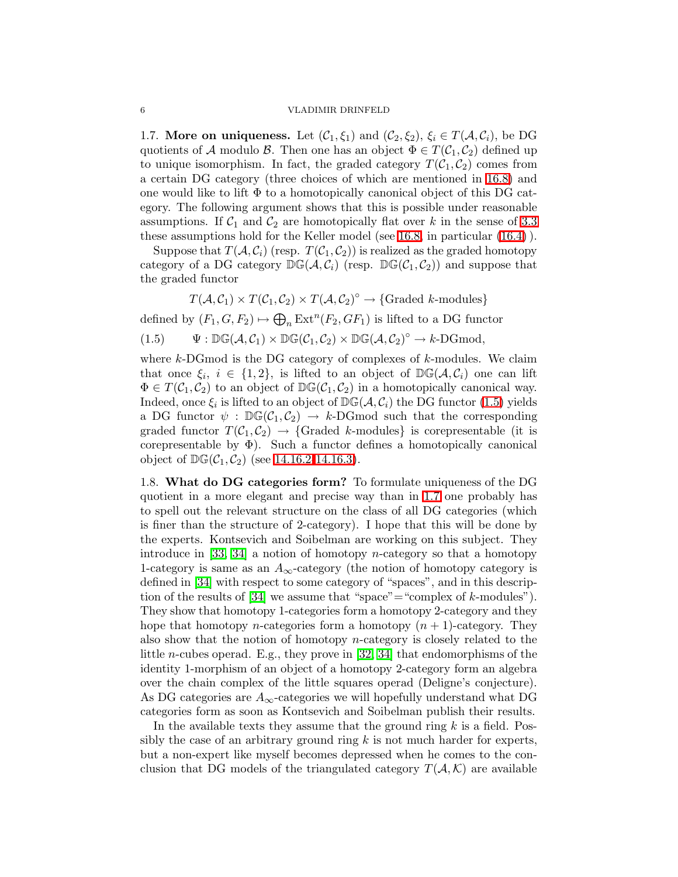<span id="page-5-0"></span>1.7. More on uniqueness. Let  $(C_1, \xi_1)$  and  $(C_2, \xi_2)$ ,  $\xi_i \in T(A, C_i)$ , be DG quotients of A modulo B. Then one has an object  $\Phi \in T(\mathcal{C}_1, \mathcal{C}_2)$  defined up to unique isomorphism. In fact, the graded category  $T(\mathcal{C}_1, \mathcal{C}_2)$  comes from a certain DG category (three choices of which are mentioned in [16.8\)](#page-45-0) and one would like to lift  $\Phi$  to a homotopically canonical object of this DG category. The following argument shows that this is possible under reasonable assumptions. If  $C_1$  and  $C_2$  are homotopically flat over k in the sense of [3.3](#page-10-1) these assumptions hold for the Keller model (see [16.8,](#page-45-0) in particular [\(16.4\)](#page-46-1) ).

Suppose that  $T(A, C_i)$  (resp.  $T(C_1, C_2)$ ) is realized as the graded homotopy category of a DG category  $\mathbb{DG}(\mathcal{A}, \mathcal{C}_i)$  (resp.  $\mathbb{DG}(\mathcal{C}_1, \mathcal{C}_2)$ ) and suppose that the graded functor

<span id="page-5-1"></span>
$$
T(A, C_1) \times T(C_1, C_2) \times T(A, C_2)^\circ \to \{\text{Graded } k\text{-modules}\}\
$$

defined by  $(F_1, G, F_2) \mapsto \bigoplus_n \text{Ext}^n(F_2, GF_1)$  is lifted to a DG functor

(1.5) 
$$
\Psi: \mathbb{DG}(\mathcal{A}, \mathcal{C}_1) \times \mathbb{DG}(\mathcal{C}_1, \mathcal{C}_2) \times \mathbb{DG}(\mathcal{A}, \mathcal{C}_2)^\circ \to k\text{-DGmod},
$$

where  $k$ -DGmod is the DG category of complexes of  $k$ -modules. We claim that once  $\xi_i$ ,  $i \in \{1,2\}$ , is lifted to an object of  $\mathbb{DG}(\mathcal{A}, \mathcal{C}_i)$  one can lift  $\Phi \in T(\mathcal{C}_1, \mathcal{C}_2)$  to an object of  $\mathbb{DG}(\mathcal{C}_1, \mathcal{C}_2)$  in a homotopically canonical way. Indeed, once  $\xi_i$  is lifted to an object of  $\mathbb{DG}(\mathcal{A}, \mathcal{C}_i)$  the DG functor  $(1.5)$  yields a DG functor  $\psi : \mathbb{DG}(\mathcal{C}_1, \mathcal{C}_2) \to k\text{-DGmod such that the corresponding$ graded functor  $T(\mathcal{C}_1, \mathcal{C}_2) \rightarrow \{\text{Graded } k\text{-modules}\}\$ is corepresentable (it is corepresentable by  $\Phi$ ). Such a functor defines a homotopically canonical object of  $DG(\mathcal{C}_1, \mathcal{C}_2)$  (see [14.16.2-](#page-38-0)[14.16.3\)](#page-38-1).

<span id="page-5-2"></span>1.8. What do DG categories form? To formulate uniqueness of the DG quotient in a more elegant and precise way than in [1.7](#page-5-0) one probably has to spell out the relevant structure on the class of all DG categories (which is finer than the structure of 2-category). I hope that this will be done by the experts. Kontsevich and Soibelman are working on this subject. They introduce in  $[33, 34]$  $[33, 34]$  a notion of homotopy *n*-category so that a homotopy 1-category is same as an  $A_{\infty}$ -category (the notion of homotopy category is defined in [\[34\]](#page-48-9) with respect to some category of "spaces", and in this descrip-tion of the results of [\[34\]](#page-48-9) we assume that "space"="complex of  $k$ -modules"). They show that homotopy 1-categories form a homotopy 2-category and they hope that homotopy *n*-categories form a homotopy  $(n + 1)$ -category. They also show that the notion of homotopy n-category is closely related to the little n-cubes operad. E.g., they prove in [\[32,](#page-48-10) [34\]](#page-48-9) that endomorphisms of the identity 1-morphism of an object of a homotopy 2-category form an algebra over the chain complex of the little squares operad (Deligne's conjecture). As DG categories are  $A_{\infty}$ -categories we will hopefully understand what DG categories form as soon as Kontsevich and Soibelman publish their results.

In the available texts they assume that the ground ring  $k$  is a field. Possibly the case of an arbitrary ground ring  $k$  is not much harder for experts, but a non-expert like myself becomes depressed when he comes to the conclusion that DG models of the triangulated category  $T(A, \mathcal{K})$  are available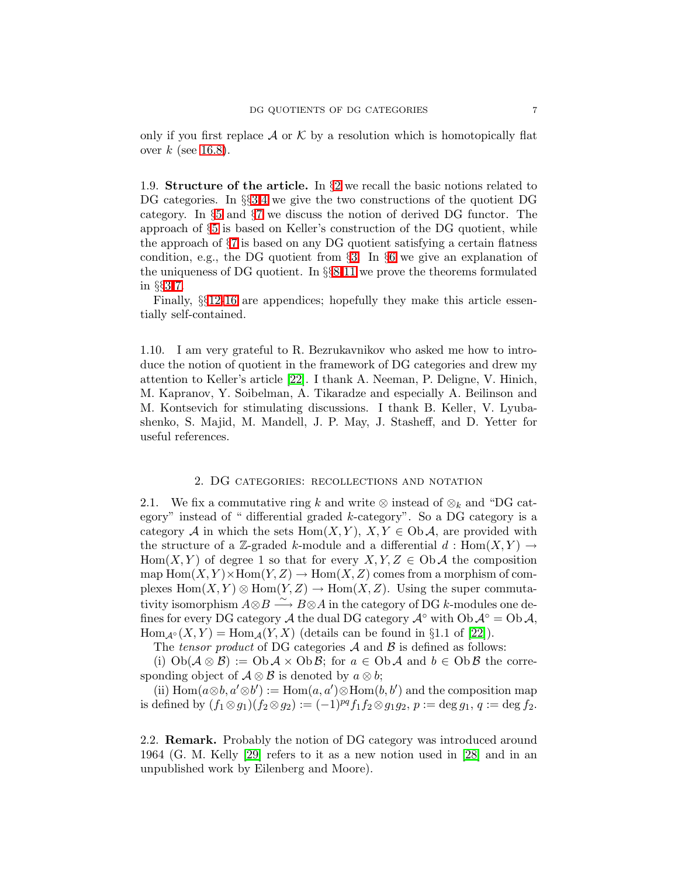only if you first replace  $\mathcal A$  or  $\mathcal K$  by a resolution which is homotopically flat over  $k$  (see [16.8\)](#page-45-0).

1.9. Structure of the article. In  $\S$ [2](#page-6-0) we recall the basic notions related to DG categories. In §§[3](#page-9-0)[,4](#page-13-0) we give the two constructions of the quotient DG category. In §[5](#page-17-0) and §[7](#page-22-0) we discuss the notion of derived DG functor. The approach of §[5](#page-17-0) is based on Keller's construction of the DG quotient, while the approach of §[7](#page-22-0) is based on any DG quotient satisfying a certain flatness condition, e.g., the DG quotient from §[3.](#page-9-0) In §[6](#page-19-1) we give an explanation of the uniqueness of DG quotient. In §§[8-](#page-24-0)[11](#page-28-3) we prove the theorems formulated in §§[3-](#page-9-0)[7.](#page-22-0)

Finally, §§[12-](#page-29-2)[16](#page-41-0) are appendices; hopefully they make this article essentially self-contained.

1.10. I am very grateful to R. Bezrukavnikov who asked me how to introduce the notion of quotient in the framework of DG categories and drew my attention to Keller's article [\[22\]](#page-47-10). I thank A. Neeman, P. Deligne, V. Hinich, M. Kapranov, Y. Soibelman, A. Tikaradze and especially A. Beilinson and M. Kontsevich for stimulating discussions. I thank B. Keller, V. Lyubashenko, S. Majid, M. Mandell, J. P. May, J. Stasheff, and D. Yetter for useful references.

### 2. DG categories: recollections and notation

<span id="page-6-0"></span>2.1. We fix a commutative ring k and write ⊗ instead of  $\otimes_k$  and "DG category" instead of " differential graded  $k$ -category". So a DG category is a category A in which the sets Hom $(X, Y)$ ,  $X, Y \in Ob \mathcal{A}$ , are provided with the structure of a Z-graded k-module and a differential  $d : Hom(X, Y) \to$ Hom $(X, Y)$  of degree 1 so that for every  $X, Y, Z \in Ob\mathcal{A}$  the composition map  $\text{Hom}(X,Y) \times \text{Hom}(Y,Z) \to \text{Hom}(X,Z)$  comes from a morphism of complexes  $Hom(X, Y) \otimes Hom(Y, Z) \to Hom(X, Z)$ . Using the super commutativity isomorphism  $A \otimes B \stackrel{\sim}{\longrightarrow} B \otimes A$  in the category of DG k-modules one defines for every DG category A the dual DG category  $\mathcal{A}^{\circ}$  with  $\mathrm{Ob}\, \mathcal{A}^{\circ} = \mathrm{Ob}\, \mathcal{A}$ ,  $\text{Hom}_{\mathcal{A}^{\circ}}(X, Y) = \text{Hom}_{\mathcal{A}}(Y, X)$  (details can be found in §1.1 of [\[22\]](#page-47-10)).

The tensor product of DG categories  $A$  and  $B$  is defined as follows:

(i)  $\text{Ob}(\mathcal{A}\otimes\mathcal{B}) := \text{Ob}\,\mathcal{A}\times\text{Ob}\,\mathcal{B}$ ; for  $a\in\text{Ob}\,\mathcal{A}$  and  $b\in\text{Ob}\,\mathcal{B}$  the corresponding object of  $A \otimes B$  is denoted by  $a \otimes b$ ;

(ii)  $\text{Hom}(a \otimes b, a' \otimes b') := \text{Hom}(a, a') \otimes \text{Hom}(b, b')$  and the composition map is defined by  $(f_1 \otimes g_1)(f_2 \otimes g_2) := (-1)^{pq} f_1 f_2 \otimes g_1 g_2, p := \deg g_1, q := \deg f_2.$ 

2.2. Remark. Probably the notion of DG category was introduced around 1964 (G. M. Kelly [\[29\]](#page-47-11) refers to it as a new notion used in [\[28\]](#page-47-12) and in an unpublished work by Eilenberg and Moore).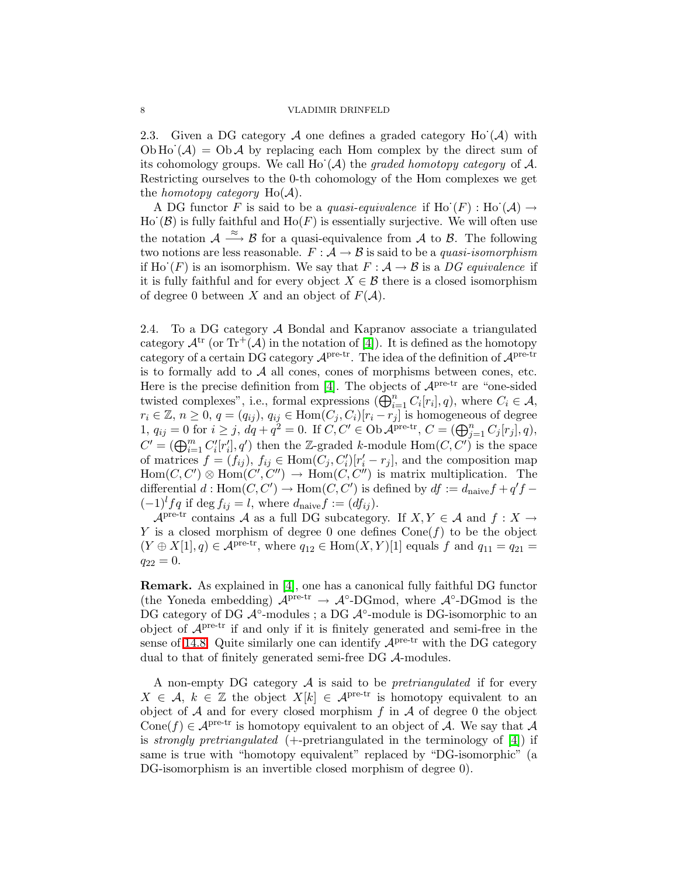<span id="page-7-1"></span>2.3. Given a DG category  $A$  one defines a graded category Ho  $(A)$  with Ob Ho $(\mathcal{A}) = \mathrm{Ob}\,\mathcal{A}$  by replacing each Hom complex by the direct sum of its cohomology groups. We call  $\text{Ho}^{\cdot}(\mathcal{A})$  the graded homotopy category of  $\mathcal{A}$ . Restricting ourselves to the 0-th cohomology of the Hom complexes we get the *homotopy category*  $Ho(A)$ .

A DG functor F is said to be a quasi-equivalence if Ho  $(F)$ : Ho  $(\mathcal{A}) \rightarrow$ Ho  $(\mathcal{B})$  is fully faithful and Ho(F) is essentially surjective. We will often use the notation  $\mathcal{A} \stackrel{\approx}{\longrightarrow} \mathcal{B}$  for a quasi-equivalence from  $\mathcal{A}$  to  $\mathcal{B}$ . The following two notions are less reasonable.  $F : A \rightarrow B$  is said to be a *quasi-isomorphism* if Ho'(F) is an isomorphism. We say that  $F : A \rightarrow B$  is a DG equivalence if it is fully faithful and for every object  $X \in \mathcal{B}$  there is a closed isomorphism of degree 0 between X and an object of  $F(A)$ .

<span id="page-7-0"></span>2.4. To a DG category A Bondal and Kapranov associate a triangulated category  $\mathcal{A}^{tr}$  (or  $\text{Tr}^{+}(\mathcal{A})$  in the notation of [\[4\]](#page-46-0)). It is defined as the homotopy category of a certain DG category  $\mathcal{A}^{\text{pre-tr}}$ . The idea of the definition of  $\mathcal{A}^{\text{pre-tr}}$ is to formally add to  $A$  all cones, cones of morphisms between cones, etc. Here is the precise definition from [\[4\]](#page-46-0). The objects of  $\mathcal{A}^{\text{pre-tr}}$  are "one-sided twisted complexes", i.e., formal expressions  $(\bigoplus_{i=1}^n C_i[r_i], q)$ , where  $C_i \in \mathcal{A}$ ,  $r_i \in \mathbb{Z}, n \geq 0, q = (q_{ij}), q_{ij} \in \text{Hom}(C_j, C_i)[r_i - r_j]$  is homogeneous of degree 1,  $q_{ij} = 0$  for  $i \geq j$ ,  $dq + q^2 = 0$ . If  $C, C' \in \text{Ob }\mathcal{A}^{\text{pre-tr}}, C = (\bigoplus_{j=1}^{n} C_j[r_j], q)$ ,  $C' = (\bigoplus_{i=1}^m C'_i[r'_i], q')$  then the Z-graded k-module  $\text{Hom}(C, C')$  is the space of matrices  $f = (f_{ij}), f_{ij} \in \text{Hom}(C_j, C'_i)[r'_i - r_j],$  and the composition map  $Hom(C, C') \otimes Hom(C', C'') \rightarrow Hom(C', C'')$  is matrix multiplication. The differential  $d : \text{Hom}(C, C') \to \text{Hom}(C, C')$  is defined by  $df := d_{\text{naive}}f + q'f (-1)^{l} f q$  if deg  $f_{ij} = l$ , where  $d_{\text{naive}} f := (df_{ij}).$ 

 $\mathcal{A}$ <sup>pre-tr</sup> contains A as a full DG subcategory. If  $X, Y \in \mathcal{A}$  and  $f: X \to$ Y is a closed morphism of degree 0 one defines  $Cone(f)$  to be the object  $(Y \oplus X[1], q) \in \mathcal{A}^{\text{pre-tr}},$  where  $q_{12} \in \text{Hom}(X, Y)[1]$  equals f and  $q_{11} = q_{21} =$  $q_{22} = 0.$ 

Remark. As explained in [\[4\]](#page-46-0), one has a canonical fully faithful DG functor (the Yoneda embedding)  $\mathcal{A}^{\text{pre-tr}} \rightarrow \mathcal{A}^{\circ}\text{-DGmod}$ , where  $\mathcal{A}^{\circ}\text{-DGmod}$  is the DG category of DG  $\mathcal{A}^{\circ}$ -modules; a DG  $\mathcal{A}^{\circ}$ -module is DG-isomorphic to an object of  $A<sup>pre-tr</sup>$  if and only if it is finitely generated and semi-free in the sense of [14.8.](#page-35-0) Quite similarly one can identify  $A<sup>pre-tr</sup>$  with the DG category dual to that of finitely generated semi-free DG A-modules.

A non-empty DG category  $A$  is said to be *pretriangulated* if for every  $X \in \mathcal{A}, k \in \mathbb{Z}$  the object  $X[k] \in \mathcal{A}^{\text{pre-tr}}$  is homotopy equivalent to an object of  $A$  and for every closed morphism  $f$  in  $A$  of degree 0 the object Cone(f)  $\in \mathcal{A}^{\text{pre-tr}}$  is homotopy equivalent to an object of A. We say that A is *strongly pretriangulated*  $(+)$ -pretriangulated in the terminology of  $[4]$ ) if same is true with "homotopy equivalent" replaced by "DG-isomorphic" (a DG-isomorphism is an invertible closed morphism of degree 0).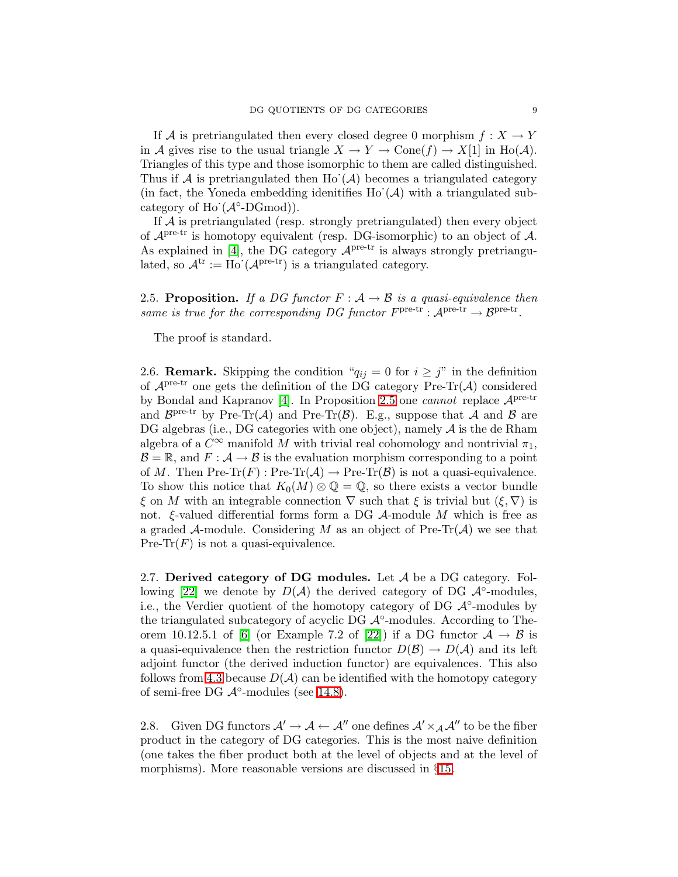If A is pretriangulated then every closed degree 0 morphism  $f: X \to Y$ in A gives rise to the usual triangle  $X \to Y \to \text{Cone}(f) \to X[1]$  in Ho(A). Triangles of this type and those isomorphic to them are called distinguished. Thus if A is pretriangulated then Ho  $(A)$  becomes a triangulated category (in fact, the Yoneda embedding idenitifies  $\text{Ho}^{\cdot}(\mathcal{A})$  with a triangulated subcategory of Ho' $(A^{\circ}\text{-}\mathrm{DGmod})$ ).

If  $A$  is pretriangulated (resp. strongly pretriangulated) then every object of  $\mathcal{A}^{\text{pre-tr}}$  is homotopy equivalent (resp. DG-isomorphic) to an object of  $\mathcal{A}$ . As explained in [\[4\]](#page-46-0), the DG category  $A<sup>pre-tr</sup>$  is always strongly pretriangulated, so  $\mathcal{A}^{tr} := Ho^{'}(\mathcal{A}^{pre-tr})$  is a triangulated category.

<span id="page-8-1"></span>2.5. Proposition. If a DG functor  $F : A \rightarrow B$  is a quasi-equivalence then same is true for the corresponding DG functor  $F^{\text{pre-tr}}: \mathcal{A}^{\text{pre-tr}} \to \mathcal{B}^{\text{pre-tr}}.$ 

The proof is standard.

2.6. **Remark.** Skipping the condition " $q_{ij} = 0$  for  $i \geq j$ " in the definition of  $\mathcal{A}^{\text{pre-tr}}$  one gets the definition of the DG category Pre-Tr( $\mathcal{A}$ ) considered by Bondal and Kapranov [\[4\]](#page-46-0). In Proposition [2.5](#page-8-1) one *cannot* replace  $A<sup>pre-tr</sup>$ and  $\mathcal{B}^{\text{pre-tr}}$  by Pre-Tr(A) and Pre-Tr(B). E.g., suppose that A and B are DG algebras (i.e., DG categories with one object), namely  $A$  is the de Rham algebra of a  $C^{\infty}$  manifold M with trivial real cohomology and nontrivial  $\pi_1$ ,  $\mathcal{B} = \mathbb{R}$ , and  $F : \mathcal{A} \to \mathcal{B}$  is the evaluation morphism corresponding to a point of M. Then Pre-Tr $(F)$ : Pre-Tr $(\mathcal{A}) \to$  Pre-Tr $(\mathcal{B})$  is not a quasi-equivalence. To show this notice that  $K_0(M) \otimes \mathbb{Q} = \mathbb{Q}$ , so there exists a vector bundle  $\xi$  on M with an integrable connection  $\nabla$  such that  $\xi$  is trivial but  $(\xi, \nabla)$  is not.  $\xi$ -valued differential forms form a DG  $\mathcal A$ -module M which is free as a graded A-module. Considering M as an object of  $Pre-Tr(A)$  we see that Pre-Tr( $F$ ) is not a quasi-equivalence.

<span id="page-8-0"></span>2.7. Derived category of DG modules. Let  $A$  be a DG category. Fol-lowing [\[22\]](#page-47-10) we denote by  $D(\mathcal{A})$  the derived category of DG  $\mathcal{A}^\circ$ -modules, i.e., the Verdier quotient of the homotopy category of DG  $\mathcal{A}^{\circ}$ -modules by the triangulated subcategory of acyclic DG  $\mathcal{A}^{\circ}$ -modules. According to The-orem 10.12.5.1 of [\[6\]](#page-47-13) (or Example 7.2 of [\[22\]](#page-47-10)) if a DG functor  $A \rightarrow B$  is a quasi-equivalence then the restriction functor  $D(\mathcal{B}) \to D(\mathcal{A})$  and its left adjoint functor (the derived induction functor) are equivalences. This also follows from [4.3](#page-13-1) because  $D(\mathcal{A})$  can be identified with the homotopy category of semi-free DG  $\mathcal{A}^{\circ}$ -modules (see [14.8\)](#page-35-0).

<span id="page-8-2"></span>2.8. Given DG functors  $\mathcal{A}' \to \mathcal{A} \leftarrow \mathcal{A}''$  one defines  $\mathcal{A}' \times_{\mathcal{A}} \mathcal{A}''$  to be the fiber product in the category of DG categories. This is the most naive definition (one takes the fiber product both at the level of objects and at the level of morphisms). More reasonable versions are discussed in §[15.](#page-38-2)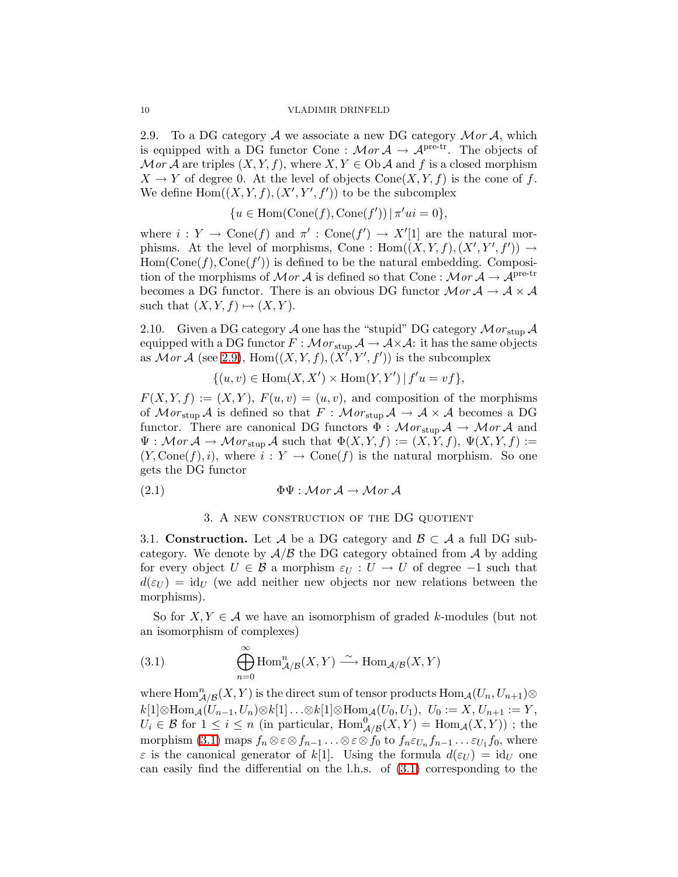<span id="page-9-2"></span>2.9. To a DG category A we associate a new DG category  $\mathcal{M}or\mathcal{A}$ , which is equipped with a DG functor Cone :  $\mathcal{M}or \mathcal{A} \to \mathcal{A}^{\text{pre-tr}}$ . The objects of Mor A are triples  $(X, Y, f)$ , where  $X, Y \in Ob$  A and f is a closed morphism  $X \to Y$  of degree 0. At the level of objects  $Cone(X, Y, f)$  is the cone of f. We define  $\text{Hom}((X, Y, f), (X', Y', f'))$  to be the subcomplex

 ${u \in \text{Hom}(\text{Cone}(f), \text{Cone}(f')) \mid \pi' u i = 0},$ 

where  $i: Y \to \text{Cone}(f)$  and  $\pi' : \text{Cone}(f') \to X'[1]$  are the natural morphisms. At the level of morphisms, Cone :  $Hom((X, Y, f), (X', Y', f')) \rightarrow$  $Hom(Cone(f), Cone(f'))$  is defined to be the natural embedding. Composition of the morphisms of  $\mathcal{M}or\mathcal{A}$  is defined so that Cone :  $\mathcal{M}or\mathcal{A} \to \mathcal{A}^{pre-tr}$ becomes a DG functor. There is an obvious DG functor  $\mathcal{M}or\mathcal{A}\to\mathcal{A}\times\mathcal{A}$ such that  $(X, Y, f) \mapsto (X, Y)$ .

<span id="page-9-5"></span>2.10. Given a DG category  $A$  one has the "stupid" DG category  $Mor_{\text{stup}} A$ equipped with a DG functor  $F : \mathcal{M}or_{\text{stup}} \mathcal{A} \to \mathcal{A} \times \mathcal{A}$ : it has the same objects as  $Mor \mathcal{A}$  (see [2.9\)](#page-9-2),  $Hom((X,Y,f),(X',Y',f'))$  is the subcomplex

 $\{(u, v) \in \text{Hom}(X, X') \times \text{Hom}(Y, Y') \mid f'u = vf\},\$ 

 $F(X,Y,f) := (X,Y), F(u,v) = (u,v),$  and composition of the morphisms of  $Mor_{\text{stup}} A$  is defined so that  $F : Mor_{\text{stup}} A \to A \times A$  becomes a DG functor. There are canonical DG functors  $\Phi : \mathcal{M}or_{\text{stup}} \mathcal{A} \to \mathcal{M}or \mathcal{A}$  and  $\Psi : \mathcal{M}$  or  $\mathcal{A} \to \mathcal{M}$  or  $\sup \mathcal{A}$  such that  $\Phi(X, Y, f) := (X, Y, f), \Psi(X, Y, f) :=$  $(Y, Cone(f), i)$ , where  $i : Y \to Cone(f)$  is the natural morphism. So one gets the DG functor

<span id="page-9-4"></span><span id="page-9-0"></span>(2.1) 
$$
\Phi\Psi : \mathcal{M}or \mathcal{A} \to \mathcal{M}or \mathcal{A}
$$

### 3. A new construction of the DG quotient

<span id="page-9-1"></span>3.1. Construction. Let A be a DG category and  $\mathcal{B} \subset \mathcal{A}$  a full DG subcategory. We denote by  $A/B$  the DG category obtained from A by adding for every object  $U \in \mathcal{B}$  a morphism  $\varepsilon_U : U \to U$  of degree  $-1$  such that  $d(\varepsilon_U) = id_U$  (we add neither new objects nor new relations between the morphisms).

<span id="page-9-3"></span>So for  $X, Y \in \mathcal{A}$  we have an isomorphism of graded k-modules (but not an isomorphism of complexes)

(3.1) 
$$
\bigoplus_{n=0}^{\infty} \text{Hom}_{\mathcal{A}/\mathcal{B}}^{n}(X, Y) \xrightarrow{\sim} \text{Hom}_{\mathcal{A}/\mathcal{B}}(X, Y)
$$

where  $\mathrm{Hom}^n_{\mathcal{A}/\mathcal{B}}(X,Y)$  is the direct sum of tensor products  $\mathrm{Hom}_{\mathcal{A}}(U_n,U_{n+1})\otimes$  $k[1]\otimes \text{Hom}_{\mathcal{A}}(U_{n-1},U_n)\otimes k[1]\ldots\otimes k[1]\otimes \text{Hom}_{\mathcal{A}}(U_0,U_1), U_0 := X, U_{n+1} := Y,$  $U_i \in \mathcal{B}$  for  $1 \leq i \leq n$  (in particular,  $\text{Hom}_{\mathcal{A}/\mathcal{B}}^0(X, Y) = \text{Hom}_{\mathcal{A}}(X, Y)$ ); the morphism [\(3.1\)](#page-9-3) maps  $f_n \otimes \varepsilon \otimes f_{n-1} \ldots \otimes \varepsilon \otimes f_0$  to  $f_n \varepsilon_{U_n} f_{n-1} \ldots \varepsilon_{U_1} f_0$ , where  $\varepsilon$  is the canonical generator of k[1]. Using the formula  $d(\varepsilon_U) = id_U$  one can easily find the differential on the l.h.s. of [\(3.1\)](#page-9-3) corresponding to the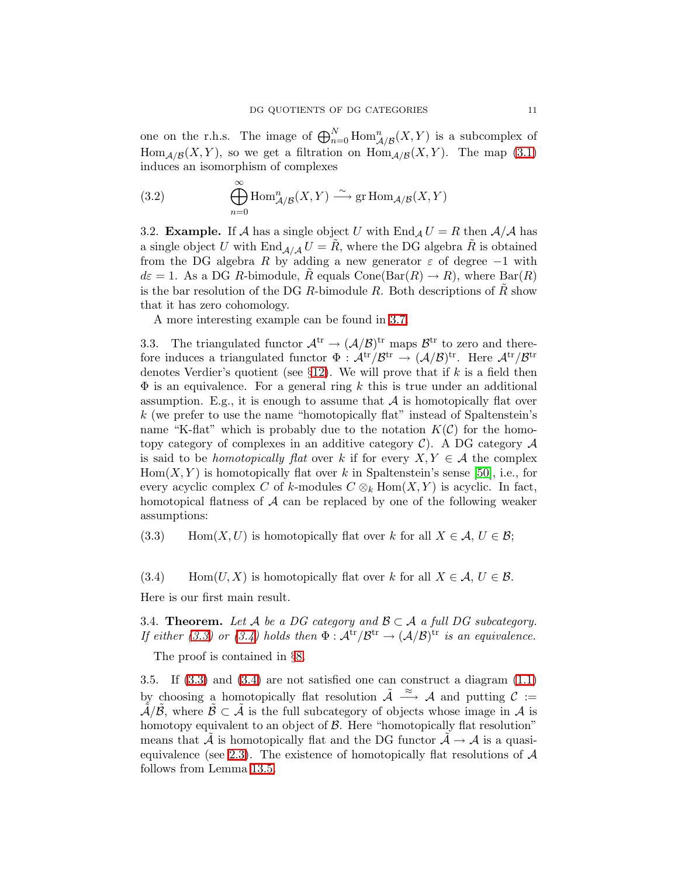<span id="page-10-5"></span>one on the r.h.s. The image of  $\bigoplus_{n=0}^N \text{Hom}_{\mathcal{A}/\mathcal{B}}^n(X, Y)$  is a subcomplex of Hom<sub>A/B</sub>(X,Y), so we get a filtration on  $\text{Hom}_{A/B}(X, Y)$ . The map [\(3.1\)](#page-9-3) induces an isomorphism of complexes

(3.2) 
$$
\bigoplus_{n=0}^{\infty} \text{Hom}_{\mathcal{A}/\mathcal{B}}^n(X, Y) \stackrel{\sim}{\longrightarrow} \text{gr Hom}_{\mathcal{A}/\mathcal{B}}(X, Y)
$$

3.2. **Example.** If A has a single object U with  $\text{End}_A U = R$  then  $A/A$  has a single object U with  $\text{End}_{A/A} U = R$ , where the DG algebra R is obtained from the DG algebra R by adding a new generator  $\varepsilon$  of degree -1 with  $d\varepsilon = 1$ . As a DG R-bimodule, R equals Cone(Bar(R)  $\rightarrow$  R), where Bar(R) is the bar resolution of the DG R-bimodule R. Both descriptions of  $\tilde{R}$  show that it has zero cohomology.

A more interesting example can be found in [3.7.](#page-11-1)

<span id="page-10-1"></span>3.3. The triangulated functor  $\mathcal{A}^{tr} \to (\mathcal{A}/\mathcal{B})^{tr}$  maps  $\mathcal{B}^{tr}$  to zero and therefore induces a triangulated functor  $\Phi: \mathcal{A}^{tr}/\mathcal{B}^{tr} \to (\mathcal{A}/\mathcal{B})^{tr}$ . Here  $\mathcal{A}^{tr}/\mathcal{B}^{tr}$ denotes Verdier's quotient (see  $\S12$ ). We will prove that if k is a field then  $\Phi$  is an equivalence. For a general ring k this is true under an additional assumption. E.g., it is enough to assume that  $A$  is homotopically flat over k (we prefer to use the name "homotopically flat" instead of Spaltenstein's name "K-flat" which is probably due to the notation  $K(\mathcal{C})$  for the homotopy category of complexes in an additive category  $\mathcal{C}$ ). A DG category  $\mathcal{A}$ is said to be *homotopically flat* over k if for every  $X, Y \in \mathcal{A}$  the complex  $Hom(X, Y)$  is homotopically flat over k in Spaltenstein's sense [\[50\]](#page-48-11), i.e., for every acyclic complex C of k-modules  $C \otimes_k Hom(X, Y)$  is acyclic. In fact, homotopical flatness of  $A$  can be replaced by one of the following weaker assumptions:

<span id="page-10-3"></span><span id="page-10-2"></span>(3.3) Hom $(X, U)$  is homotopically flat over k for all  $X \in \mathcal{A}, U \in \mathcal{B}$ ;

(3.4) Hom $(U, X)$  is homotopically flat over k for all  $X \in \mathcal{A}, U \in \mathcal{B}$ .

<span id="page-10-4"></span>Here is our first main result.

3.4. Theorem. Let A be a DG category and  $\mathcal{B} \subset \mathcal{A}$  a full DG subcategory. If either [\(3.3\)](#page-10-2) or [\(3.4\)](#page-10-3) holds then  $\Phi : \mathcal{A}^{tr}/\mathcal{B}^{tr} \to (\mathcal{A}/\mathcal{B})^{tr}$  is an equivalence.

The proof is contained in §[8.](#page-24-0)

<span id="page-10-0"></span>3.5. If [\(3.3\)](#page-10-2) and [\(3.4\)](#page-10-3) are not satisfied one can construct a diagram [\(1.1\)](#page-1-0) by choosing a homotopically flat resolution  $\tilde{\mathcal{A}} \stackrel{\approx}{\longrightarrow} \mathcal{A}$  and putting  $\mathcal{C} :=$  $\tilde{\mathcal{A}}/\tilde{\mathcal{B}}$ , where  $\tilde{\mathcal{B}} \subset \tilde{\mathcal{A}}$  is the full subcategory of objects whose image in  $\mathcal{A}$  is homotopy equivalent to an object of  $\beta$ . Here "homotopically flat resolution" means that A is homotopically flat and the DG functor  $A \rightarrow A$  is a quasi-equivalence (see [2.3\)](#page-7-1). The existence of homotopically flat resolutions of  $A$ follows from Lemma [13.5.](#page-33-1)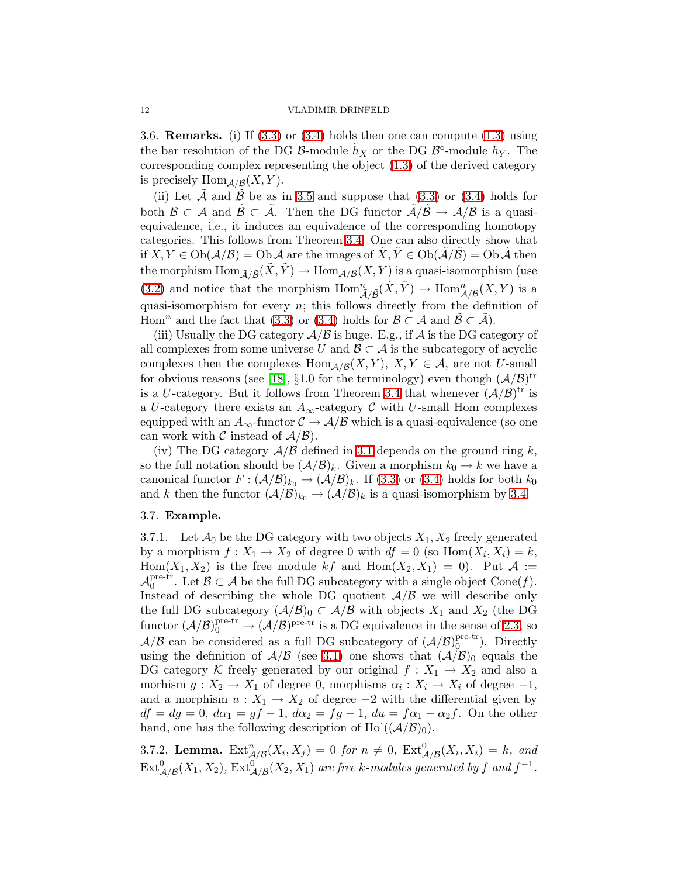<span id="page-11-0"></span>3.6. **Remarks.** (i) If  $(3.3)$  or  $(3.4)$  holds then one can compute  $(1.3)$  using the bar resolution of the DG  $\mathcal{B}$ -module  $\tilde{h}_X$  or the DG  $\mathcal{B}^{\circ}$ -module  $h_Y$ . The corresponding complex representing the object [\(1.3\)](#page-2-3) of the derived category is precisely  $\text{Hom}_{\mathcal{A}/\mathcal{B}}(X, Y)$ .

(ii) Let  $\tilde{\mathcal{A}}$  and  $\tilde{\mathcal{B}}$  be as in [3.5](#page-10-0) and suppose that [\(3.3\)](#page-10-2) or [\(3.4\)](#page-10-3) holds for both  $\mathcal{B} \subset \mathcal{A}$  and  $\mathcal{B} \subset \mathcal{A}$ . Then the DG functor  $\mathcal{A}/\mathcal{B} \to \mathcal{A}/\mathcal{B}$  is a quasiequivalence, i.e., it induces an equivalence of the corresponding homotopy categories. This follows from Theorem [3.4.](#page-10-4) One can also directly show that if  $X, Y \in Ob(\mathcal{A}/\mathcal{B}) = Ob \mathcal{A}$  are the images of  $X, Y \in Ob(\mathcal{A}/\mathcal{B}) = Ob \mathcal{A}$  then the morphism  $\text{Hom}_{\tilde{\mathcal{A}}/\tilde{\mathcal{B}}}(\tilde{X}, \tilde{Y}) \to \text{Hom}_{\mathcal{A}/\mathcal{B}}(X, Y)$  is a quasi-isomorphism (use [\(3.2\)](#page-10-5) and notice that the morphism  $\text{Hom}^n_{\tilde{\mathcal{A}}/\tilde{\mathcal{B}}}(\tilde{X}, \tilde{Y}) \to \text{Hom}^n_{\mathcal{A}/\mathcal{B}}(X, Y)$  is a quasi-isomorphism for every  $n$ ; this follows directly from the definition of Hom<sup>n</sup> and the fact that [\(3.3\)](#page-10-2) or [\(3.4\)](#page-10-3) holds for  $\mathcal{B} \subset \mathcal{A}$  and  $\tilde{\mathcal{B}} \subset \tilde{\mathcal{A}}$ ).

(iii) Usually the DG category  $A/B$  is huge. E.g., if A is the DG category of all complexes from some universe U and  $\mathcal{B} \subset \mathcal{A}$  is the subcategory of acyclic complexes then the complexes  $\text{Hom}_{\mathcal{A}/\mathcal{B}}(X,Y), X,Y \in \mathcal{A}$ , are not U-small for obvious reasons (see [\[18\]](#page-47-14), §1.0 for the terminology) even though  $(\mathcal{A}/\mathcal{B})^{\text{tr}}$ is a U-category. But it follows from Theorem [3.4](#page-10-4) that whenever  $(\mathcal{A}/\mathcal{B})^{\text{tr}}$  is a U-category there exists an  $A_{\infty}$ -category C with U-small Hom complexes equipped with an  $A_{\infty}$ -functor  $\mathcal{C} \to \mathcal{A}/\mathcal{B}$  which is a quasi-equivalence (so one can work with C instead of  $A/B$ .

(iv) The DG category  $A/B$  defined in [3.1](#page-9-1) depends on the ground ring k, so the full notation should be  $(\mathcal{A}/\mathcal{B})_k$ . Given a morphism  $k_0 \to k$  we have a canonical functor  $F: (\mathcal{A}/\mathcal{B})_{k_0} \to (\mathcal{A}/\mathcal{B})_k$ . If [\(3.3\)](#page-10-2) or [\(3.4\)](#page-10-3) holds for both  $k_0$ and k then the functor  $(\mathcal{A}/\mathcal{B})_{k_0} \to (\mathcal{A}/\mathcal{B})_k$  is a quasi-isomorphism by [3.4.](#page-10-4)

### <span id="page-11-3"></span><span id="page-11-1"></span>3.7. Example.

3.7.1. Let  $\mathcal{A}_0$  be the DG category with two objects  $X_1, X_2$  freely generated by a morphism  $f: X_1 \to X_2$  of degree 0 with  $df = 0$  (so  $Hom(X_i, X_i) = k$ , Hom $(X_1, X_2)$  is the free module kf and Hom $(X_2, X_1) = 0$ . Put  $\mathcal{A} :=$  $\mathcal{A}^{\text{pre-tr}}_0$  $0^{\text{pre-tr}}$ . Let  $\mathcal{B} \subset \mathcal{A}$  be the full DG subcategory with a single object Cone(f). Instead of describing the whole DG quotient  $A/B$  we will describe only the full DG subcategory  $(\mathcal{A}/\mathcal{B})_0 \subset \mathcal{A}/\mathcal{B}$  with objects  $X_1$  and  $X_2$  (the DG functor  $(\mathcal{A}/\mathcal{B})_0^{\text{pre-tr}} \to (\mathcal{A}/\mathcal{B})^{\text{pre-tr}}$  is a DG equivalence in the sense of [2.3,](#page-7-1) so  $\mathcal{A}/\mathcal{B}$  can be considered as a full DG subcategory of  $(\mathcal{A}/\mathcal{B})_0^{\text{pre-tr}}$  $_0^{\text{pre-tr}}$ ). Directly using the definition of  $A/B$  (see [3.1\)](#page-9-1) one shows that  $(A/B)<sub>0</sub>$  equals the DG category K freely generated by our original  $f: X_1 \to X_2$  and also a morhism  $g: X_2 \to X_1$  of degree 0, morphisms  $\alpha_i: X_i \to X_i$  of degree  $-1$ , and a morphism  $u: X_1 \to X_2$  of degree  $-2$  with the differential given by  $df = dg = 0, d\alpha_1 = gf - 1, d\alpha_2 = fg - 1, du = f\alpha_1 - \alpha_2 f$ . On the other hand, one has the following description of Ho  $((\mathcal{A}/\mathcal{B})_0)$ .

<span id="page-11-2"></span>3.7.2. Lemma.  $\text{Ext}_{\mathcal{A}/\mathcal{B}}^n(X_i, X_j) = 0$  for  $n \neq 0$ ,  $\text{Ext}_{\mathcal{A}/\mathcal{B}}^0(X_i, X_i) = k$ , and  $\operatorname{Ext}^0_{\mathcal{A}/\mathcal{B}}(X_1,X_2), \operatorname{Ext}^0_{\mathcal{A}/\mathcal{B}}(X_2,X_1)$  are free k-modules generated by f and  $f^{-1}$ .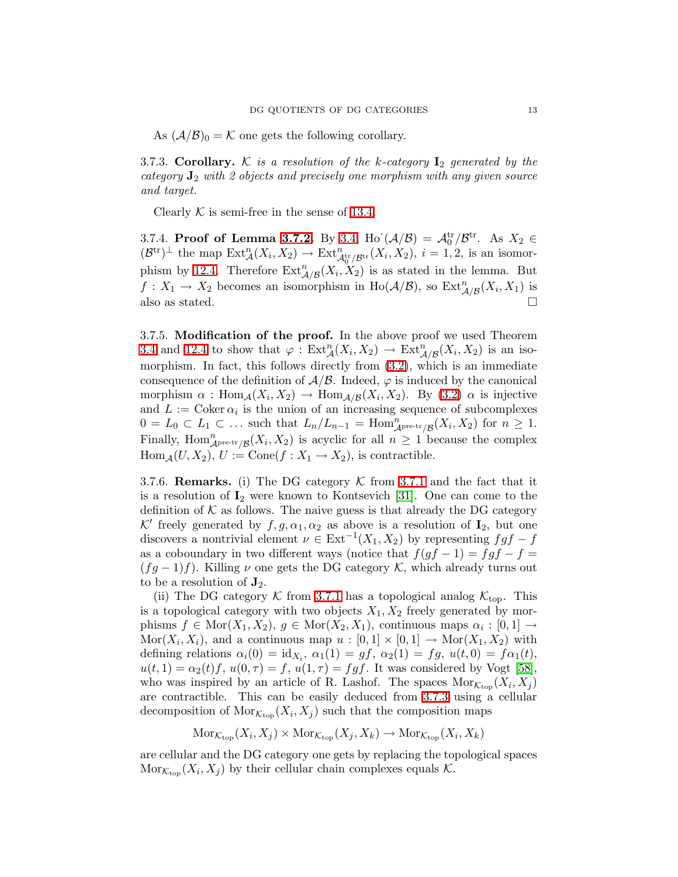As  $(\mathcal{A}/\mathcal{B})_0 = \mathcal{K}$  one gets the following corollary.

<span id="page-12-0"></span>3.7.3. Corollary. K is a resolution of the k-category  $I_2$  generated by the category  $J_2$  with 2 objects and precisely one morphism with any given source and target.

Clearly  $K$  is semi-free in the sense of [13.4.](#page-32-0)

3.7.4. Proof of Lemma [3.7.2.](#page-11-2) By [3.4,](#page-10-4) Ho $(\mathcal{A}/\mathcal{B}) = \mathcal{A}_0^{\text{tr}}/\mathcal{B}^{\text{tr}}$ . As  $X_2 \in$  $(\mathcal{B}^{\text{tr}})^{\perp}$  the map  $\text{Ext}_{\mathcal{A}}^{n}(X_i, X_2) \to \text{Ext}_{\mathcal{A}_0^{\text{tr}}/\mathcal{B}^{\text{tr}}}(X_i, X_2), i = 1, 2$ , is an isomor-phism by [12.4.](#page-30-1) Therefore  $\text{Ext}_{\mathcal{A}/\mathcal{B}}^n(X_i, X_2)$  is as stated in the lemma. But  $f: X_1 \to X_2$  becomes an isomorphism in Ho( $\mathcal{A}/\mathcal{B}$ ), so  $\text{Ext}^n_{\mathcal{A}/\mathcal{B}}(X_i, X_1)$  is also as stated.  $\hfill \square$ 

3.7.5. Modification of the proof. In the above proof we used Theorem [3.4](#page-10-4) and [12.4](#page-30-1) to show that  $\varphi$ :  $\text{Ext}_{\mathcal{A}}^n(X_i,X_2) \to \text{Ext}_{\mathcal{A}/\mathcal{B}}^n(X_i,X_2)$  is an isomorphism. In fact, this follows directly from [\(3.2\)](#page-10-5), which is an immediate consequence of the definition of  $A/B$ . Indeed,  $\varphi$  is induced by the canonical morphism  $\alpha$ : Hom<sub> $\mathcal{A}(X_i, X_2) \to \text{Hom}_{\mathcal{A}/\mathcal{B}}(X_i, X_2)$ . By [\(3.2\)](#page-10-5)  $\alpha$  is injective</sub> and  $L := \text{Coker } \alpha_i$  is the union of an increasing sequence of subcomplexes  $0 = L_0 \subset L_1 \subset \ldots$  such that  $L_n/L_{n-1} = \text{Hom}_{\mathcal{A}^{\text{pre-tr}}/\mathcal{B}}^n(X_i, X_2)$  for  $n \geq 1$ . Finally,  $\text{Hom}^n_{\mathcal{A}^{\text{pre-tr}}/\mathcal{B}}(X_i, X_2)$  is acyclic for all  $n \geq 1$  because the complex  $Hom_{\mathcal{A}}(U,X_2), U := Cone(f : X_1 \rightarrow X_2),$  is contractible.

3.7.6. **Remarks.** (i) The DG category K from [3.7.1](#page-11-3) and the fact that it is a resolution of  $I_2$  were known to Kontsevich [\[31\]](#page-48-2). One can come to the definition of  $K$  as follows. The naive guess is that already the DG category K' freely generated by  $f, g, \alpha_1, \alpha_2$  as above is a resolution of  $\mathbf{I}_2$ , but one discovers a nontrivial element  $\nu \in \text{Ext}^{-1}(X_1, X_2)$  by representing  $fgf - f$ as a coboundary in two different ways (notice that  $f(gf - 1) = fgf - f =$  $(fg-1)f$ ). Killing  $\nu$  one gets the DG category  $\mathcal{K}$ , which already turns out to be a resolution of  $J_2$ .

(ii) The DG category K from [3.7.1](#page-11-3) has a topological analog  $K_{\text{top}}$ . This is a topological category with two objects  $X_1, X_2$  freely generated by morphisms  $f \in \text{Mor}(X_1, X_2), g \in \text{Mor}(X_2, X_1)$ , continuous maps  $\alpha_i : [0,1] \to$  $\text{Mor}(X_i, X_i)$ , and a continuous map  $u : [0,1] \times [0,1] \rightarrow \text{Mor}(X_1, X_2)$  with defining relations  $\alpha_i(0) = id_{X_i}, \alpha_1(1) = gf, \alpha_2(1) = fg, u(t, 0) = f\alpha_1(t),$  $u(t, 1) = \alpha_2(t) f$ ,  $u(0, \tau) = f$ ,  $u(1, \tau) = f g f$ . It was considered by Vogt [\[58\]](#page-49-1), who was inspired by an article of R. Lashof. The spaces  $Mor_{\mathcal{K}_{top}}(X_i, X_j)$ are contractible. This can be easily deduced from [3.7.3](#page-12-0) using a cellular decomposition of  $Mor_{\mathcal{K}_{\text{top}}}(X_i, X_j)$  such that the composition maps

$$
\text{Mor}_{\mathcal{K}_{\text{top}}}(X_i, X_j) \times \text{Mor}_{\mathcal{K}_{\text{top}}}(X_j, X_k) \to \text{Mor}_{\mathcal{K}_{\text{top}}}(X_i, X_k)
$$

are cellular and the DG category one gets by replacing the topological spaces  $Mor_{\mathcal{K}_{\text{top}}}(X_i, X_j)$  by their cellular chain complexes equals  $\mathcal{K}$ .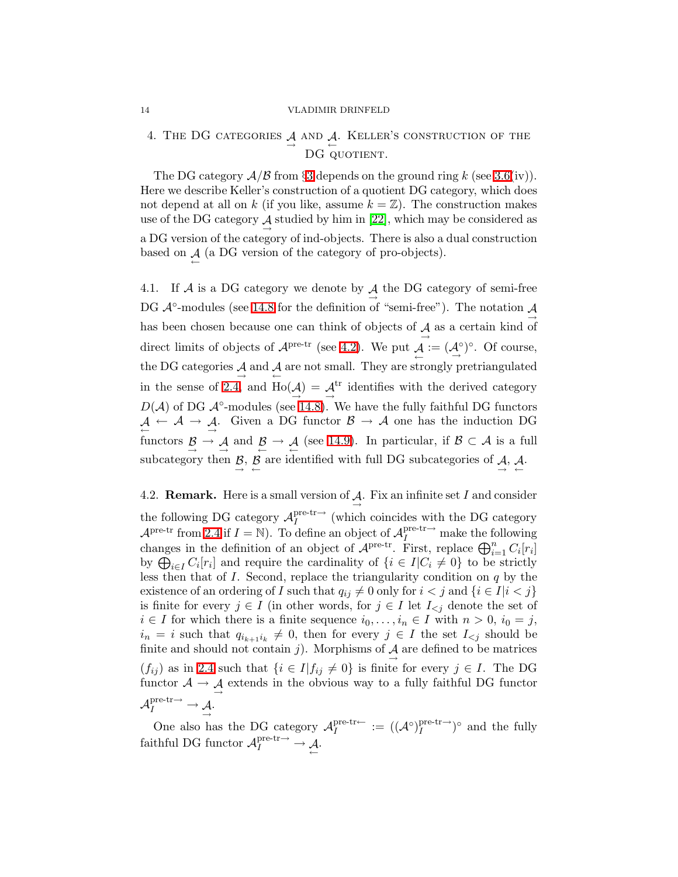# <span id="page-13-0"></span>4. THE DG CATEGORIES  $\mathcal{A}$  and  $\mathcal{A}$ . Keller's construction of the DG QUOTIENT.

The DG category  $A/B$  from §[3](#page-9-0) depends on the ground ring k (see [3.6\(](#page-11-0)iv)). Here we describe Keller's construction of a quotient DG category, which does not depend at all on k (if you like, assume  $k = \mathbb{Z}$ ). The construction makes use of the DG category  $\mathcal A$  studied by him in [\[22\]](#page-47-10), which may be considered as a DG version of the category of ind-objects. There is also a dual construction based on  $\mathcal{A}$  (a DG version of the category of pro-objects).

<span id="page-13-3"></span>4.1. If A is a DG category we denote by  $\underset{\rightarrow}{A}$  the DG category of semi-free DG  $\mathcal{A}^{\circ}$ -modules (see [14.8](#page-35-0) for the definition of "semi-free"). The notation  $\mathcal{A}$  $\rightarrow$ has been chosen because one can think of objects of  $\mathcal{A}$  as a certain kind of direct limits of objects of  $\mathcal{A}^{\text{pre-tr}}$  (see [4.2\)](#page-13-2). We put  $\mathcal{A} := (\mathcal{A}^{\circ})^{\circ}$ . Of course, the DG categories  $\mathcal{A}$  and  $\mathcal{A}$  are not small. They are strongly pretriangulated in the sense of [2.4,](#page-7-0) and  $\text{Ho}(\mathcal{A}) = \mathcal{A}^{\text{tr}}$  identifies with the derived category  $D(\mathcal{A})$  of DG  $\mathcal{A}^{\circ}$ -modules (see [14.8\)](#page-35-0). We have the fully faithful DG functors  $A \leftarrow A \rightarrow A$ . Given a DG functor  $B \rightarrow A$  one has the induction DG functors  $\beta \rightarrow \mathcal{A}$  and  $\beta \rightarrow \mathcal{A}$  (see [14.9\)](#page-35-1). In particular, if  $\beta \subset \mathcal{A}$  is a full subcategory then  $\beta$ ,  $\beta$  are identified with full DG subcategories of  $\beta$ ,  $\beta$ .

<span id="page-13-2"></span>4.2. **Remark.** Here is a small version of  $\mathcal{A}$ . Fix an infinite set I and consider the following DG category  $\mathcal{A}^{\text{pre-tr}\rightarrow}_{I}$  $I_I^{\text{pre-tr}\rightarrow}$  (which coincides with the DG category  $\mathcal{A}^{\text{pre-tr}}$  from [2.4](#page-7-0) if  $I = \mathbb{N}$ ). To define an object of  $\mathcal{A}_I^{\text{pre-tr}\rightarrow}$  make the following changes in the definition of an object of  $\mathcal{A}^{\text{pre-tr}}$ . First, replace  $\bigoplus_{i=1}^{n} C_i[r_i]$ by  $\bigoplus_{i\in I} C_i[r_i]$  and require the cardinality of  $\{i \in I | C_i \neq 0\}$  to be strictly less then that of  $I$ . Second, replace the triangularity condition on  $q$  by the existence of an ordering of I such that  $q_{ij} \neq 0$  only for  $i < j$  and  $\{i \in I | i < j\}$ is finite for every  $j \in I$  (in other words, for  $j \in I$  let  $I_{\leq j}$  denote the set of  $i \in I$  for which there is a finite sequence  $i_0, \ldots, i_n \in I$  with  $n > 0$ ,  $i_0 = j$ ,  $i_n = i$  such that  $q_{i_{k+1}i_k} \neq 0$ , then for every  $j \in I$  the set  $I_{\leq j}$  should be finite and should not contain j). Morphisms of  $\mathcal{A}$  are defined to be matrices  $(f_{ij})$  as in [2.4](#page-7-0) such that  $\{i \in I | f_{ij} \neq 0\}$  is finite for every  $j \in I$ . The DG functor  $\mathcal{A} \to \mathcal{A}$  extends in the obvious way to a fully faithful DG functor  $\mathcal{A}_I^{\text{pre-tr}\rightarrow} \rightarrow \mathcal{A}.$ 

<span id="page-13-1"></span>One also has the DG category  $\mathcal{A}_I^{\text{pre-tr}\leftarrow}$  $I^{\text{pre-tr}\leftarrow} := ((\mathcal{A}^{\circ})^{\text{pre-tr}\rightarrow}_{I})$  $I^{\text{pre-tr}\rightarrow}$ <sup>o</sup> and the fully faithful DG functor  $\mathcal{A}_I^{\text{pre-tr}\rightarrow} \to \mathcal{A}$ .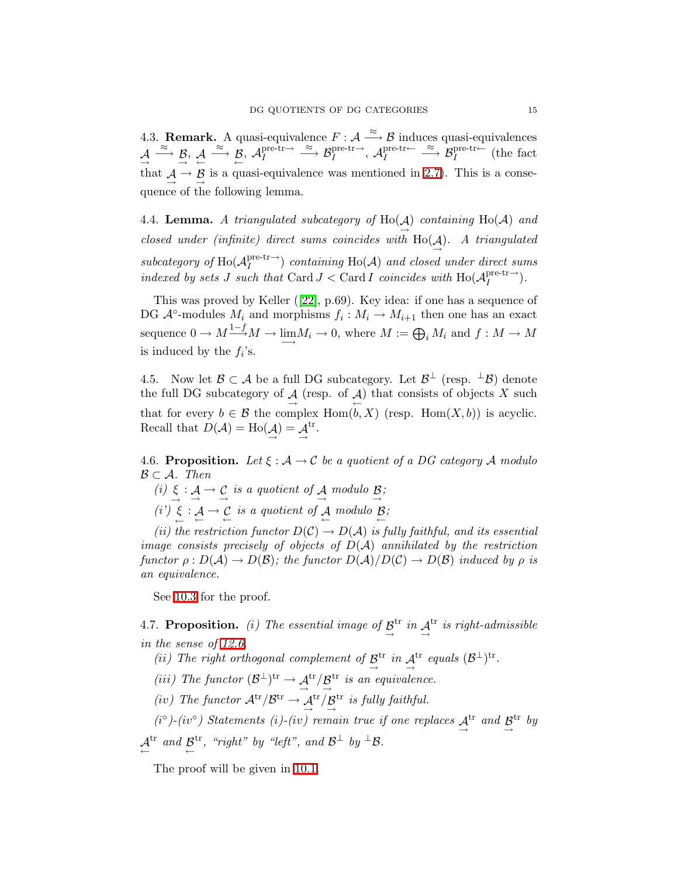4.3. **Remark.** A quasi-equivalence  $F : A \xrightarrow{\approx} B$  induces quasi-equivalences  $\mathcal{A} \xrightarrow{\approx} \mathcal{B}, \mathcal{A} \xrightarrow{\approx} \mathcal{B}, \mathcal{A}_I^{\text{pre-tr}\rightarrow}$  $I \longrightarrow \mathcal{B}_I^{\text{pre-tr}\rightarrow}$ ,  $\mathcal{A}_I^{\text{pre-tr}\leftarrow}$  $I_I^{\text{pre-tr}\leftarrow} \overset{\approx}{\longrightarrow} B_I^{\text{pre-tr}\leftarrow}$  (the fact that  $A \rightarrow \mathcal{B}$  is a quasi-equivalence was mentioned in [2.7\)](#page-8-0). This is a consequence of the following lemma.

<span id="page-14-2"></span>4.4. **Lemma.** A triangulated subcategory of  $\text{Ho}(\mathcal{A})$  containing  $\text{Ho}(\mathcal{A})$  and closed under (infinite) direct sums coincides with  $\text{Ho}(\mathcal{A})$ . A triangulated subcategory of  $\text{Ho}(\mathcal{A}^{\text{pre-tr}\rightarrow}_{I})$  $I_I^{\text{pre-tr}}$ ) containing Ho(A) and closed under direct sums indexed by sets J such that Card J < Card I coincides with  $\text{Ho}(\mathcal{A}^{\text{pre-tr-}}_I)$  $I^{\text{pre-tr}\rightarrow}$ ).

This was proved by Keller ([\[22\]](#page-47-10), p.69). Key idea: if one has a sequence of DG  $\mathcal{A}^{\circ}$ -modules  $M_i$  and morphisms  $f_i: M_i \to M_{i+1}$  then one has an exact sequence  $0 \to M \longrightarrow{1-f} M \to \lim_{\longrightarrow} M_i \to 0$ , where  $M := \bigoplus_i M_i$  and  $f : M \to M$ is induced by the  $f_i$ 's.

4.5. Now let  $\mathcal{B} \subset \mathcal{A}$  be a full DG subcategory. Let  $\mathcal{B}^{\perp}$  (resp.  $^{\perp}\mathcal{B}$ ) denote the full DG subcategory of  $\mathcal{A}$  (resp. of  $\mathcal{A}$ ) that consists of objects X such that for every  $b \in \mathcal{B}$  the complex  $\text{Hom}(b, X)$  (resp.  $\text{Hom}(X, b)$ ) is acyclic. Recall that  $D(\mathcal{A}) = Ho(\mathcal{A}) = \mathcal{A}$ tr .

<span id="page-14-0"></span>4.6. Proposition. Let  $\xi : A \to C$  be a quotient of a DG category A modulo  $\mathcal{B} \subset \mathcal{A}$ . Then

(i)  $\xi : A \to C$  is a quotient of A modulo  $\beta$ ;  $\xrightarrow{}$ (i')  $\xi : A \to C$  is a quotient of A modulo  $\beta$ ;

(ii) the restriction functor  $D(C) \to D(A)$  is fully faithful, and its essential image consists precisely of objects of  $D(\mathcal{A})$  annihilated by the restriction functor  $\rho: D(\mathcal{A}) \to D(\mathcal{B})$ ; the functor  $D(\mathcal{A})/D(\mathcal{C}) \to D(\mathcal{B})$  induced by  $\rho$  is an equivalence.

See [10.3](#page-28-4) for the proof.

<span id="page-14-1"></span>4.7. **Proposition.** (i) The essential image of  $\mathcal{B}^{\text{tr}}$  in  $\mathcal{A}^{\text{tr}}$  is right-admissible in the sense of [12.6.](#page-30-2)

- (ii) The right orthogonal complement of  $\mathcal{B}^{tr}$  in  $\mathcal{A}^{tr}$  equals  $(\mathcal{B}^{\perp})^{tr}$ .  $\rightarrow$   $\rightarrow$
- (iii) The functor  $(\mathcal{B}^{\perp})^{tr} \to \mathcal{A}^{tr}/\mathcal{B}^{tr}$  is an equivalence.

(iv) The functor  $A^{tr}/B^{tr} \rightarrow A^{tr}/B^{tr}$  is fully faithful.

(i<sup>o</sup>)-(iv<sup>o</sup>) Statements (i)-(iv) remain true if one replaces  $A<sup>tr</sup>$  and  $B<sup>tr</sup>$  by

$$
\stackrel{\text{At}^{\text{tr}}}{\leftarrow} \text{ and } \stackrel{\text{at}^{\text{tr}}}{\leftarrow}, \text{ "right" by "left", and B\perp by \perpB.
$$

The proof will be given in [10.1.](#page-27-1)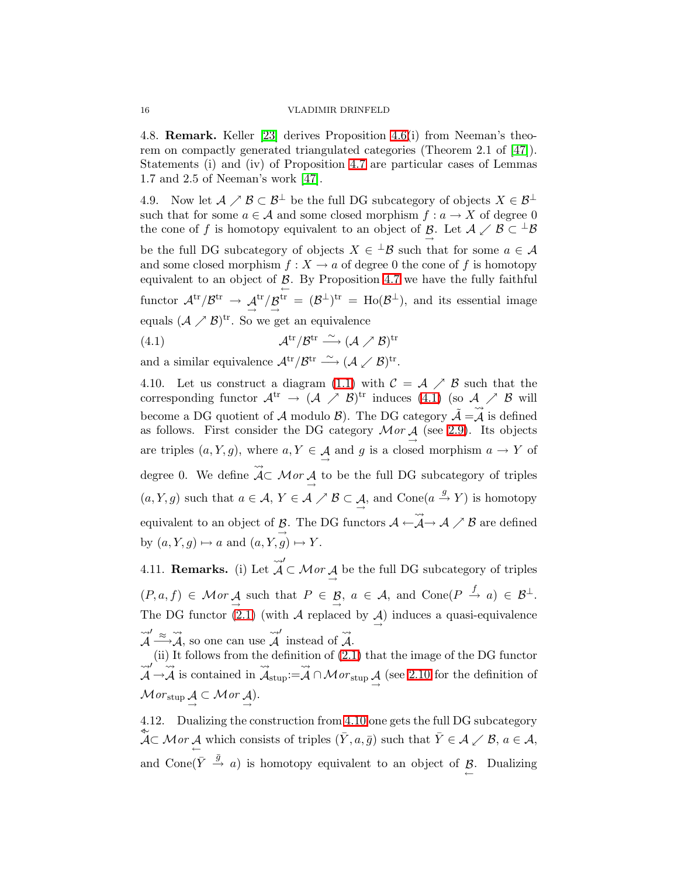4.8. Remark. Keller [\[23\]](#page-47-6) derives Proposition [4.6\(](#page-14-0)i) from Neeman's theorem on compactly generated triangulated categories (Theorem 2.1 of [\[47\]](#page-48-12)). Statements (i) and (iv) of Proposition [4.7](#page-14-1) are particular cases of Lemmas 1.7 and 2.5 of Neeman's work [\[47\]](#page-48-12).

<span id="page-15-4"></span>4.9. Now let  $A \nearrow B \subset B^{\perp}$  be the full DG subcategory of objects  $X \in B^{\perp}$ such that for some  $a \in \mathcal{A}$  and some closed morphism  $f : a \to X$  of degree 0 the cone of f is homotopy equivalent to an object of  $\mathcal{B}$ . Let  $\mathcal{A} \times \mathcal{B} \subset {}^{\perp} \mathcal{B}$ be the full DG subcategory of objects  $X \in {}^{\perp} \mathcal{B}$  such that for some  $a \in \mathcal{A}$ and some closed morphism  $f: X \to a$  of degree 0 the cone of f is homotopy equivalent to an object of  $\beta$ . By Proposition [4.7](#page-14-1) we have the fully faithful ← functor  $\mathcal{A}^{tr}/\mathcal{B}^{tr} \rightarrow \mathcal{A}^{tr}/\mathcal{B}^{tr} = (\mathcal{B}^{\perp})^{tr} = Ho(\mathcal{B}^{\perp}),$  and its essential image equals  $(\mathcal{A} \nearrow \mathcal{B})^{tr}$ . So we get an equivalence

<span id="page-15-0"></span> $(4.1)$  $\text{tr}/\mathcal{B}^{\text{tr}} \stackrel{\sim}{\longrightarrow} (\mathcal{A} \nearrow \mathcal{B})^{\text{tr}}$ 

and a similar equivalence  $\mathcal{A}^{\text{tr}}/\mathcal{B}^{\text{tr}} \stackrel{\sim}{\longrightarrow} (\mathcal{A} \swarrow \mathcal{B})^{\text{tr}}.$ 

<span id="page-15-1"></span>4.10. Let us construct a diagram [\(1.1\)](#page-1-0) with  $\mathcal{C} = \mathcal{A} \nearrow \mathcal{B}$  such that the corresponding functor  $\mathcal{A}^{tr} \to (\mathcal{A} \nearrow \mathcal{B})^{tr}$  induces [\(4.1\)](#page-15-0) (so  $\mathcal{A} \nearrow \mathcal{B}$  will become a DG quotient of A modulo B). The DG category  $\tilde{A} = \tilde{A}$  is defined as follows. First consider the DG category  $Mor \underset{\rightarrow}{A}$  (see [2.9\)](#page-9-2). Its objects are triples  $(a, Y, g)$ , where  $a, Y \in \mathcal{A}$  and g is a closed morphism  $a \to Y$  of degree 0. We define  $\rightsquigarrow$  $AC$  *Mor*  $\underline{A}$  to be the full DG subcategory of triples  $(a, Y, g)$  such that  $a \in \mathcal{A}, Y \in \mathcal{A} \nearrow \mathcal{B} \subset \mathcal{A}, \text{ and Cone}(a \xrightarrow{g} Y)$  is homotopy equivalent to an object of  $\beta$ . The DG functors  $\mathcal{A} \leftarrow$  $\xrightarrow{\text{--}}$  $\rightsquigarrow$  $\mathcal{A} \rightarrow \mathcal{A} \nearrow \mathcal{B}$  are defined by  $(a, Y, g) \mapsto a$  and  $(a, Y, g) \mapsto Y$ .

<span id="page-15-2"></span>4.11. Remarks. (i) Let  $\rightsquigarrow$  $\mathcal{A}$ ′  $\subset$  *Mor*  $\overrightarrow{A}$  be the full DG subcategory of triples  $(P, a, f) \in Mor \underset{\rightarrow}{\mathcal{A}}$  such that  $P \in \underset{\rightarrow}{\mathcal{B}}$ ,  $a \in \mathcal{A}$ , and  $Cone(P \stackrel{f}{\rightarrow} a) \in \mathcal{B}^{\perp}$ . The DG functor  $(2.1)$  (with A replaced by  $\mathcal{A}$ ) induces a quasi-equivalence  $\begin{array}{ccccccc} & & & & & & \ & & & & & \ & & & & & \ & & & & & \ & \sqrt{2} & & & & \ & \sqrt{4} & & & & \ & \sqrt{4} & & & & \ & \sqrt{4} & & & & \ & \sqrt{4} & & & & \ & \sqrt{4} & & & & \ & \sqrt{4} & & & & \ & \sqrt{4} & & & & \ & \sqrt{4} & & & & \ & \sqrt{4} & & & & \ & \sqrt{4} & & & & \ & \sqrt{4} & & & & \ & \sqrt{4} & & & & \ & \sqrt{4} & & & & \ & \sqrt{4} & & & & \ & \sqrt{4} & & & & \ & \sqrt{4} & & & & \$  $\stackrel{\rightsquigarrow}{A} \stackrel{\approx}{\longrightarrow} \stackrel{\rightsquigarrow}{A}$  $A$ , so one can use  $\rightsquigarrow$  $\mathcal{A}$ ′ instead of  $\rightsquigarrow$ A.

(ii) It follows from the definition of [\(2.1\)](#page-9-4) that the image of the DG functor  $\mathcal{A}$ ′  $\rightarrow$  $\rightsquigarrow$ A is contained in  $\rightsquigarrow$  $\mathcal{A}_{\mathrm{stup}}$ :=  $\rightsquigarrow$  $\mathcal{A} \cap \mathcal{M}or_{\text{stup}} \mathcal{A}$  (see [2.10](#page-9-5) for the definition of  $\mathcal{M}or_{\text{stup}} \mathcal{A} \subset \mathcal{M}or \mathcal{A}.$ 

<span id="page-15-3"></span>4.12. Dualizing the construction from [4.10](#page-15-1) one gets the full DG subcategory  $\overline{\mathcal{A}} \subset \mathcal{M}$  or  $\underline{\mathcal{A}}$  which consists of triples  $(\overline{Y}, a, \overline{g})$  such that  $\overline{Y} \in \mathcal{A} \times \mathcal{B}, a \in \mathcal{A},$ and Cone  $(\bar{Y} \stackrel{\bar{g}}{\rightarrow} a)$  is homotopy equivalent to an object of  $\underline{\beta}$ . Dualizing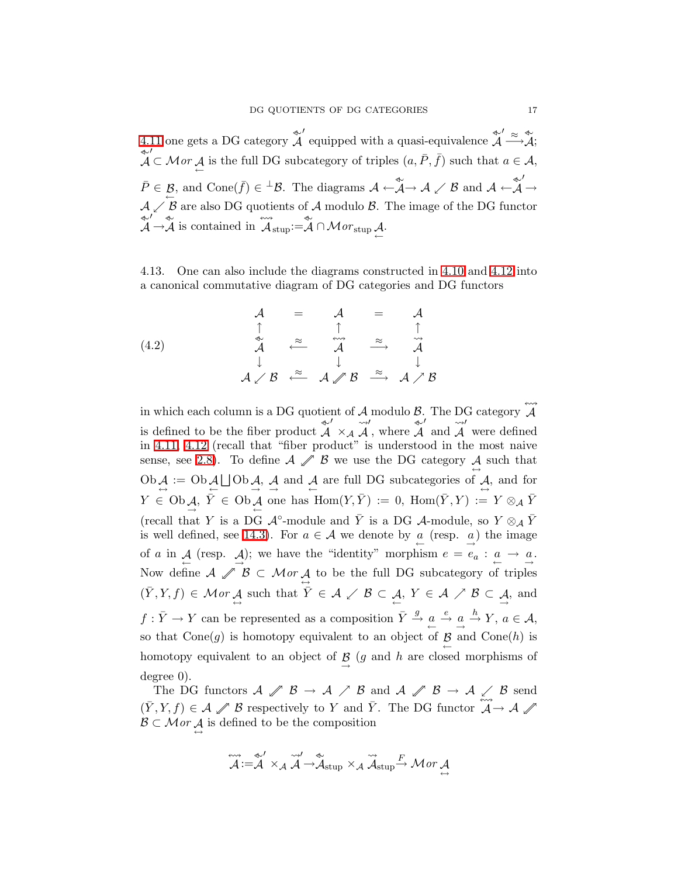[4.11](#page-15-2) one gets a DG category  $\overset{\rightsquigarrow}{\mathcal{A}}$  $\mathcal{A}$ ′ equipped with a quasi-equivalence  $\overset{\ast}{\mathcal{A}}$  $\overset{\text{\tiny{d}}}{\mathcal{A}}' \overset{\approx}{\longrightarrow} \overset{\text{\tiny{d}}}{\mathcal{A}};$ ⊳∼  $\mathcal{A}$ ′  $\subset \mathcal{M}$ or  $\mathcal{A}$  is the full DG subcategory of triples  $(a, \overline{P}, \overline{f})$  such that  $a \in \mathcal{A}$ ,  $\bar{P} \in \mathcal{B}$ , and Cone( $\bar{f}$ ) ∈ <sup>⊥</sup>B. The diagrams  $\mathcal{A} \leftarrow \mathcal{A} \rightarrow \mathcal{A} \swarrow \mathcal{B}$  and  $\mathcal{A} \leftarrow \mathcal{A}$  $\mathcal{A}$ ′  $\rightarrow$  $\mathcal{A} \swarrow \mathcal{B}$  are also DG quotients of A modulo  $\mathcal{B}$ . The image of the DG functor ⊳∼  $\mathcal{A}$ ′ → ⊳∼ A is contained in  $\leftrightarrow$  $\overleftrightarrow{\mathcal{A}}_{\text{stup}}:=\overleftrightarrow{\mathcal{A}}\cap \mathcal{M}$ 0 $r_{\text{stup}}\overset{\bullet}{\leftarrow}$ 

<span id="page-16-0"></span>4.13. One can also include the diagrams constructed in [4.10](#page-15-1) and [4.12](#page-15-3) into a canonical commutative diagram of DG categories and DG functors

$$
\begin{array}{ccccc}\nA & = & A & = & A \\
\uparrow & & \uparrow & & \uparrow \\
\downarrow & & \stackrel{\sim}{\sim} & & \stackrel{\sim}{\sim} \\
\downarrow & & \downarrow & & \downarrow \\
A \times B & \stackrel{\approx}{\leftarrow} & & A \times B & \stackrel{\approx}{\rightarrow} & A \times B\n\end{array}
$$
\n(4.2)

in which each column is a DG quotient of  $A$  modulo  $B$ . The DG category  $\leftrightarrow$  $\mathcal{A}$ is defined to be the fiber product  $\overset{\text{\tiny{(*)}}}{\mathcal{A}}$  $\mathcal{A}$ ′  $\times_{\mathcal{A}}$  $\rightsquigarrow$  $\mathcal{A}$ ′ , where  $\overset{\text{\textcirc}}{\mathcal{A}}$  $\mathcal{A}$ ′ and  $\rightsquigarrow$  $\mathcal{A}$ ′ were defined in [4.11,](#page-15-2) [4.12](#page-15-3) (recall that "fiber product" is understood in the most naive sense, see [2.8\)](#page-8-2). To define  $A \mathcal{J}$   $B$  we use the DG category  $\mathcal{A}$  such that  $\overrightarrow{Ob}$   $\overrightarrow{A} := \overrightarrow{Ob}$   $\overrightarrow{A} \sqcup \overrightarrow{Ob}$   $\overrightarrow{A}$ ,  $\overrightarrow{A}$  and  $\overrightarrow{A}$  are full DG subcategories of  $\overrightarrow{A}$ , and for  $Y \in \text{Ob}_{\mathcal{A}}$ ,  $\overline{Y} \in \text{Ob}_{\mathcal{A}}$  one has  $\text{Hom}(Y, \overline{Y}) := 0$ ,  $\text{Hom}(\overline{Y}, Y) := Y \otimes_{\mathcal{A}} \overline{Y}$ (recall that Y is a DG  $\mathcal{A}^{\circ}$ -module and  $\bar{Y}$  is a DG  $\mathcal{A}$ -module, so  $Y \otimes_{\mathcal{A}} \bar{Y}$ is well defined, see [14.3\)](#page-34-0). For  $a \in \mathcal{A}$  we denote by  $\underline{a}$  (resp.  $\underline{a}$ ) the image of a in  $\mathcal{A}$  (resp.  $\mathcal{A}$ ); we have the "identity" morphism  $e = e_a : a \to a$ . Now define  $A \n\mathscr{J} \mathcal{B} \subset \mathcal{M}or \mathcal{A}$  to be the full DG subcategory of triples  $(\bar{Y}, Y, f) \in \mathcal{M}$  or  $\mathcal{A}$  such that  $\bar{Y} \in \mathcal{A} \times \mathcal{B} \subset \mathcal{A}$ ,  $Y \in \mathcal{A} \times \mathcal{B} \subset \mathcal{A}$ , and  $f: \bar{Y} \to Y$  can be represented as a composition  $\bar{Y} \stackrel{g}{\to} \underline{a} \stackrel{e}{\to} \underline{a} \stackrel{h}{\to} Y$ ,  $a \in \mathcal{A}$ , so that  $Cone(g)$  is homotopy equivalent to an object of  $\mathcal{B}$  and  $Cone(h)$  is homotopy equivalent to an object of  $\beta$  (g and h are closed morphisms of degree 0).

The DG functors  $A \nsubseteq \mathcal{B} \to \mathcal{A} \neq \mathcal{B}$  and  $A \nsubseteq \mathcal{B} \to \mathcal{A} \neq \mathcal{B}$  send  $(\bar{Y}, Y, f) \in \mathcal{A} \mathcal{J}$  B respectively to Y and  $\bar{Y}$ . The DG functor  $\widetilde{\mathcal{A}} \to \mathcal{A} \mathcal{J}$  $\mathcal{B} \subset \mathcal{M}$  or  $\mathcal{A}$  is defined to be the composition

$$
\overleftrightarrow{\mathcal{A}}:=\overleftrightarrow{\mathcal{A}}'\times_{\mathcal{A}}\overleftrightarrow{\mathcal{A}}\rightarrow\overleftrightarrow{\mathcal{A}}_{\text{stup}}\times_{\mathcal{A}}\overleftrightarrow{\mathcal{A}}_{\text{stup}}\rightarrow Mor\mathcal{A}
$$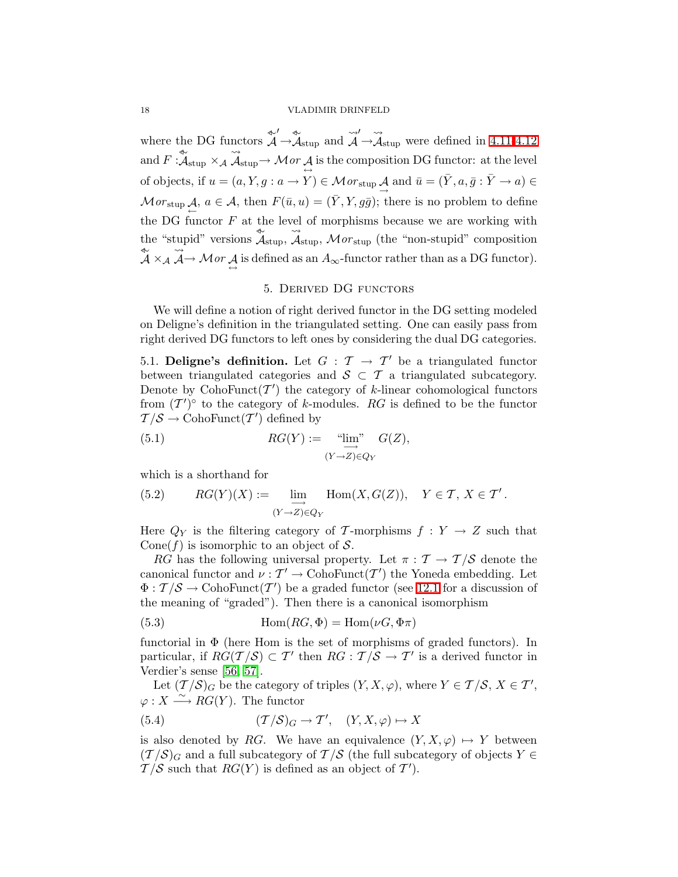where the DG functors  $\overset{\rightsquigarrow}{\mathcal{A}}$  $\mathcal{A}$ ′  $\rightarrow$   $\mathcal{A}_{\text{stup}}$  and  $\rightsquigarrow$  $\mathcal{A}$ ′  $\rightarrow$  $\rightsquigarrow$  $\mathcal{A}_{\text{stup}}$  were defined in [4.11](#page-15-2)[-4.12](#page-15-3) and  $F: \mathcal{A}_{\text{stup}} \times \mathcal{A}$  $\rightsquigarrow$  $\mathcal{A}_{\mathrm{stup}}{\,\rightarrow\,}\mathcal{M}or \mathcal{A} \text{ is the composition DG functor: at the level }$ of objects, if  $u = (a, Y, g : a \to Y) \in \mathcal{M}or_{\text{stup}}\mathcal{A}$  and  $\bar{u} = (\bar{Y}, a, \bar{g} : \bar{Y} \to a) \in \mathcal{M}or_{\text{stup}}$  $\mathcal{M}or_{\text{stup}}\mathcal{A}, a \in \mathcal{A}, \text{ then } F(\bar{u}, u) = (\bar{Y}, Y, g\bar{g}); \text{ there is no problem to define }$ ← the DG functor  $F$  at the level of morphisms because we are working with the "stupid" versions  $\mathcal{A}_{\text{stup}}$ ,  $\rightsquigarrow$  $\mathcal{A}_{\text{stup}}$ ,  $\mathcal{M}or_{\text{stup}}$  (the "non-stupid" composition ⊳∼ A ×<sup>A</sup>  $\rightsquigarrow$  $\mathcal{A} \rightarrow \mathcal{M}$  or  $\mathcal{A}$  is defined as an  $A_{\infty}$ -functor rather than as a DG functor).

## 5. Derived DG functors

<span id="page-17-0"></span>We will define a notion of right derived functor in the DG setting modeled on Deligne's definition in the triangulated setting. One can easily pass from right derived DG functors to left ones by considering the dual DG categories.

<span id="page-17-2"></span>5.1. Deligne's definition. Let  $G : \mathcal{T} \to \mathcal{T}'$  be a triangulated functor between triangulated categories and  $S \subset T$  a triangulated subcategory. Denote by  $\text{CohoFunct}(\mathcal{T}')$  the category of k-linear cohomological functors from  $(T')^{\circ}$  to the category of k-modules. RG is defined to be the functor  $\mathcal{T}/\mathcal{S} \to \text{CohoFunct}(\mathcal{T}')$  defined by

(5.1) 
$$
RG(Y) := \lim_{\substack{Y \to Z \ Y \in Q_Y}} G(Z),
$$

<span id="page-17-1"></span>which is a shorthand for

(5.2) 
$$
RG(Y)(X) := \lim_{\substack{\longrightarrow \\ (Y \to Z) \in Q_Y}} \text{Hom}(X, G(Z)), \quad Y \in \mathcal{T}, X \in \mathcal{T}'.
$$

Here  $Q_Y$  is the filtering category of T-morphisms  $f: Y \to Z$  such that Cone(f) is isomorphic to an object of  $S$ .

<span id="page-17-3"></span>RG has the following universal property. Let  $\pi : \mathcal{T} \to \mathcal{T}/\mathcal{S}$  denote the canonical functor and  $\nu: T' \to \text{CohoFunct}(T')$  the Yoneda embedding. Let  $\Phi: \mathcal{T}/\mathcal{S} \to \mathrm{CohoFunct}(\mathcal{T}')$  be a graded functor (see [12.1](#page-29-0) for a discussion of the meaning of "graded"). Then there is a canonical isomorphism

(5.3) 
$$
\text{Hom}(RG, \Phi) = \text{Hom}(\nu G, \Phi \pi)
$$

functorial in  $\Phi$  (here Hom is the set of morphisms of graded functors). In particular, if  $RG(\mathcal{T}/\mathcal{S}) \subset \mathcal{T}'$  then  $RG: \mathcal{T}/\mathcal{S} \to \mathcal{T}'$  is a derived functor in Verdier's sense [\[56,](#page-48-0) [57\]](#page-49-0).

<span id="page-17-4"></span>Let  $(\mathcal{T}/\mathcal{S})_G$  be the category of triples  $(Y, X, \varphi)$ , where  $Y \in \mathcal{T}/\mathcal{S}, X \in \mathcal{T}'$ ,  $\varphi: X \stackrel{\sim}{\longrightarrow} \widetilde{RG}(Y)$ . The functor

(5.4) 
$$
(\mathcal{T}/\mathcal{S})_G \to \mathcal{T}', \quad (Y, X, \varphi) \mapsto X
$$

is also denoted by RG. We have an equivalence  $(Y, X, \varphi) \mapsto Y$  between  $(T/S)_G$  and a full subcategory of  $T/S$  (the full subcategory of objects  $Y \in$  $\mathcal{T}/\mathcal{S}$  such that  $RG(Y)$  is defined as an object of  $\mathcal{T}'$ .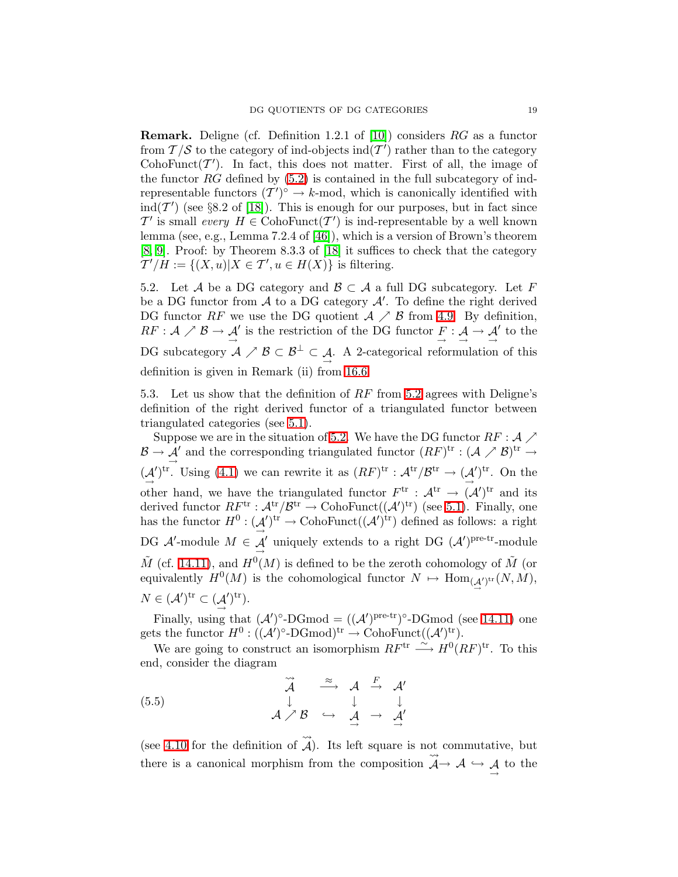**Remark.** Deligne (cf. Definition 1.2.1 of [\[10\]](#page-47-15)) considers  $RG$  as a functor from  $\mathcal{T}/\mathcal{S}$  to the category of ind-objects  $\text{ind}(\mathcal{T}')$  rather than to the category CohoFunct( $\mathcal{T}'$ ). In fact, this does not matter. First of all, the image of the functor  $RG$  defined by  $(5.2)$  is contained in the full subcategory of indrepresentable functors  $(T')^{\circ} \to k$ -mod, which is canonically identified with ind( $\mathcal{T}'$ ) (see §8.2 of [\[18\]](#page-47-14)). This is enough for our purposes, but in fact since  $\mathcal{T}'$  is small every  $H \in \mathrm{CohoFunct}(\mathcal{T}')$  is ind-representable by a well known lemma (see, e.g., Lemma 7.2.4 of [\[46\]](#page-48-13)), which is a version of Brown's theorem [\[8,](#page-47-16) [9\]](#page-47-17). Proof: by Theorem 8.3.3 of [\[18\]](#page-47-14) it suffices to check that the category  $T'/H := \{(X, u) | X \in T', u \in H(X)\}\$ is filtering.

<span id="page-18-0"></span>5.2. Let A be a DG category and  $\mathcal{B} \subset \mathcal{A}$  a full DG subcategory. Let F be a DG functor from  $A$  to a DG category  $A'$ . To define the right derived DG functor RF we use the DG quotient  $A \nearrow B$  from [4.9.](#page-15-4) By definition,  $RF:\mathcal{A}\nearrow\mathcal{B}\rightarrow\mathcal{A}\xrightarrow{\rightarrow}$ ' is the restriction of the DG functor  $\begin{array}{c} F : A \to A \\ \to \end{array}$ ′ to the DG subcategory  $A \nearrow B \subset B^{\perp} \subset A$ . A 2-categorical reformulation of this definition is given in Remark (ii) from [16.6.](#page-42-1)

5.3. Let us show that the definition of RF from [5.2](#page-18-0) agrees with Deligne's definition of the right derived functor of a triangulated functor between triangulated categories (see [5.1\)](#page-17-2).

Suppose we are in the situation of [5.2.](#page-18-0) We have the DG functor  $RF: \mathcal{A} \nearrow$  $\mathcal{B} \to \mathcal{A}'$  and the corresponding triangulated functor  $(RF)^{\text{tr}} : (\mathcal{A} \nearrow \mathcal{B})^{\text{tr}} \to$  $\rightarrow$  $\stackrel{(A)}{\rightarrow}$ ')<sup>tr</sup>. Using [\(4.1\)](#page-15-0) we can rewrite it as  $(RF)^{tr} : \mathcal{A}^{tr}/\mathcal{B}^{tr} \to (\mathcal{A}$  $\mathcal{O}^{\text{tr}}$ . On the other hand, we have the triangulated functor  $F^{\text{tr}}$  :  $\mathcal{A}^{\text{tr}} \to (\mathcal{A}')^{\text{tr}}$  and its derived functor  $RF^{\text{tr}}: {\mathcal A}^{\text{tr}}/{\mathcal B}^{\text{tr}} \to \text{CohoFunct}(({\mathcal A}')^{\text{tr}})$  (see [5.1\)](#page-17-2). Finally, one has the functor  $H^0: (\mathcal{A}$  $\mathcal{U}^{\text{tr}} \to \text{CohoFunct}((\mathcal{A}')^{\text{tr}})$  defined as follows: a right DG  $\mathcal{A}'$ -module  $M \in \mathcal{A}'$  uniquely extends to a right DG  $(\mathcal{A}')^{\text{pre-tr}}$ -module  $\tilde{M}$  (cf. [14.11\)](#page-36-0), and  $H^0(M)$  is defined to be the zeroth cohomology of  $\tilde{M}$  (or equivalently  $H^0(M)$  is the cohomological functor  $N \mapsto \text{Hom}_{(A')^{\text{tr}}}(N, M)$ ,  $N \in (\mathcal{A}')^{\mathrm{tr}} \subset (\mathcal{A}')^{\mathrm{tr}}.$ 

Finally, using that  $(A')^{\circ}\text{-}\mathrm{DGmod} = ((A')^{\mathrm{pre-tr}})^{\circ}\text{-}\mathrm{DGmod}$  (see [14.11\)](#page-36-0) one gets the functor  $H^0: (({\mathcal A}')^\circ\text{-}\mathrm{DGmod})^{\mathrm{tr}} \to \mathrm{CohoFunct}(({\mathcal A}')^{\mathrm{tr}}).$ 

We are going to construct an isomorphism  $RF^{\text{tr}} \stackrel{\sim}{\longrightarrow} H^0(RF)^{\text{tr}}$ . To this end, consider the diagram

(5.5) 
$$
\begin{array}{ccccc}\n\widetilde{\mathcal{A}} & \stackrel{\approx}{\longrightarrow} & \mathcal{A} & \stackrel{F}{\longrightarrow} & \mathcal{A}'\\
\downarrow & & \downarrow & & \downarrow\\
\mathcal{A} & \nearrow \mathcal{B} & \hookrightarrow & \mathcal{A} & \rightarrow & \mathcal{A}'\n\end{array}
$$

(see [4.10](#page-15-1) for the definition of  $\rightsquigarrow$ A). Its left square is not commutative, but there is a canonical morphism from the composition  $\stackrel{\sim}{\leadsto}$  $\mathcal{A} \rightarrow \mathcal{A} \hookrightarrow \mathcal{A}$  to the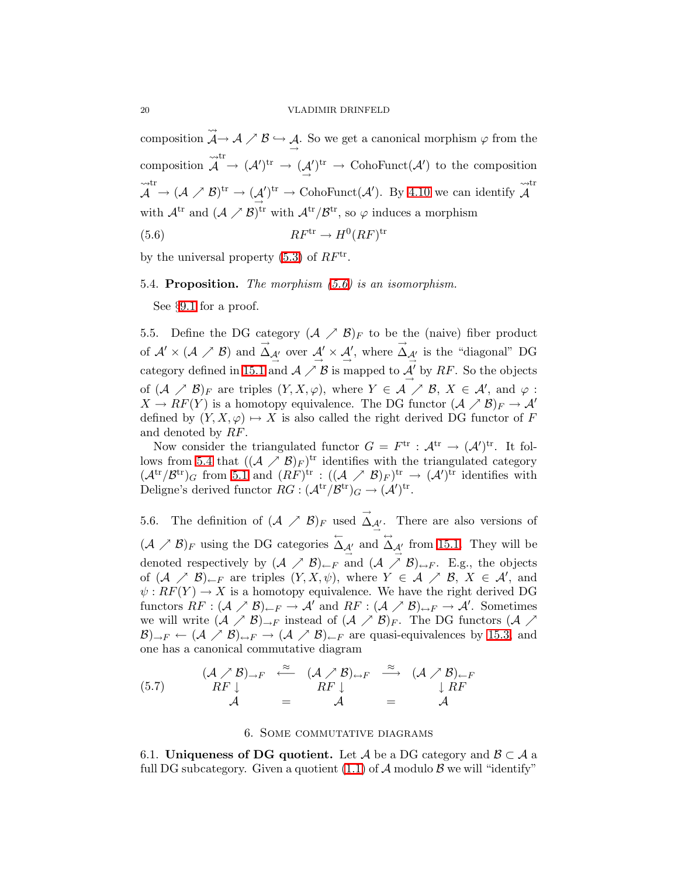composition  $\rightsquigarrow$  $\mathcal{A} \rightarrow \mathcal{A} \nearrow \mathcal{B} \hookrightarrow \mathcal{A}$ . So we get a canonical morphism  $\varphi$  from the composition  $\rightsquigarrow$  $\mathcal{A}$  $\stackrel{\rm tr}{\cdot} \rightarrow \ (\mathcal{A}')^{\rm tr} \rightarrow \ (\mathcal{A}$  $\mathcal{O}^{\text{tr}} \to \text{CohoFunct}(\mathcal{A}')$  to the composition  $\rightsquigarrow$  $\mathcal{A}$  $\stackrel{\rm tr}{\cdot} \to (\mathcal{A} \nearrow \mathcal{B})^{\rm tr} \to (\mathcal{A} \nearrow$  $\mathcal{O}^{\text{tr}} \to \text{CohoFunct}(\mathcal{A}').$  By [4.10](#page-15-1) we can identify  $\rightsquigarrow$  $\mathcal{A}$ tr with  $\mathcal{A}^{tr}$  and  $(\mathcal{A} \nearrow \mathcal{B})^{tr}$  with  $\mathcal{A}^{tr}/\mathcal{B}^{tr}$ , so  $\varphi$  induces a morphism

<span id="page-19-2"></span>
$$
(5.6) \t R F^{\text{tr}} \to H^0 (R F)^{\text{tr}}
$$

by the universal property  $(5.3)$  of  $RF<sup>tr</sup>$ .

<span id="page-19-3"></span>5.4. Proposition. The morphism  $(5.6)$  is an isomorphism.

See §[9.1](#page-26-0) for a proof.

<span id="page-19-4"></span>5.5. Define the DG category  $(\mathcal{A} \nearrow \mathcal{B})_F$  to be the (naive) fiber product of  $\mathcal{A}' \times (\mathcal{A} \nearrow \mathcal{B})$  and  $\overrightarrow{\Delta}$  $\overrightarrow{\Delta}_{\mathcal{A}'}^{\mathcal{A}}$  over  $\overrightarrow{\mathcal{A}}' \times \overrightarrow{\mathcal{A}'},$  where  $\overrightarrow{\Delta}$  $\Delta_{\mathcal{A}'}$  is the "diagonal" DG category defined in [15.1](#page-38-3) and  $\mathcal{A} \nearrow \mathcal{B}$  is mapped to  $\mathcal{A}'$  by RF. So the objects of  $(\mathcal{A} \nearrow \mathcal{B})_F$  are triples  $(Y, X, \varphi)$ , where  $Y \in \mathcal{A} \nearrow \mathcal{B}, X \in \mathcal{A}'$ , and  $\varphi$ :  $X \to RF(Y)$  is a homotopy equivalence. The DG functor  $({\cal A} \nearrow {\cal B})_F \to {\cal A}'$ defined by  $(Y, X, \varphi) \mapsto X$  is also called the right derived DG functor of F and denoted by RF.

Now consider the triangulated functor  $G = F^{\text{tr}} : \mathcal{A}^{\text{tr}} \to (\mathcal{A}')^{\text{tr}}$ . It fol-lows from [5.4](#page-19-3) that  $((A \nearrow B)_F)^{\text{tr}}$  identifies with the triangulated category  $({\cal A}^{\rm tr}/B^{\rm tr})_G$  from [5.1](#page-17-2) and  $(RF)^{\rm tr} : (({\cal A} \nearrow B)_F)^{\rm tr} \rightarrow ({\cal A}')^{\rm tr}$  identifies with Deligne's derived functor  $RG : (\mathcal{A}^{\text{tr}}/\mathcal{B}^{\text{tr}})_G \to (\mathcal{A}')^{\text{tr}}$ .

<span id="page-19-5"></span>5.6. The definition of  $(\mathcal{A} \nearrow \mathcal{B})_F$  used  $\overrightarrow{\Delta}$  $\Delta_{\mathcal{A}'}$ . There are also versions of  $(\mathcal{A} \nearrow \mathcal{B})_F$  using the DG categories  $\overleftarrow{\Delta}$  $\overleftrightarrow{\Delta}_{\mathcal{A}'}$  and  $\overleftrightarrow{\Delta}$  $\Delta_{\mathcal{A}'}$  from [15.1.](#page-38-3) They will be denoted respectively by  $(A \nearrow B)_{\leftarrow F}$  and  $(A \nearrow B)_{\leftrightarrow F}$ . E.g., the objects of  $(A \nearrow B)_{\leftarrow F}$  are triples  $(Y, X, \psi)$ , where  $Y \in \mathcal{A} \nearrow \mathcal{B}$ ,  $X \in \mathcal{A}'$ , and  $\psi: RF(Y) \to X$  is a homotopy equivalence. We have the right derived DG functors  $RF: (\mathcal{A} \nearrow \mathcal{B})_{\leftarrow F} \rightarrow \mathcal{A}'$  and  $RF: (\mathcal{A} \nearrow \mathcal{B})_{\rightarrow F} \rightarrow \mathcal{A}'$ . Sometimes we will write  $(A \nearrow B)_{\rightarrow F}$  instead of  $(A \nearrow B)_F$ . The DG functors  $(A \nearrow B)$  $(\mathcal{B})_{\to F} \leftarrow (\mathcal{A} \nearrow \mathcal{B})_{\to F} \rightarrow (\mathcal{A} \nearrow \mathcal{B})_{\leftarrow F}$  are quasi-equivalences by [15.3,](#page-39-0) and one has a canonical commutative diagram

(5.7) 
$$
\begin{array}{rcl}\n(A \nearrow \mathcal{B})_{\rightarrow F} & \stackrel{\approx}{\longleftarrow} & (A \nearrow \mathcal{B})_{\leftrightarrow F} & \stackrel{\approx}{\longrightarrow} & (\mathcal{A} \nearrow \mathcal{B})_{\leftarrow F} \\
RF \downarrow & RF \downarrow RF \\
\mathcal{A} & = & \mathcal{A} & = & \mathcal{A}\n\end{array}
$$

#### 6. Some commutative diagrams

<span id="page-19-1"></span><span id="page-19-0"></span>6.1. Uniqueness of DG quotient. Let A be a DG category and  $\mathcal{B} \subset \mathcal{A}$  a full DG subcategory. Given a quotient  $(1.1)$  of A modulo B we will "identify"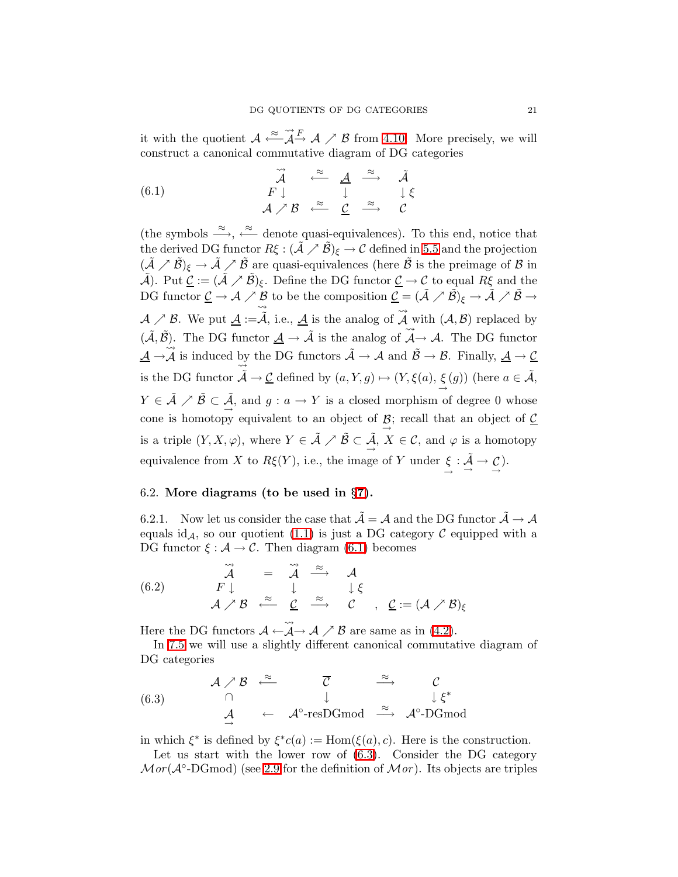<span id="page-20-0"></span>it with the quotient  $\mathcal{A} \stackrel{\approx}{\longleftarrow} \widetilde{\mathcal{A}}$  $\widetilde{\mathcal{A}} \stackrel{F}{\rightarrow} \mathcal{A} \nearrow \mathcal{B}$  from [4.10.](#page-15-1) More precisely, we will construct a canonical commutative diagram of DG categories

(6.1) 
$$
\begin{array}{ccccc}\n\widetilde{\mathcal{A}} & \stackrel{\approx}{\leftarrow} & \underline{\mathcal{A}} & \stackrel{\approx}{\rightarrow} & \tilde{\mathcal{A}} \\
F \downarrow & & \downarrow & & \downarrow \xi \\
\mathcal{A} \nearrow \mathcal{B} & \stackrel{\approx}{\leftarrow} & \underline{\mathcal{C}} & \stackrel{\approx}{\rightarrow} & \mathcal{C}\n\end{array}
$$

(the symbols  $\stackrel{\approx}{\longrightarrow}$ ,  $\stackrel{\approx}{\longleftarrow}$  denote quasi-equivalences). To this end, notice that the derived DG functor  $R\xi : (\tilde{\mathcal{A}} \nearrow \tilde{\mathcal{B}})_{\xi} \to \mathcal{C}$  defined in [5.5](#page-19-4) and the projection  $(\tilde{\mathcal{A}}\nearrow \tilde{\mathcal{B}})_\xi \to \tilde{\mathcal{A}}\nearrow \tilde{\mathcal{B}}$  are quasi-equivalences (here  $\tilde{\mathcal{B}}$  is the preimage of  $\mathcal{B}$  in  $\tilde{A}$ ). Put  $\underline{\mathcal{C}} := (\tilde{A} \nearrow \tilde{\mathcal{B}})_{\xi}$ . Define the DG functor  $\underline{\mathcal{C}} \to \mathcal{C}$  to equal  $R\xi$  and the DG functor  $\underline{\mathcal{C}} \to \mathcal{A} \nearrow \underline{\mathcal{B}}$  to be the composition  $\underline{\mathcal{C}} = (\tilde{\mathcal{A}} \nearrow \tilde{\mathcal{B}})_{\xi} \to \tilde{\mathcal{A}} \nearrow \tilde{\mathcal{B}} \to \xi$  $\mathcal{A} \nearrow \mathcal{B}$ . We put  $\underline{\mathcal{A}} := \widetilde{\vec{\mathcal{A}}}$ , i.e.,  $\underline{\mathcal{A}}$  is the analog of  $\widetilde{\vec{\mathcal{A}}}$ A with  $(A, \mathcal{B})$  replaced by  $(\tilde{\mathcal{A}}, \tilde{\mathcal{B}})$ . The DG functor  $\underline{\mathcal{A}} \to \tilde{\mathcal{A}}$  is the analog of  $\tilde{\mathcal{A}}$ B). The DG functor  $\underline{A} \to \overline{A}$  is the analog of  $\underline{A} \to \overline{A}$ . The DG functor  $\underline{\mathcal{A}} \to \widetilde{\mathcal{A}}$  is induced by the DG functors  $\widetilde{\mathcal{A}} \to \mathcal{A}$  and  $\widetilde{\mathcal{B}} \to \mathcal{B}$ . Finally,  $\underline{\mathcal{A}} \to \underline{\mathcal{C}}$ is the DG functor  $\tilde{\mathcal{A}} \to \underline{\mathcal{C}}$  defined by  $(a, Y, g) \mapsto (Y, \xi(a), \xi(g))$  (here  $a \in \tilde{\mathcal{A}}$ ,  $Y \in \tilde{\mathcal{A}} \nearrow \tilde{\mathcal{B}} \subset \tilde{\mathcal{A}}$ , and  $g: a \to Y$  is a closed morphism of degree 0 whose cone is homotopy equivalent to an object of  $\mathcal{B}$ ; recall that an object of  $\mathcal{C}$ is a triple  $(Y, X, \varphi)$ , where  $Y \in \tilde{\mathcal{A}} \nearrow \tilde{\mathcal{B}} \subset \tilde{\mathcal{A}}$ ,  $X \in \mathcal{C}$ , and  $\varphi$  is a homotopy equivalence from X to  $R\xi(Y)$ , i.e., the image of Y under  $\xi : \tilde{A} \to \mathcal{L}$ .

## <span id="page-20-3"></span>6.2. More diagrams (to be used in §[7\)](#page-22-0).

<span id="page-20-2"></span>6.2.1. Now let us consider the case that  $\tilde{\mathcal{A}} = \mathcal{A}$  and the DG functor  $\tilde{\mathcal{A}} \to \mathcal{A}$ equals id<sub>A</sub>, so our quotient [\(1.1\)](#page-1-0) is just a DG category  $\mathcal C$  equipped with a DG functor  $\xi : \mathcal{A} \to \mathcal{C}$ . Then diagram [\(6.1\)](#page-20-0) becomes

(6.2) 
$$
\overrightarrow{A} = \overrightarrow{A} \xrightarrow{\approx} A
$$
  
\n $F \downarrow \qquad \qquad \downarrow \qquad \downarrow \xi$   
\n $A \nearrow B \xleftarrow{\approx} \underline{C} \xrightarrow{\approx} C \qquad \qquad \underline{C} := (A \nearrow B)_{\xi}$ 

Here the DG functors  $A \leftarrow$  $\rightsquigarrow$  $\mathcal{A} \rightarrow \mathcal{A} \nearrow \mathcal{B}$  are same as in [\(4.2\)](#page-16-0).

<span id="page-20-1"></span>In [7.5](#page-24-1) we will use a slightly different canonical commutative diagram of DG categories

(6.3) 
$$
A \nearrow B \xleftarrow{\approx} \overline{C} \xrightarrow{\approx} C
$$
  
\n $\downarrow \xi^*$   
\n $\overline{A} \leftarrow A^{\circ}\text{-resDGmod} \xrightarrow{\approx} A^{\circ}\text{-DGmod}$ 

in which  $\xi^*$  is defined by  $\xi^*c(a) := \text{Hom}(\xi(a), c)$ . Here is the construction.

Let us start with the lower row of [\(6.3\)](#page-20-1). Consider the DG category  $Mor(A^{\circ}\text{-}\mathrm{DGmod})$  (see [2.9](#page-9-2) for the definition of  $Mor)$ . Its objects are triples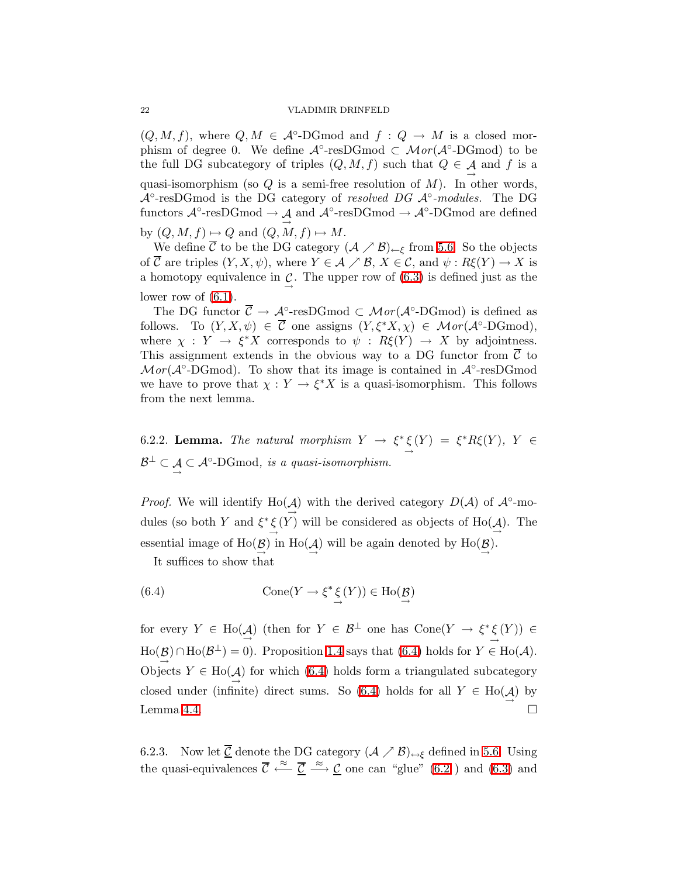$(Q, M, f)$ , where  $Q, M \in \mathcal{A}^{\circ}\text{-}\mathrm{DGmod}$  and  $f : Q \to M$  is a closed morphism of degree 0. We define  $\mathcal{A}^{\circ}$ -resDGmod  $\subset \mathcal{M}or(\mathcal{A}^{\circ}$ -DGmod) to be the full DG subcategory of triples  $(Q, M, f)$  such that  $Q \in \mathcal{A}$  and f is a quasi-isomorphism (so  $Q$  is a semi-free resolution of  $M$ ). In other words,  $\mathcal{A}^{\circ}$ -resDGmod is the DG category of resolved DG  $\mathcal{A}^{\circ}$ -modules. The DG functors  $\mathcal{A}^{\circ}\text{-resDGmod} \to \mathcal{A}$  and  $\mathcal{A}^{\circ}\text{-resDGmod} \to \mathcal{A}^{\circ}\text{-DGmod}$  are defined by  $(Q, M, f) \mapsto Q$  and  $(Q, M, f) \mapsto M$ .

We define  $\overline{\mathcal{C}}$  to be the DG category  $(\mathcal{A} \nearrow \mathcal{B})_{\leftarrow \xi}$  from [5.6.](#page-19-5) So the objects of  $\overline{\mathcal{C}}$  are triples  $(Y, X, \psi)$ , where  $Y \in \mathcal{A} \nearrow \mathcal{B}, X \in \mathcal{C}$ , and  $\psi : R\xi(Y) \to X$  is a homotopy equivalence in  $\mathcal{C}$ . The upper row of [\(6.3\)](#page-20-1) is defined just as the lower row of  $(6.1)$ .

The DG functor  $\overline{\mathcal{C}} \to \mathcal{A}^{\circ}\text{-resDGmod} \subset \mathcal{M}or(\mathcal{A}^{\circ}\text{-DGmod})$  is defined as follows. To  $(Y, X, \psi) \in \overline{\mathcal{C}}$  one assigns  $(Y, \xi^* X, \chi) \in \mathcal{M}or(\mathcal{A}^{\circ}\text{-}\mathrm{DGmod}),$ where  $\chi : Y \to \xi^* X$  corresponds to  $\psi : R\xi(Y) \to X$  by adjointness. This assignment extends in the obvious way to a DG functor from  $\overline{C}$  to  $Mor(\mathcal{A}^{\circ}\text{-DGmod})$ . To show that its image is contained in  $\mathcal{A}^{\circ}\text{-resDGmod}$ we have to prove that  $\chi: Y \to \xi^* X$  is a quasi-isomorphism. This follows from the next lemma.

<span id="page-21-2"></span>6.2.2. **Lemma.** The natural morphism  $Y \to \xi^* \xi(Y) = \xi^* R \xi(Y)$ ,  $Y \in$  $\mathcal{B}^{\perp} \subset \mathcal{A} \subset \mathcal{A}^{\circ}\text{-}\mathrm{DGmod}, \text{ is a quasi-isomorphism.}$ 

*Proof.* We will identify Ho( $\mathcal{A}$ ) with the derived category  $D(\mathcal{A})$  of  $\mathcal{A}^{\circ}$ -modules (so both Y and  $\xi^* \xi(Y)$  will be considered as objects of Ho( $\underline{\mathcal{A}}$ ). The essential image of  $\text{Ho}(\mathcal{B})$  in  $\text{Ho}(\mathcal{A})$  will be again denoted by  $\text{Ho}(\mathcal{B})$ .

<span id="page-21-0"></span>It suffices to show that

(6.4) 
$$
\text{Cone}(Y \to \xi^* \xi(Y)) \in \text{Ho}(\mathcal{B})
$$

for every  $Y \in Ho(\mathcal{A})$  (then for  $Y \in \mathcal{B}^{\perp}$  one has  $Cone(Y \to \xi^* \xi(Y)) \in$  $\text{Ho}(\mathcal{B}) \cap \text{Ho}(\mathcal{B}^{\perp}) = 0$ . Proposition [1.4](#page-2-4) says that [\(6.4\)](#page-21-0) holds for  $Y \in \text{Ho}(\mathcal{A})$ . Objects  $Y \in Ho(\mathcal{A})$  for which [\(6.4\)](#page-21-0) holds form a triangulated subcategory closed under (infinite) direct sums. So [\(6.4\)](#page-21-0) holds for all  $Y \in Ho(\mathcal{A})$  by Lemma [4.4.](#page-14-2)

<span id="page-21-1"></span>6.2.3. Now let <u>C</u> denote the DG category  $(A \nearrow B)_{\leftrightarrow \xi}$  defined in [5.6.](#page-19-5) Using the quasi-equivalences  $\overline{C} \stackrel{\approx}{\longleftarrow} \overline{\underline{C}} \stackrel{\approx}{\longrightarrow} \underline{C}$  one can "glue" [\(6.2](#page-20-2)) and [\(6.3\)](#page-20-1) and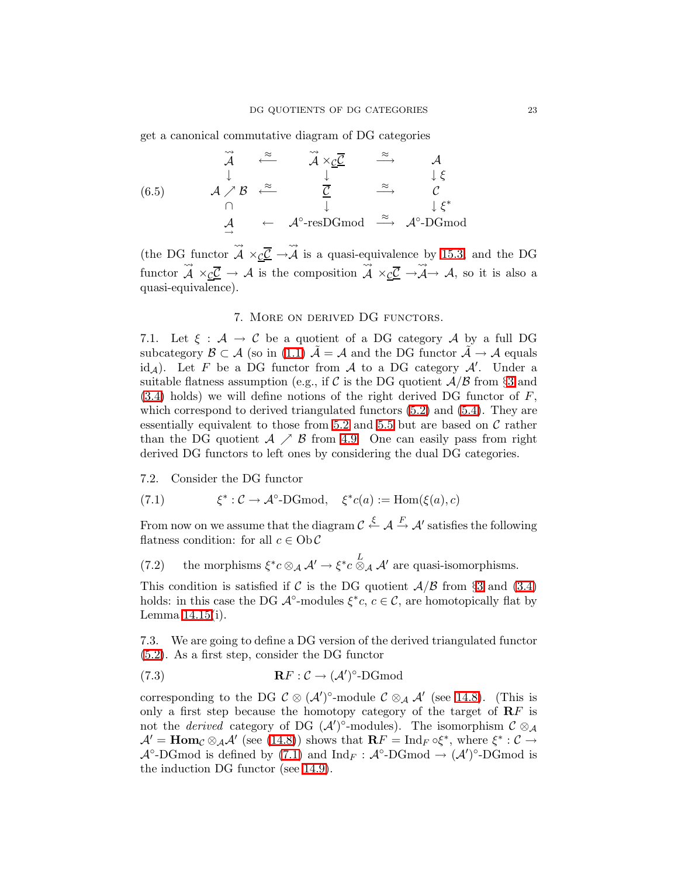<span id="page-22-4"></span>get a canonical commutative diagram of DG categories

(6.5)  
\n
$$
\begin{array}{ccccccc}\n\widetilde{A} & \widetilde{\leftarrow} & \widetilde{A} \times_{\underline{c}} \underline{\overline{c}} & \widetilde{\rightarrow} & A \\
\downarrow & & & \downarrow & & \downarrow \xi \\
\wedge & & & \frac{\overline{c}}{\downarrow} & \widetilde{\rightarrow} & \mathcal{C} \\
\wedge & & & \downarrow & & \downarrow \xi^* \\
\mathcal{A} & \leftarrow & \mathcal{A}^{\circ}\text{-resDGmod} & \widetilde{\rightarrow} & \mathcal{A}^{\circ}\text{-DGmod}\n\end{array}
$$

(the DG functor  $\rightsquigarrow$  $\mathcal{A}\ \times_{\mathcal{C}}\mathcal{\underline{C}}\ \rightarrow$  $\rightsquigarrow$  $A$  is a quasi-equivalence by [15.3,](#page-39-0) and the DG functor  $\rightsquigarrow$  $A \times_{\mathcal{C}} \mathcal{C} \to A$  is the composition  $\stackrel{\text{L}}{\rightsquigarrow}$  $\mathcal{A} \times_{\mathcal{C}} \mathcal{C} \rightarrow$  $\rightsquigarrow$  $\mathcal{A}\rightarrow\mathcal{A},$  so it is also a quasi-equivalence).

### 7. More on derived DG functors.

<span id="page-22-0"></span>7.1. Let  $\xi : \mathcal{A} \to \mathcal{C}$  be a quotient of a DG category  $\mathcal{A}$  by a full DG subcategory  $\mathcal{B} \subset \mathcal{A}$  (so in [\(1.1\)](#page-1-0)  $\mathcal{A} = \mathcal{A}$  and the DG functor  $\mathcal{A} \to \mathcal{A}$  equals id<sub>A</sub>). Let F be a DG functor from A to a DG category A'. Under a suitable flatness assumption (e.g., if C is the DG quotient  $\mathcal{A}/\mathcal{B}$  from §[3](#page-9-0) and  $(3.4)$  holds) we will define notions of the right derived DG functor of F, which correspond to derived triangulated functors  $(5.2)$  and  $(5.4)$ . They are essentially equivalent to those from [5.2](#page-18-0) and [5.5](#page-19-4) but are based on  $\mathcal C$  rather than the DG quotient  $A \nearrow B$  from [4.9.](#page-15-4) One can easily pass from right derived DG functors to left ones by considering the dual DG categories.

<span id="page-22-1"></span>7.2. Consider the DG functor

(7.1) 
$$
\xi^* : C \to \mathcal{A}^\circ\text{-DGmod}, \quad \xi^*c(a) := \text{Hom}(\xi(a), c)
$$

<span id="page-22-2"></span>From now on we assume that the diagram  $\mathcal{C} \stackrel{\xi}{\leftarrow} \mathcal{A} \stackrel{F}{\rightarrow} \mathcal{A}'$  satisfies the following flatness condition: for all  $c \in Ob \mathcal{C}$ 

(7.2) the morphisms  $\xi^* c \otimes_A \mathcal{A}' \to \xi^* c \otimes_A \mathcal{A}'$  are quasi-isomorphisms.

This condition is satisfied if C is the DG quotient  $A/B$  from §[3](#page-9-0) and [\(3.4\)](#page-10-3) holds: in this case the DG  $\mathcal{A}^{\circ}\text{-modules } \xi^*c, c \in \mathcal{C}$ , are homotopically flat by Lemma [14.15\(](#page-37-0)i).

<span id="page-22-5"></span><span id="page-22-3"></span>7.3. We are going to define a DG version of the derived triangulated functor [\(5.2\)](#page-17-1). As a first step, consider the DG functor

(7.3) 
$$
\mathbf{R} F : \mathcal{C} \to (\mathcal{A}')^{\circ}\text{-}\mathbf{D} \mathbf{G} \mathbf{mod}
$$

corresponding to the DG  $\mathcal{C} \otimes (\mathcal{A}')^{\circ}$ -module  $\mathcal{C} \otimes_{\mathcal{A}} \mathcal{A}'$  (see [14.8\)](#page-37-1). (This is only a first step because the homotopy category of the target of  $\mathbb{R}F$  is not the *derived* category of DG  $(\mathcal{A}')^{\circ}$ -modules). The isomorphism  $\mathcal{C} \otimes_{\mathcal{A}}$  $\mathcal{A}' = \textbf{Hom}_{\mathcal{C}} \otimes_{\mathcal{A}} \mathcal{A}'$  (see [\(14.8\)](#page-37-1)) shows that  $\mathbf{R} F = \text{Ind}_F \circ \xi^*$ , where  $\xi^* : \mathcal{C} \to$  $\mathcal{A}^{\circ}\text{-}\mathrm{DGmod}$  is defined by  $(7.1)$  and  $\mathrm{Ind}_F : \mathcal{A}^{\circ}\text{-}\mathrm{DGmod} \to (\mathcal{A}')^{\circ}\text{-}\mathrm{DGmod}$  is the induction DG functor (see [14.9\)](#page-35-1).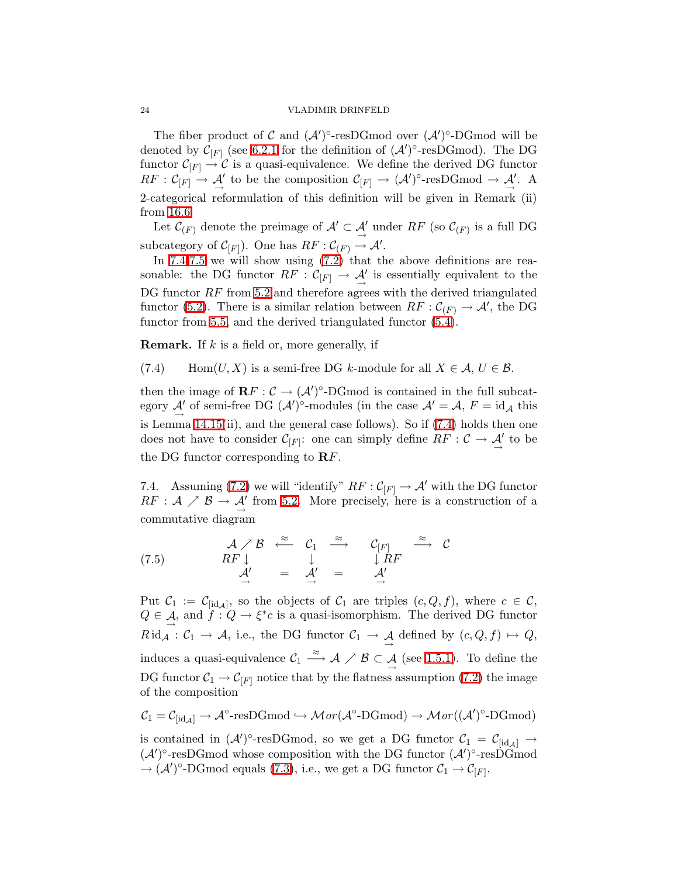The fiber product of C and  $(\mathcal{A}')^{\circ}$ -resDGmod over  $(\mathcal{A}')^{\circ}$ -DGmod will be denoted by  $\mathcal{C}_{[F]}$  (see [6.2.1](#page-20-3) for the definition of  $(\mathcal{A}')^{\circ}$ -resDGmod). The DG functor  $C_{|F|} \to \mathcal{C}$  is a quasi-equivalence. We define the derived DG functor  $RF: C_{[F]} \to \mathcal{A}'$  to be the composition  $C_{[F]} \to (\mathcal{A}')^{\circ}$ -resDGmod  $\to \mathcal{A}'$ . A 2-categorical reformulation of this definition will be given in Remark (ii) from [16.6.](#page-42-1)

Let  $\mathcal{C}_{(F)}$  denote the preimage of  $\mathcal{A}' \subset \mathcal{A}'$  under  $RF$  (so  $\mathcal{C}_{(F)}$  is a full DG subcategory of  $C_{[F]}$ ). One has  $RF : C_{(F)} \to \mathcal{A}'$ .

In [7.4-](#page-23-0)[7.5](#page-24-1) we will show using [\(7.2\)](#page-22-2) that the above definitions are reasonable: the DG functor  $RF : C_{[F]} \to \mathcal{A}'$  is essentially equivalent to the DG functor  $RF$  from [5.2](#page-18-0) and therefore agrees with the derived triangulated functor [\(5.2\)](#page-17-1). There is a similar relation between  $RF: \mathcal{C}_{(F)} \to \mathcal{A}'$ , the DG functor from [5.5,](#page-19-4) and the derived triangulated functor [\(5.4\)](#page-17-4).

<span id="page-23-1"></span>**Remark.** If  $k$  is a field or, more generally, if

(7.4) Hom $(U, X)$  is a semi-free DG k-module for all  $X \in \mathcal{A}, U \in \mathcal{B}$ .

then the image of  $\mathbf{R} F : C \to (\mathcal{A}')^{\circ}$ -DGmod is contained in the full subcategory  $\mathcal{A}'$  of semi-free DG  $(\mathcal{A}')^{\circ}$ -modules (in the case  $\mathcal{A}' = \mathcal{A}$ ,  $F = id_{\mathcal{A}}$  this is Lemma [14.15\(](#page-37-0)ii), and the general case follows). So if [\(7.4\)](#page-23-1) holds then one does not have to consider  $\mathcal{C}_{[F]}$ : one can simply define  $RF : \mathcal{C} \to \mathcal{A}'$  to be the DG functor corresponding to  $\mathbf{R} F$ .

<span id="page-23-2"></span><span id="page-23-0"></span>7.4. Assuming [\(7.2\)](#page-22-2) we will "identify"  $RF : C_{[F]} \to A'$  with the DG functor  $RF: \mathcal{A} \nearrow \mathcal{B} \rightarrow \mathcal{A}'$  from [5.2.](#page-18-0) More precisely, here is a construction of a commutative diagram

(7.5) 
$$
A \nearrow B \stackrel{\approx}{\longleftarrow} C_1 \stackrel{\approx}{\longrightarrow} C_{[F]} \stackrel{\approx}{\longrightarrow} C
$$
  
\n $A' = A' = A'$   $A'$ 

Put  $\mathcal{C}_1 := \mathcal{C}_{[id,\mathcal{A}]}$ , so the objects of  $\mathcal{C}_1$  are triples  $(c,Q,f)$ , where  $c \in \mathcal{C}$ ,  $Q \in \mathcal{A}$ , and  $f: Q \to \xi^*c$  is a quasi-isomorphism. The derived DG functor  $Rid_{\mathcal{A}}: \mathcal{C}_1 \to \mathcal{A}$ , i.e., the DG functor  $\mathcal{C}_1 \to \mathcal{A}$  defined by  $(c, Q, f) \mapsto Q$ , induces a quasi-equivalence  $C_1 \stackrel{\approx}{\longrightarrow} A \nearrow B \subset A$  (see [1.5.1\)](#page-3-1). To define the DG functor  $C_1 \rightarrow C_{|F|}$  notice that by the flatness assumption [\(7.2\)](#page-22-2) the image of the composition

$$
\mathcal{C}_1 = \mathcal{C}_{[id,\mathcal{A}]} \to \mathcal{A}^{\circ}\text{-resDGmod} \hookrightarrow \mathcal{M}or(\mathcal{A}^{\circ}\text{-DGmod}) \to \mathcal{M}or((\mathcal{A}')^{\circ}\text{-DGmod})
$$

is contained in  $({\cal A}')^{\circ}$ -resDGmod, so we get a DG functor  $C_1 = C_{[id_{\cal A}]} \rightarrow$  $({\cal A}')^{\circ}$ -resDGmod whose composition with the DG functor  $({\cal A}')^{\circ}$ -resDGmod  $\rightarrow (\mathcal{A}')^{\circ}\text{-}\text{DGmod equals (7.3)}, \text{ i.e., we get a DG functor } \mathcal{C}_1 \rightarrow \mathcal{C}_{[F]}.$  $\rightarrow (\mathcal{A}')^{\circ}\text{-}\text{DGmod equals (7.3)}, \text{ i.e., we get a DG functor } \mathcal{C}_1 \rightarrow \mathcal{C}_{[F]}.$  $\rightarrow (\mathcal{A}')^{\circ}\text{-}\text{DGmod equals (7.3)}, \text{ i.e., we get a DG functor } \mathcal{C}_1 \rightarrow \mathcal{C}_{[F]}.$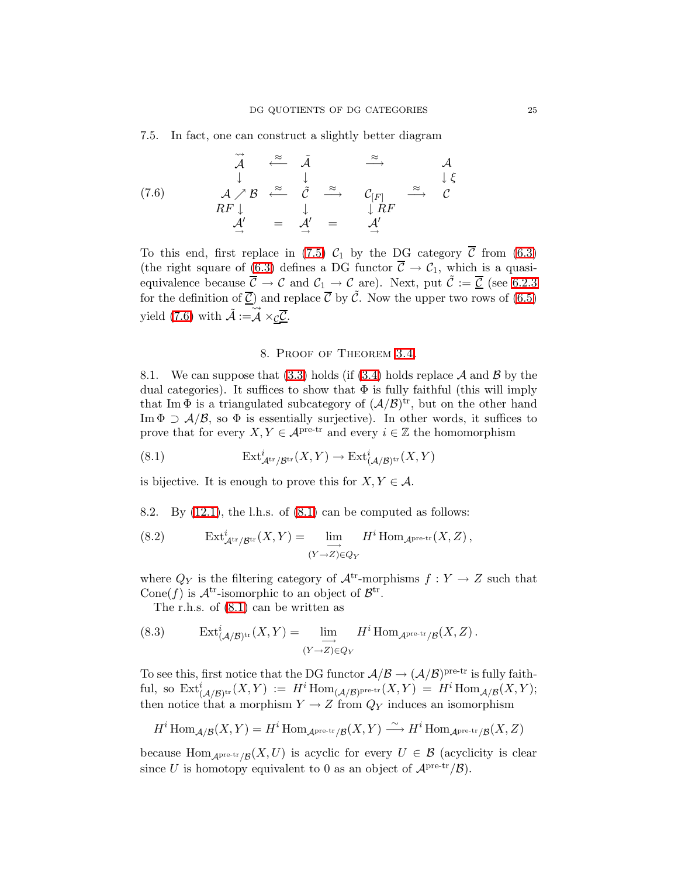<span id="page-24-2"></span><span id="page-24-1"></span>7.5. In fact, one can construct a slightly better diagram

(7.6) 
$$
\overrightarrow{A}
$$
  $\overrightarrow{B}$   $\overrightarrow{C}$   $\overrightarrow{A}$   $\overrightarrow{C}$   $\overrightarrow{C}$   $\overrightarrow{C}$   $\overrightarrow{C}$   $\overrightarrow{C}$   $\overrightarrow{C}$   $\overrightarrow{C}$   $\overrightarrow{C}$   $\overrightarrow{C}$   $\overrightarrow{C}$   $\overrightarrow{C}$   $\overrightarrow{C}$   $\overrightarrow{C}$   $\overrightarrow{C}$   $\overrightarrow{C}$   $\overrightarrow{C}$   $\overrightarrow{C}$   $\overrightarrow{F}$   $\overrightarrow{C}$   $\overrightarrow{F}$   $\overrightarrow{C}$   $\overrightarrow{F}$   $\overrightarrow{A'}$   $\overrightarrow{C}$   $\overrightarrow{A'}$   $\overrightarrow{C}$   $\overrightarrow{A'}$   $\overrightarrow{C}$   $\overrightarrow{A'}$ 

To this end, first replace in [\(7.5\)](#page-23-2)  $C_1$  by the DG category  $\overline{C}$  from [\(6.3\)](#page-20-1) (the right square of [\(6.3\)](#page-20-1) defines a DG functor  $\overline{C} \rightarrow C_1$ , which is a quasiequivalence because  $\ddot{\mathcal{C}} \rightarrow \mathcal{C}$  and  $\mathcal{C}_1 \rightarrow \mathcal{C}$  are). Next, put  $\ddot{\mathcal{C}} := \underline{\mathcal{C}}$  (see [6.2.3](#page-21-1) for the definition of  $\overline{C}$ ) and replace  $\overline{C}$  by  $\tilde{C}$ . Now the upper two rows of [\(6.5\)](#page-22-4) yield [\(7.6\)](#page-24-2) with  $\tilde{A} := \tilde{A}$ A × <u>c</u>C.

### <span id="page-24-4"></span><span id="page-24-3"></span>8. Proof of Theorem [3.4.](#page-10-4)

<span id="page-24-0"></span>8.1. We can suppose that [\(3.3\)](#page-10-2) holds (if [\(3.4\)](#page-10-3) holds replace  $A$  and  $B$  by the dual categories). It suffices to show that  $\Phi$  is fully faithful (this will imply that Im  $\Phi$  is a triangulated subcategory of  $(\mathcal{A}/\mathcal{B})^{\text{tr}}$ , but on the other hand Im  $\Phi \supset \mathcal{A}/\mathcal{B}$ , so  $\Phi$  is essentially surjective). In other words, it suffices to prove that for every  $X, Y \in \mathcal{A}^{\text{pre-tr}}$  and every  $i \in \mathbb{Z}$  the homomorphism

(8.1) 
$$
\operatorname{Ext}^i_{\mathcal{A}^{\operatorname{tr}}/\mathcal{B}^{\operatorname{tr}}}(X,Y) \to \operatorname{Ext}^i_{(\mathcal{A}/\mathcal{B})^{\operatorname{tr}}}(X,Y)
$$

is bijective. It is enough to prove this for  $X, Y \in \mathcal{A}$ .

8.2. By  $(12.1)$ , the l.h.s. of  $(8.1)$  can be computed as follows:

(8.2) 
$$
\operatorname{Ext}^i_{\mathcal{A}^{\text{tr}}/\mathcal{B}^{\text{tr}}}(X, Y) = \lim_{\substack{\longrightarrow \\ (Y \to Z) \in Q_Y}} H^i \operatorname{Hom}_{\mathcal{A}^{\text{pre-tr}}}(X, Z),
$$

where  $Q_Y$  is the filtering category of  $\mathcal{A}^{tr}$ -morphisms  $f: Y \to Z$  such that Cone(f) is  $\mathcal{A}^{tr}$ -isomorphic to an object of  $\mathcal{B}^{tr}$ .

<span id="page-24-5"></span>The r.h.s. of [\(8.1\)](#page-24-3) can be written as

(8.3) 
$$
\operatorname{Ext}^i_{(\mathcal{A}/\mathcal{B})^{\text{tr}}}(X,Y) = \lim_{\substack{\longrightarrow \\ (Y \to Z) \in Q_Y}} H^i \operatorname{Hom}_{\mathcal{A}^{\text{pre-tr}}/\mathcal{B}}(X,Z).
$$

To see this, first notice that the DG functor  $\mathcal{A}/\mathcal{B} \to (\mathcal{A}/\mathcal{B})^{\text{pre-tr}}$  is fully faithful, so  $\mathrm{Ext}^i_{(\mathcal{A}/\mathcal{B})^{\mathrm{tr}}}(X,Y) := H^i \mathrm{Hom}_{(\mathcal{A}/\mathcal{B})^{\mathrm{pre-tr}}}(X,Y) = H^i \mathrm{Hom}_{\mathcal{A}/\mathcal{B}}(X,Y);$ then notice that a morphism  $Y \to Z$  from  $Q_Y$  induces an isomorphism

$$
H^i\operatorname{Hom}_{\mathcal{A}/\mathcal{B}}(X,Y)=H^i\operatorname{Hom}_{\mathcal{A}^{\operatorname{pre-tr}}/\mathcal{B}}(X,Y)\stackrel{\sim}{\longrightarrow}H^i\operatorname{Hom}_{\mathcal{A}^{\operatorname{pre-tr}}/\mathcal{B}}(X,Z)
$$

because  $\text{Hom}_{\mathcal{A}^{\text{pre-tr}}/\mathcal{B}}(X,U)$  is acyclic for every  $U \in \mathcal{B}$  (acyclicity is clear since U is homotopy equivalent to 0 as an object of  $\mathcal{A}^{\text{pre-tr}}/\mathcal{B}$ .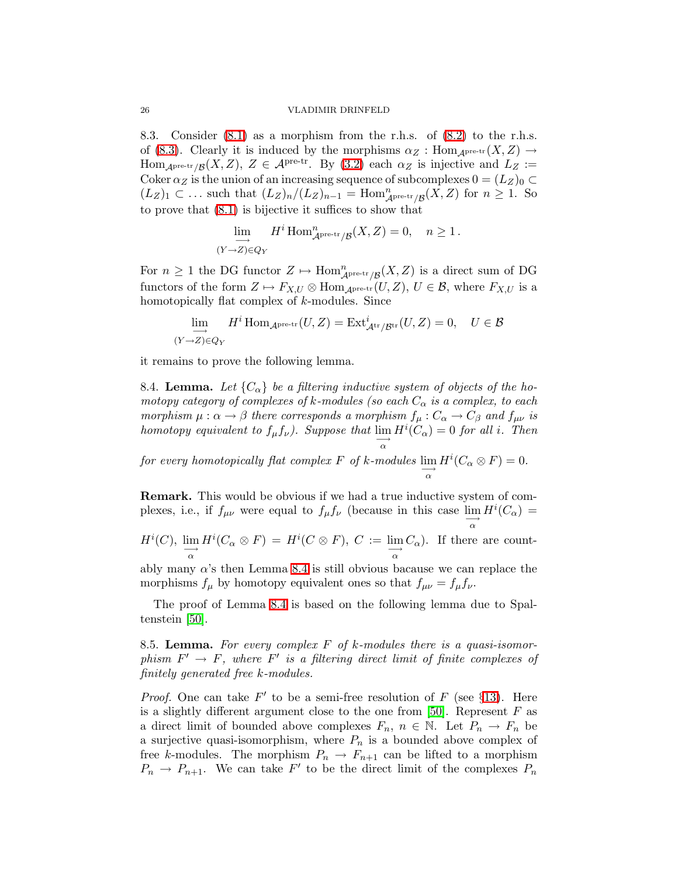8.3. Consider [\(8.1\)](#page-24-3) as a morphism from the r.h.s. of [\(8.2\)](#page-24-4) to the r.h.s. of [\(8.3\)](#page-24-5). Clearly it is induced by the morphisms  $\alpha_Z : \text{Hom}_{A^{\text{pre-tr}}}(X, Z) \to$ Hom<sub>Apre-tr</sub>/ $g(X, Z)$ ,  $Z \in \mathcal{A}$ pre-tr. By [\(3.2\)](#page-10-5) each  $\alpha_Z$  is injective and  $L_Z :=$ Coker  $\alpha_Z$  is the union of an increasing sequence of subcomplexes  $0 = (L_Z)_0 \subset$  $(L_Z)_1$  ⊂ ... such that  $(L_Z)_n/(L_Z)_{n-1}$  = Hom $_{A^{\text{pre-tr}}/B}^n(X,Z)$  for  $n ≥ 1$ . So to prove that [\(8.1\)](#page-24-3) is bijective it suffices to show that

$$
\lim_{(Y \to Z) \in Q_Y} H^i \operatorname{Hom}^n_{\mathcal{A}^{\text{pre-tr}}/\mathcal{B}}(X, Z) = 0, \quad n \ge 1.
$$

For  $n \geq 1$  the DG functor  $Z \mapsto \text{Hom}_{\mathcal{A}^{\text{pre-tr}}/\mathcal{B}}^n(X, Z)$  is a direct sum of DG functors of the form  $Z \mapsto F_{X,U} \otimes \text{Hom}_{A^{pre-tr}}(U,Z), U \in \mathcal{B}$ , where  $F_{X,U}$  is a homotopically flat complex of k-modules. Since

$$
\lim_{(Y \to Z) \in Q_Y} H^i \operatorname{Hom}_{\mathcal{A}^{\text{pre-tr}}}(U, Z) = \operatorname{Ext}^i_{\mathcal{A}^{\text{tr}}/\mathcal{B}^{\text{tr}}}(U, Z) = 0, \quad U \in \mathcal{B}
$$

<span id="page-25-0"></span>it remains to prove the following lemma.

8.4. Lemma. Let  ${C_{\alpha}}$  be a filtering inductive system of objects of the homotopy category of complexes of k-modules (so each  $C_{\alpha}$  is a complex, to each morphism  $\mu : \alpha \to \beta$  there corresponds a morphism  $f_{\mu} : C_{\alpha} \to C_{\beta}$  and  $f_{\mu\nu}$  is homotopy equivalent to  $f_{\mu}f_{\nu}$ ). Suppose that  $\lim_{\longrightarrow} H^{i}(C_{\alpha}) = 0$  for all i. Then α for every homotopically flat complex F of k-modules  $\lim_{\alpha \to 0}$  $H^i(C_\alpha \otimes F) = 0.$ 

Remark. This would be obvious if we had a true inductive system of complexes, i.e., if  $f_{\mu\nu}$  were equal to  $f_{\mu}f_{\nu}$  (because in this case  $\lim_{\longrightarrow} H^{i}(C_{\alpha}) =$ α

$$
H^i(C), \lim_{\substack{\longrightarrow \\ \alpha}} H^i(C_\alpha \otimes F) = H^i(C \otimes F), C := \lim_{\substack{\longrightarrow \\ \alpha}} C_\alpha
$$
. If there are count-

ably many  $\alpha$ 's then Lemma [8.4](#page-25-0) is still obvious bacause we can replace the morphisms  $f_{\mu}$  by homotopy equivalent ones so that  $f_{\mu\nu} = f_{\mu} f_{\nu}$ .

The proof of Lemma [8.4](#page-25-0) is based on the following lemma due to Spaltenstein [\[50\]](#page-48-11).

<span id="page-25-1"></span>8.5. Lemma. For every complex  $F$  of k-modules there is a quasi-isomorphism  $F' \to F$ , where  $F'$  is a filtering direct limit of finite complexes of finitely generated free k-modules.

*Proof.* One can take  $F'$  to be a semi-free resolution of F (see §[13\)](#page-31-0). Here is a slightly different argument close to the one from  $[50]$ . Represent  $F$  as a direct limit of bounded above complexes  $F_n$ ,  $n \in \mathbb{N}$ . Let  $P_n \to F_n$  be a surjective quasi-isomorphism, where  $P_n$  is a bounded above complex of free k-modules. The morphism  $P_n \to F_{n+1}$  can be lifted to a morphism  $P_n \to P_{n+1}$ . We can take F' to be the direct limit of the complexes  $P_n$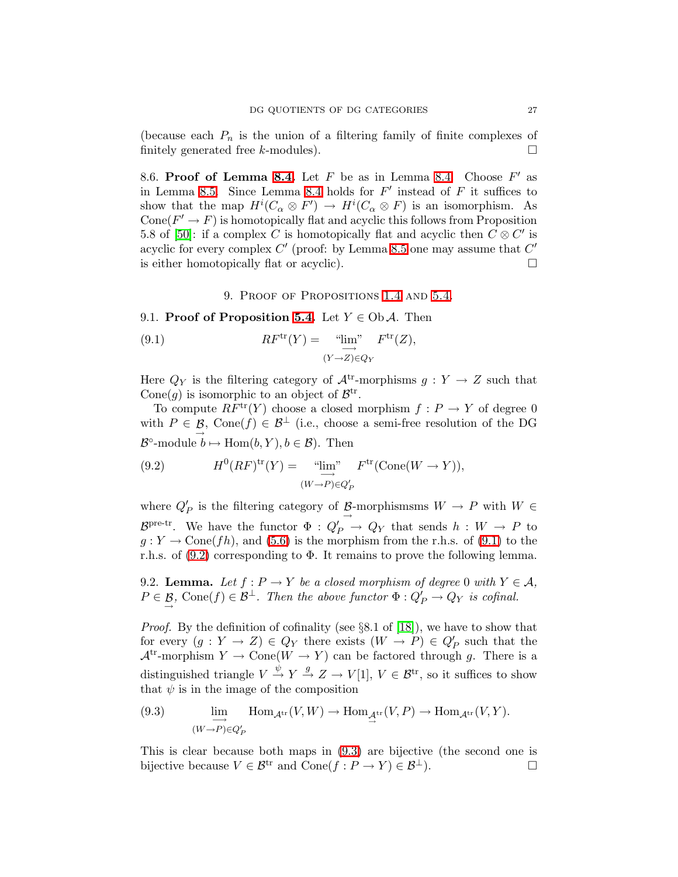(because each  $P_n$  is the union of a filtering family of finite complexes of finitely generated free k-modules).  $\Box$ 

8.6. Proof of Lemma [8.4.](#page-25-0) Let  $F$  be as in Lemma 8.4. Choose  $F'$  as in Lemma [8.5.](#page-25-1) Since Lemma [8.4](#page-25-0) holds for  $F'$  instead of  $F$  it suffices to show that the map  $H^i(C_\alpha \otimes F') \to H^i(C_\alpha \otimes F)$  is an isomorphism. As Cone( $F' \to F$ ) is homotopically flat and acyclic this follows from Proposition 5.8 of [\[50\]](#page-48-11): if a complex C is homotopically flat and acyclic then  $\overline{C} \otimes C'$  is acyclic for every complex  $C'$  (proof: by Lemma [8.5](#page-25-1) one may assume that  $C'$ is either homotopically flat or acyclic).  $\Box$ 

- <span id="page-26-1"></span>9. Proof of Propositions [1.4](#page-2-4) and [5.4.](#page-19-3)
- <span id="page-26-0"></span>9.1. Proof of Proposition [5.4.](#page-19-3) Let  $Y \in Ob \mathcal{A}$ . Then

(9.1) 
$$
RF^{\text{tr}}(Y) = \underbrace{\lim_{Y \to Z} \lim_{\epsilon Y} F^{\text{tr}}(Z)}_{(Y \to Z) \in Q_Y} F^{\text{tr}}(Z),
$$

Here  $Q_Y$  is the filtering category of  $\mathcal{A}^{tr}$ -morphisms  $g: Y \to Z$  such that Cone(g) is isomorphic to an object of  $\mathcal{B}^{tr}$ .

<span id="page-26-2"></span>To compute  $RF^{\text{tr}}(Y)$  choose a closed morphism  $f: P \to Y$  of degree 0 with  $P \in \mathcal{B}$ , Cone $(f) \in \mathcal{B}^{\perp}$  (i.e., choose a semi-free resolution of the DG  $\mathcal{B}^{\circ}\text{-module }b \mapsto \text{Hom}(b, Y), b \in \mathcal{B}$ . Then

(9.2) 
$$
H^{0}(RF)^{\text{tr}}(Y) = \underbrace{\lim_{\longrightarrow}}_{(W \to P) \in Q'_{P}} F^{\text{tr}}(\text{Cone}(W \to Y)),
$$

where  $Q'_P$  is the filtering category of  $\underline{\mathcal{B}}$ -morphismsms  $W \to P$  with  $W \in$  $\mathcal{B}^{\text{pre-tr}}$ . We have the functor  $\Phi: Q_P' \to Q_Y$  that sends  $h: W \to P$  to  $g: Y \to \text{Cone}(fh)$ , and  $(5.6)$  is the morphism from the r.h.s. of  $(9.1)$  to the r.h.s. of  $(9.2)$  corresponding to  $\Phi$ . It remains to prove the following lemma.

<span id="page-26-4"></span>9.2. **Lemma.** Let  $f : P \to Y$  be a closed morphism of degree 0 with  $Y \in \mathcal{A}$ ,  $P \in \mathcal{B}$ , Cone $(f) \in \mathcal{B}^{\perp}$ . Then the above functor  $\Phi: Q'_{P} \to Q_{Y}$  is cofinal.

Proof. By the definition of cofinality (see §8.1 of [\[18\]](#page-47-14)), we have to show that for every  $(g: Y \to Z) \in Q_Y$  there exists  $(W \to P) \in Q'_P$  such that the  $\mathcal{A}^{tr}$ -morphism  $Y \to \text{Cone}(W \to Y)$  can be factored through g. There is a distinguished triangle  $V \stackrel{\psi}{\rightarrow} Y \stackrel{g}{\rightarrow} Z \rightarrow V[1], V \in \mathcal{B}^{tr}$ , so it suffices to show that  $\psi$  is in the image of the composition

<span id="page-26-3"></span>(9.3) 
$$
\lim_{(W \to P) \in Q'_P} \text{Hom}_{\mathcal{A}^{\text{tr}}}(V, W) \to \text{Hom}_{\mathcal{A}^{\text{tr}}}(V, P) \to \text{Hom}_{\mathcal{A}^{\text{tr}}}(V, Y).
$$

This is clear because both maps in [\(9.3\)](#page-26-3) are bijective (the second one is bijective because  $V \in \mathcal{B}^{tr}$  and  $Cone(f : P \to Y) \in \mathcal{B}^{\perp}$ .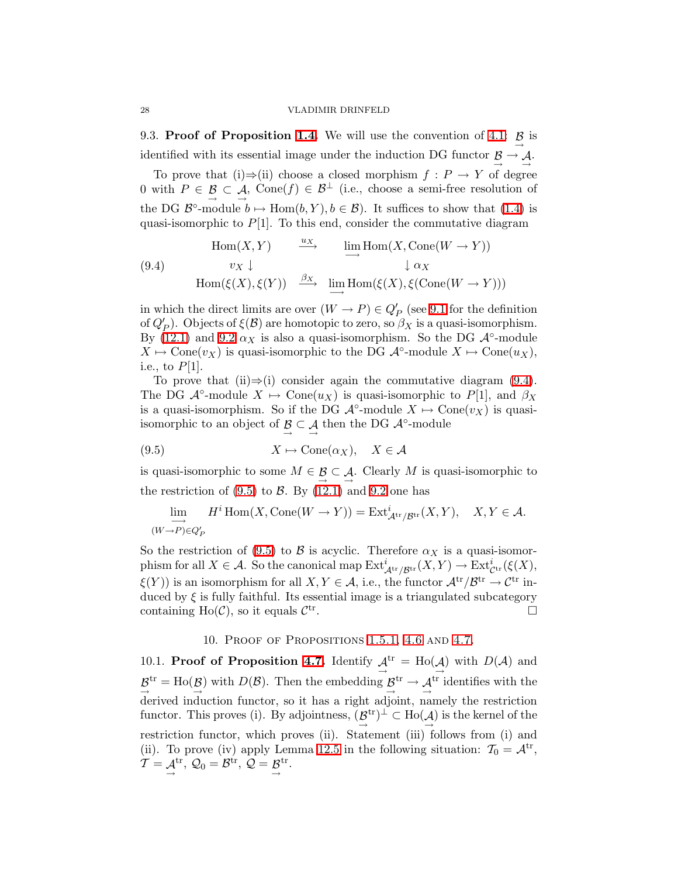<span id="page-27-0"></span>9.3. Proof of Proposition [1.4.](#page-2-4) We will use the convention of [4.1:](#page-13-3)  $\beta$  is  $\xrightarrow{\text{r}}$ identified with its essential image under the induction DG functor  $\beta \rightarrow A$ .

To prove that (i)⇒(ii) choose a closed morphism  $f : P \to Y$  of degree 0 with  $P \in \mathcal{B} \subset \mathcal{A}$ , Cone $(f) \in \mathcal{B}^{\perp}$  (i.e., choose a semi-free resolution of the DG  $\mathcal{B}^{\circ}\text{-module }b \mapsto \text{Hom}(b, Y), b \in \mathcal{B}$ . It suffices to show that [\(1.4\)](#page-3-2) is quasi-isomorphic to  $P[1]$ . To this end, consider the commutative diagram

<span id="page-27-2"></span>(9.4)  
\n
$$
\operatorname{Hom}(X, Y) \xrightarrow{u_X} \operatorname{lim}_{\longrightarrow} \operatorname{Hom}(X, \operatorname{Cone}(W \to Y))
$$
\n
$$
\downarrow \alpha_X
$$
\n
$$
\operatorname{Hom}(\xi(X), \xi(Y)) \xrightarrow{\beta_X} \operatorname{lim}_{\longrightarrow} \operatorname{Hom}(\xi(X), \xi(\operatorname{Cone}(W \to Y)))
$$

in which the direct limits are over  $(W \to P) \in Q'_{P}$  (see [9.1](#page-26-0) for the definition of  $Q'_P$ ). Objects of  $\xi(\mathcal{B})$  are homotopic to zero, so  $\beta_X$  is a quasi-isomorphism. By [\(12.1\)](#page-29-3) and [9.2](#page-26-4)  $\alpha_X$  is also a quasi-isomorphism. So the DG  $\mathcal{A}^{\circ}$ -module  $X \mapsto \text{Cone}(v_X)$  is quasi-isomorphic to the DG  $\mathcal{A}^\circ$ -module  $X \mapsto \text{Cone}(u_X)$ , i.e., to  $P[1]$ .

<span id="page-27-3"></span>To prove that (ii)⇒(i) consider again the commutative diagram  $(9.4)$ . The DG  $\mathcal{A}^{\circ}\text{-module } X \mapsto \text{Cone}(u_X)$  is quasi-isomorphic to  $P[1]$ , and  $\beta_X$ is a quasi-isomorphism. So if the DG  $\mathcal{A}^{\circ}$ -module  $X \mapsto \text{Cone}(v_X)$  is quasiisomorphic to an object of  $\mathcal{B} \subset \mathcal{A}$  then the DG  $\mathcal{A}^{\circ}$ -module

(9.5) 
$$
X \mapsto \text{Cone}(\alpha_X), \quad X \in \mathcal{A}
$$

is quasi-isomorphic to some  $M \in \mathcal{B} \subset \mathcal{A}$ . Clearly M is quasi-isomorphic to the restriction of  $(9.5)$  to  $\beta$ . By  $(12.1)$  and  $9.2$  one has

$$
\lim_{(W \to P) \in Q'_P} H^i \operatorname{Hom}(X, \operatorname{Cone}(W \to Y)) = \operatorname{Ext}^i_{\mathcal{A}^{\operatorname{tr}}/\mathcal{B}^{\operatorname{tr}}}(X, Y), \quad X, Y \in \mathcal{A}.
$$

So the restriction of [\(9.5\)](#page-27-3) to B is acyclic. Therefore  $\alpha_X$  is a quasi-isomorphism for all  $X \in \mathcal{A}$ . So the canonical map  $\mathrm{Ext}^i_{\mathcal{A}^{\mathrm{tr}}/\mathcal{B}^{\mathrm{tr}}}(X, Y) \to \mathrm{Ext}^i_{\mathcal{C}^{\mathrm{tr}}}(\xi(X),$  $\xi(Y)$ ) is an isomorphism for all  $X, Y \in \mathcal{A}$ , i.e., the functor  $\mathcal{A}^{tr}/\mathcal{B}^{tr} \to \mathcal{C}^{tr}$  induced by  $\xi$  is fully faithful. Its essential image is a triangulated subcategory containing  $Ho(\mathcal{C})$ , so it equals  $\mathcal{C}^{tr}$ .

### 10. Proof of Propositions [1.5.1,](#page-3-1) [4.6](#page-14-0) and [4.7.](#page-14-1)

<span id="page-27-1"></span>10.1. **Proof of Proposition [4.7.](#page-14-1)** Identify  $\mathcal{A}^{tr} = Ho(\mathcal{A})$  with  $D(\mathcal{A})$  and  $\mathcal{B}^{\text{tr}} = \text{Ho}(\mathcal{B})$  with  $D(\mathcal{B})$ . Then the embedding  $\mathcal{B}^{\text{tr}} \to \mathcal{A}^{\text{tr}}$  identifies with the derived induction functor, so it has a right adjoint, namely the restriction functor. This proves (i). By adjointness,  $(\mathcal{B}^{\text{tr}})^{\perp} \subset \text{Ho}(\mathcal{A})$  is the kernel of the restriction functor, which proves (ii). Statement (iii) follows from (i) and (ii). To prove (iv) apply Lemma [12.5](#page-30-3) in the following situation:  $\mathcal{T}_0 = \mathcal{A}^{tr}$ ,  $T = \underset{\rightarrow}{\mathcal{A}}$  $\mathfrak{t}^{\operatorname{tr}},\,\mathcal{Q}_0=\mathcal{B}^{\operatorname{tr}},\,\mathcal{Q}=\mathcal{B}$ tr .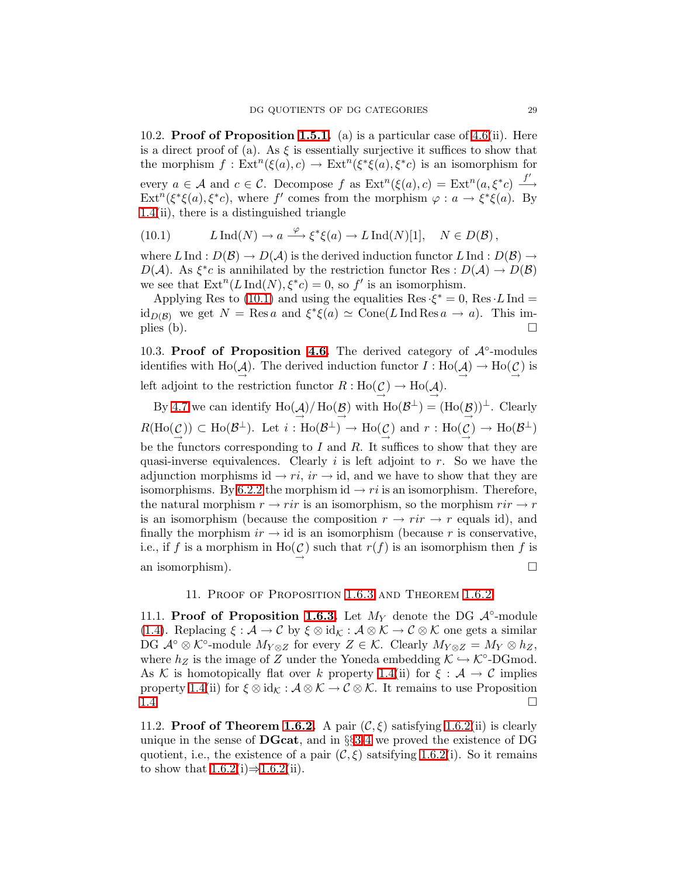<span id="page-28-0"></span>10.2. **Proof of Proposition [1.5.1.](#page-3-1)** (a) is a particular case of [4.6\(](#page-14-0)ii). Here is a direct proof of (a). As  $\xi$  is essentially surjective it suffices to show that the morphism  $f: Ext^n(\xi(a), c) \to Ext^n(\xi^*\xi(a), \xi^*c)$  is an isomorphism for every  $a \in \mathcal{A}$  and  $c \in \mathcal{C}$ . Decompose f as  $\text{Ext}^n(\xi(a), c) = \text{Ext}^n(a, \xi^*c) \xrightarrow{f'}$ Ext<sup>n</sup>( $\xi^* \xi(a)$ ,  $\xi^* c$ ), where f' comes from the morphism  $\varphi : a \to \xi^* \xi(a)$ . By [1.4\(](#page-2-4)ii), there is a distinguished triangle

<span id="page-28-5"></span>(10.1) 
$$
L \operatorname{Ind}(N) \to a \xrightarrow{\varphi} \xi^* \xi(a) \to L \operatorname{Ind}(N)[1], \quad N \in D(\mathcal{B}),
$$

where  $L \text{ Ind}: D(\mathcal{B}) \to D(\mathcal{A})$  is the derived induction functor  $L \text{ Ind}: D(\mathcal{B}) \to$  $D(\mathcal{A})$ . As  $\xi^*c$  is annihilated by the restriction functor Res:  $D(\mathcal{A}) \to D(\mathcal{B})$ we see that  $\text{Ext}^n(L \text{ Ind}(N), \xi^* c) = 0$ , so f' is an isomorphism.

Applying Res to [\(10.1\)](#page-28-5) and using the equalities Res  $\xi^* = 0$ , Res L Ind =  $\mathrm{id}_{D(\mathcal{B})}$  we get  $N = \mathrm{Res } a$  and  $\xi^* \xi(a) \simeq \mathrm{Cone}(L \mathrm{Ind} \mathrm{Res } a \to a)$ . This implies (b).  $\Box$ 

<span id="page-28-4"></span>10.3. Proof of Proposition [4.6.](#page-14-0) The derived category of  $A<sup>°</sup>$ -modules identifies with  $\text{Ho}(\mathcal{A})$ . The derived induction functor  $I: \text{Ho}(\mathcal{A}) \to \text{Ho}(\mathcal{C})$  is  $\rightarrow$ left adjoint to the restriction functor  $R: Ho(\mathcal{L}) \to Ho(\mathcal{A})$ .

By [4.7](#page-14-1) we can identify  $\text{Ho}(\mathcal{A})/\text{Ho}(\mathcal{B})$  with  $\text{Ho}(\mathcal{B}^{\perp}) = (\text{Ho}(\mathcal{B}))^{\perp}$ . Clearly  $R(\text{Ho}(\mathcal{C})) \subset \text{Ho}(\mathcal{B}^{\perp})$ . Let  $i : \text{Ho}(\mathcal{B}^{\perp}) \to \text{Ho}(\mathcal{C})$  and  $r : \text{Ho}(\mathcal{C}) \to \text{Ho}(\mathcal{B}^{\perp})$ be the functors corresponding to  $I$  and  $R$ . It suffices to show that they are quasi-inverse equivalences. Clearly i is left adjoint to r. So we have the adjunction morphisms id  $\rightarrow ri$ ,  $ir \rightarrow id$ , and we have to show that they are isomorphisms. By [6.2.2](#page-21-2) the morphism id  $\rightarrow r_i$  is an isomorphism. Therefore, the natural morphism  $r \to r i r$  is an isomorphism, so the morphism  $r i r \to r r$ is an isomorphism (because the composition  $r \to rir \to r$  equals id), and finally the morphism  $ir \rightarrow id$  is an isomorphism (because r is conservative, i.e., if f is a morphism in  $\text{Ho}(\mathcal{C})$  such that  $r(f)$  is an isomorphism then f is an isomorphism).

### 11. Proof of Proposition [1.6.3](#page-4-1) and Theorem [1.6.2](#page-4-0)

<span id="page-28-3"></span><span id="page-28-2"></span>11.1. Proof of Proposition [1.6.3.](#page-4-1) Let  $M_Y$  denote the DG  $\mathcal{A}^\circ$ -module [\(1.4\)](#page-3-2). Replacing  $\xi : \mathcal{A} \to \mathcal{C}$  by  $\xi \otimes id_{\mathcal{K}} : \mathcal{A} \otimes \mathcal{K} \to \mathcal{C} \otimes \mathcal{K}$  one gets a similar  $DG \mathcal{A}^{\circ} \otimes \mathcal{K}^{\circ}$ -module  $M_{Y \otimes Z}$  for every  $Z \in \mathcal{K}$ . Clearly  $M_{Y \otimes Z} = M_{Y} \otimes h_{Z}$ , where  $h_Z$  is the image of Z under the Yoneda embedding  $K \hookrightarrow K^{\circ}\text{-}\mathrm{DGmod}.$ As K is homotopically flat over k property [1.4\(](#page-2-4)ii) for  $\xi : A \to C$  implies property [1.4\(](#page-2-4)ii) for  $\xi \otimes id_{\mathcal{K}} : \mathcal{A} \otimes \mathcal{K} \to \mathcal{C} \otimes \mathcal{K}$ . It remains to use Proposition [1.4.](#page-2-4)

<span id="page-28-1"></span>11.2. Proof of Theorem [1.6.2.](#page-4-0) A pair  $(C, \xi)$  satisfying [1.6.2\(](#page-4-0)ii) is clearly unique in the sense of **DGcat**, and in  $\S$ §[3](#page-9-0)[-4](#page-13-0) we proved the existence of DG quotient, i.e., the existence of a pair  $(C, \xi)$  satsifying [1.6.2\(](#page-4-0)i). So it remains to show that  $1.6.2(i) \Rightarrow 1.6.2(ii)$  $1.6.2(i) \Rightarrow 1.6.2(ii)$  $1.6.2(i) \Rightarrow 1.6.2(ii)$ .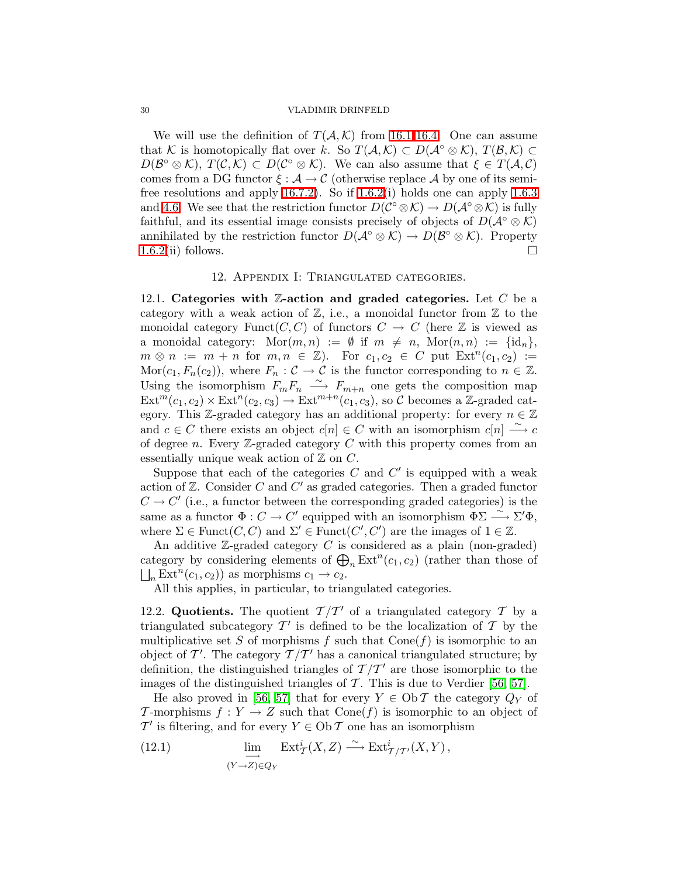We will use the definition of  $T(A, K)$  from [16.1-](#page-41-1)[16.4.](#page-42-2) One can assume that K is homotopically flat over k. So  $T(A, K) \subset D(A^{\circ} \otimes K), T(B, K) \subset$  $D(\mathcal{B}^{\circ}\otimes\mathcal{K}), T(\mathcal{C},\mathcal{K})\subset D(\mathcal{C}^{\circ}\otimes\mathcal{K}).$  We can also assume that  $\xi\in T(\mathcal{A},\mathcal{C})$ comes from a DG functor  $\xi : A \to C$  (otherwise replace A by one of its semifree resolutions and apply [16.7.2\)](#page-43-1). So if [1.6.2\(](#page-4-0)i) holds one can apply [1.6.3](#page-4-1) and [4.6.](#page-14-0) We see that the restriction functor  $D(\mathcal{C}^{\circ}\otimes\mathcal{K})\to D(\mathcal{A}^{\circ}\otimes\mathcal{K})$  is fully faithful, and its essential image consists precisely of objects of  $D(A^{\circ} \otimes \mathcal{K})$ annihilated by the restriction functor  $D(\mathcal{A}^{\circ}\otimes\mathcal{K})\to D(\mathcal{B}^{\circ}\otimes\mathcal{K})$ . Property  $1.6.2(i)$  $1.6.2(i)$  follows.

### 12. Appendix I: Triangulated categories.

<span id="page-29-2"></span><span id="page-29-0"></span>12.1. Categories with  $\mathbb{Z}\text{-action}$  and graded categories. Let C be a category with a weak action of  $\mathbb{Z}$ , i.e., a monoidal functor from  $\mathbb{Z}$  to the monoidal category Funct $(C, C)$  of functors  $C \rightarrow C$  (here  $\mathbb Z$  is viewed as a monoidal category:  $\text{Mor}(m, n) := \emptyset$  if  $m \neq n$ ,  $\text{Mor}(n, n) := \{id_n\},\$  $m \otimes n := m + n$  for  $m, n \in \mathbb{Z}$ . For  $c_1, c_2 \in C$  put  $\text{Ext}^n(c_1, c_2) :=$  $\text{Mor}(c_1,F_n(c_2)),$  where  $F_n: \mathcal{C} \to \mathcal{C}$  is the functor corresponding to  $n \in \mathbb{Z}$ . Using the isomorphism  $F_mF_n \stackrel{\sim}{\longrightarrow} F_{m+n}$  one gets the composition map  $Ext^m(c_1, c_2) \times Ext^n(c_2, c_3) \to Ext^{m+n}(c_1, c_3)$ , so C becomes a Z-graded category. This Z-graded category has an additional property: for every  $n \in \mathbb{Z}$ and  $c \in C$  there exists an object  $c[n] \in C$  with an isomorphism  $c[n] \stackrel{\sim}{\longrightarrow} c$ of degree n. Every  $\mathbb{Z}$ -graded category C with this property comes from an essentially unique weak action of  $\mathbb Z$  on  $C$ .

Suppose that each of the categories  $C$  and  $C'$  is equipped with a weak action of  $Z$ . Consider  $C$  and  $C'$  as graded categories. Then a graded functor  $C \to C'$  (i.e., a functor between the corresponding graded categories) is the same as a functor  $\Phi: C \to C'$  equipped with an isomorphism  $\phi \Sigma \stackrel{\sim}{\longrightarrow} \Sigma' \Phi$ , where  $\Sigma \in \text{Funct}(C, C)$  and  $\Sigma' \in \text{Funct}(C', C')$  are the images of  $1 \in \mathbb{Z}$ .

An additive  $\mathbb{Z}$ -graded category C is considered as a plain (non-graded) category by considering elements of  $\bigoplus_n \mathrm{Ext}^n(c_1, c_2)$  (rather than those of  $\bigsqcup_n \mathrm{Ext}^n(c_1,c_2)$  as morphisms  $c_1 \to c_2$ .

All this applies, in particular, to triangulated categories.

<span id="page-29-1"></span>12.2. Quotients. The quotient  $\mathcal{T}/\mathcal{T}'$  of a triangulated category  $\mathcal T$  by a triangulated subcategory  $\mathcal{T}'$  is defined to be the localization of  $\mathcal T$  by the multiplicative set S of morphisms f such that  $Cone(f)$  is isomorphic to an object of  $\mathcal{T}'$ . The category  $\mathcal{T}/\mathcal{T}'$  has a canonical triangulated structure; by definition, the distinguished triangles of  $\mathcal{T}/\mathcal{T}'$  are those isomorphic to the images of the distinguished triangles of  $\mathcal T$ . This is due to Verdier [\[56,](#page-48-0) [57\]](#page-49-0).

He also proved in [\[56,](#page-48-0) [57\]](#page-49-0) that for every  $Y \in Ob \mathcal{T}$  the category  $Q_Y$  of T-morphisms  $f: Y \to Z$  such that  $Cone(f)$  is isomorphic to an object of  $\mathcal{T}'$  is filtering, and for every  $Y \in \mathrm{Ob}\,\mathcal{T}$  one has an isomorphism

<span id="page-29-3"></span>(12.1) 
$$
\lim_{(Y \to Z) \in Q_Y} \operatorname{Ext}^i_{\mathcal{T}}(X, Z) \xrightarrow{\sim} \operatorname{Ext}^i_{\mathcal{T}/\mathcal{T}'}(X, Y),
$$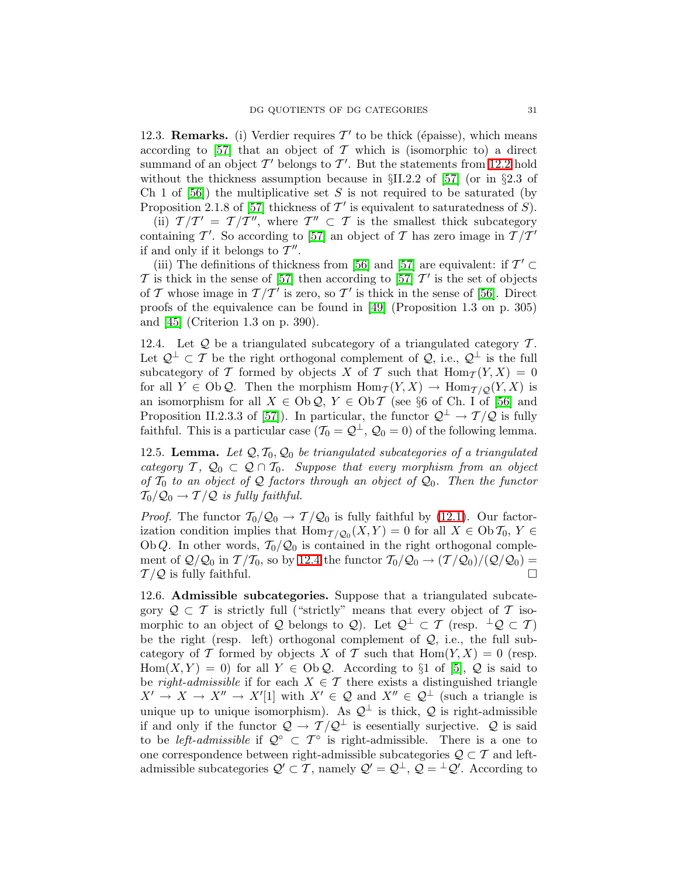<span id="page-30-0"></span>12.3. **Remarks.** (i) Verdier requires  $\mathcal{T}'$  to be thick (épaisse), which means according to [\[57\]](#page-49-0) that an object of  $\mathcal T$  which is (isomorphic to) a direct summand of an object  $\mathcal{T}'$  belongs to  $\mathcal{T}'$ . But the statements from [12.2](#page-29-1) hold without the thickness assumption because in  $\S$ II.2.2 of [\[57\]](#page-49-0) (or in  $\S$ 2.3 of Ch 1 of  $[56]$ ) the multiplicative set S is not required to be saturated (by Proposition 2.1.8 of [\[57\]](#page-49-0) thickness of  $\mathcal{T}'$  is equivalent to saturatedness of  $S$ ).

(ii)  $T/T' = T/\overline{T''}$ , where  $T'' \subset T$  is the smallest thick subcategory containing T'. So according to [\[57\]](#page-49-0) an object of T has zero image in  $T/T'$ if and only if it belongs to  $\overline{\mathcal{I}}''$ .

(iii) The definitions of thickness from [\[56\]](#page-48-0) and [\[57\]](#page-49-0) are equivalent: if  $\mathcal{T}' \subset$  $\mathcal T$  is thick in the sense of [\[57\]](#page-49-0) then according to [57]  $\mathcal T'$  is the set of objects of T whose image in  $T/T'$  is zero, so T' is thick in the sense of [\[56\]](#page-48-0). Direct proofs of the equivalence can be found in [\[49\]](#page-48-14) (Proposition 1.3 on p. 305) and [\[45\]](#page-48-15) (Criterion 1.3 on p. 390).

<span id="page-30-1"></span>12.4. Let  $Q$  be a triangulated subcategory of a triangulated category  $T$ . Let  $\mathcal{Q}^{\perp} \subset \mathcal{T}$  be the right orthogonal complement of  $\mathcal{Q}$ , i.e.,  $\mathcal{Q}^{\perp}$  is the full subcategory of T formed by objects X of T such that  $\text{Hom}_{\mathcal{T}}(Y,X) = 0$ for all  $Y \in Ob \mathcal{Q}$ . Then the morphism  $\text{Hom}_{\mathcal{T}}(Y,X) \to \text{Hom}_{\mathcal{T}/\mathcal{Q}}(Y,X)$  is an isomorphism for all  $X \in Ob \mathcal{Q}, Y \in Ob \mathcal{T}$  (see §6 of Ch. I of [\[56\]](#page-48-0) and Proposition II.2.3.3 of [\[57\]](#page-49-0)). In particular, the functor  $\mathcal{Q}^{\perp} \to \mathcal{T}/\mathcal{Q}$  is fully faithful. This is a particular case  $(\mathcal{T}_0 = \mathcal{Q}^{\perp}, \mathcal{Q}_0 = 0)$  of the following lemma.

<span id="page-30-3"></span>12.5. Lemma. Let  $Q, T_0, Q_0$  be triangulated subcategories of a triangulated category  $\mathcal{T}, \mathcal{Q}_0 \subset \mathcal{Q} \cap \mathcal{T}_0$ . Suppose that every morphism from an object of  $\mathcal{T}_0$  to an object of  $\mathcal{Q}$  factors through an object of  $\mathcal{Q}_0$ . Then the functor  $T_0/\mathcal{Q}_0 \rightarrow T/\mathcal{Q}$  is fully faithful.

*Proof.* The functor  $T_0/Q_0 \rightarrow T/Q_0$  is fully faithful by [\(12.1\)](#page-29-3). Our factorization condition implies that  $\text{Hom}_{\mathcal{T}/\mathcal{Q}_0}(X, Y) = 0$  for all  $X \in \text{Ob } \mathcal{T}_0, Y \in$ Ob Q. In other words,  $T_0/Q_0$  is contained in the right orthogonal complement of  $\mathcal{Q}/\mathcal{Q}_0$  in  $\mathcal{T}/\mathcal{T}_0$ , so by [12.4](#page-30-1) the functor  $\mathcal{T}_0/\mathcal{Q}_0 \rightarrow (\mathcal{T}/\mathcal{Q}_0)/(\mathcal{Q}/\mathcal{Q}_0) =$  $\mathcal{T}/\mathcal{Q}$  is fully faithful.

<span id="page-30-2"></span>12.6. Admissible subcategories. Suppose that a triangulated subcategory  $\mathcal{Q} \subset \mathcal{T}$  is strictly full ("strictly" means that every object of  $\mathcal{T}$  isomorphic to an object of Q belongs to Q). Let  $\mathcal{Q}^{\perp} \subset \mathcal{T}$  (resp.  $^{\perp} \mathcal{Q} \subset \mathcal{T}$ ) be the right (resp. left) orthogonal complement of  $Q$ , i.e., the full subcategory of T formed by objects X of T such that  $\text{Hom}(Y, X) = 0$  (resp. Hom $(X, Y) = 0$  for all  $Y \in Ob \mathcal{Q}$ . According to §1 of [\[5\]](#page-47-18),  $\mathcal Q$  is said to be right-admissible if for each  $X \in \mathcal{T}$  there exists a distinguished triangle  $X' \to X \to X'' \to X'[1]$  with  $X' \in \mathcal{Q}$  and  $X'' \in \mathcal{Q}^{\perp}$  (such a triangle is unique up to unique isomorphism). As  $\mathcal{Q}^{\perp}$  is thick,  $\mathcal{Q}$  is right-admissible if and only if the functor  $\mathcal{Q} \to \mathcal{T}/\mathcal{Q}^{\perp}$  is eesentially surjective.  $\mathcal{Q}$  is said to be *left-admissible* if  $Q^{\circ} \subset T^{\circ}$  is right-admissible. There is a one to one correspondence between right-admissible subcategories  $\mathcal{Q} \subset \mathcal{T}$  and leftadmissible subcategories  $\mathcal{Q}' \subset \mathcal{T}$ , namely  $\mathcal{Q}' = \mathcal{Q}^{\perp}$ ,  $\mathcal{Q} = {}^{\perp}\mathcal{Q}'$ . According to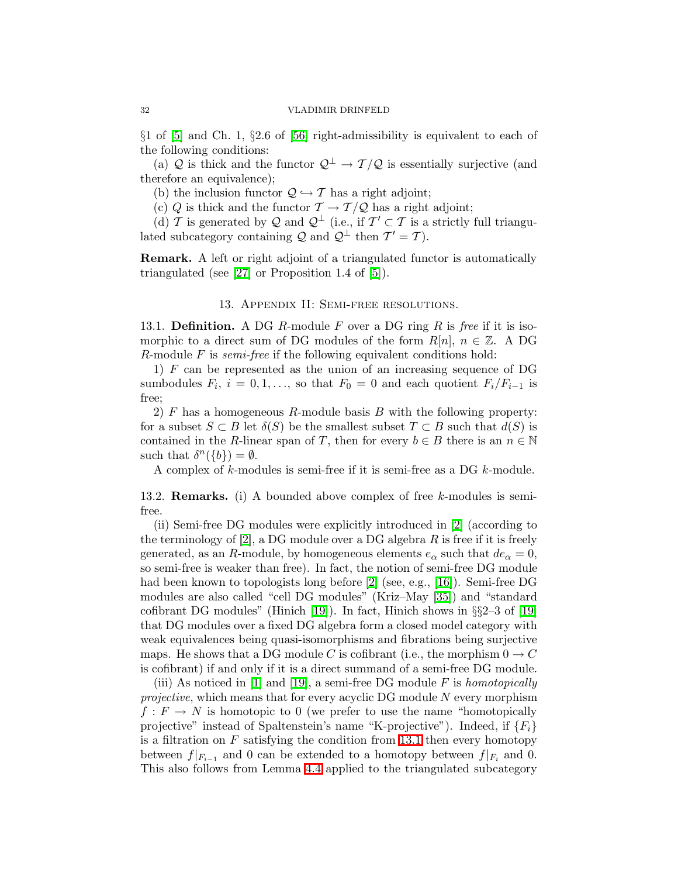$\S1$  of [\[5\]](#page-47-18) and Ch. 1,  $\S2.6$  of [\[56\]](#page-48-0) right-admissibility is equivalent to each of the following conditions:

(a) Q is thick and the functor  $\mathcal{Q}^{\perp} \to \mathcal{T}/\mathcal{Q}$  is essentially surjective (and therefore an equivalence);

(b) the inclusion functor  $\mathcal{Q} \hookrightarrow \mathcal{T}$  has a right adjoint;

(c) Q is thick and the functor  $\mathcal{T} \to \mathcal{T}/\mathcal{Q}$  has a right adjoint;

(d) T is generated by Q and  $\mathcal{Q}^{\perp}$  (i.e., if  $\mathcal{T}' \subset \mathcal{T}$  is a strictly full triangulated subcategory containing  $\mathcal{Q}$  and  $\mathcal{Q}^{\perp}$  then  $\mathcal{T}' = \mathcal{T}$ ).

<span id="page-31-0"></span>Remark. A left or right adjoint of a triangulated functor is automatically triangulated (see [\[27\]](#page-47-19) or Proposition 1.4 of [\[5\]](#page-47-18)).

### 13. Appendix II: Semi-free resolutions.

<span id="page-31-1"></span>13.1. **Definition.** A DG R-module F over a DG ring R is free if it is isomorphic to a direct sum of DG modules of the form  $R[n]$ ,  $n \in \mathbb{Z}$ . A DG R-module  $F$  is *semi-free* if the following equivalent conditions hold:

1)  $F$  can be represented as the union of an increasing sequence of DG sumbodules  $F_i$ ,  $i = 0, 1, \ldots$ , so that  $F_0 = 0$  and each quotient  $F_i/F_{i-1}$  is free;

2) F has a homogeneous R-module basis B with the following property: for a subset  $S \subset B$  let  $\delta(S)$  be the smallest subset  $T \subset B$  such that  $d(S)$  is contained in the R-linear span of T, then for every  $b \in B$  there is an  $n \in \mathbb{N}$ such that  $\delta^{n}(\{b\}) = \emptyset$ .

A complex of k-modules is semi-free if it is semi-free as a DG k-module.

<span id="page-31-2"></span>13.2. Remarks. (i) A bounded above complex of free k-modules is semifree.

(ii) Semi-free DG modules were explicitly introduced in [\[2\]](#page-46-2) (according to the terminology of  $[2]$ , a DG module over a DG algebra R is free if it is freely generated, as an R-module, by homogeneous elements  $e_{\alpha}$  such that  $de_{\alpha} = 0$ , so semi-free is weaker than free). In fact, the notion of semi-free DG module had been known to topologists long before [\[2\]](#page-46-2) (see, e.g., [\[16\]](#page-47-20)). Semi-free DG modules are also called "cell DG modules" (Kriz–May [\[35\]](#page-48-16)) and "standard cofibrant DG modules" (Hinich [\[19\]](#page-47-21)). In fact, Hinich shows in  $\S$ 2–3 of [19] that DG modules over a fixed DG algebra form a closed model category with weak equivalences being quasi-isomorphisms and fibrations being surjective maps. He shows that a DG module C is cofibrant (i.e., the morphism  $0 \to C$ is cofibrant) if and only if it is a direct summand of a semi-free DG module.

(iii) As noticed in [\[1\]](#page-46-3) and [\[19\]](#page-47-21), a semi-free DG module  $F$  is homotopically *projective*, which means that for every acyclic DG module  $N$  every morphism  $f: F \to N$  is homotopic to 0 (we prefer to use the name "homotopically projective" instead of Spaltenstein's name "K-projective"). Indeed, if  ${F_i}$ is a filtration on  $F$  satisfying the condition from [13.1](#page-31-1) then every homotopy between  $f|_{F_{i-1}}$  and 0 can be extended to a homotopy between  $f|_{F_i}$  and 0. This also follows from Lemma [4.4](#page-14-2) applied to the triangulated subcategory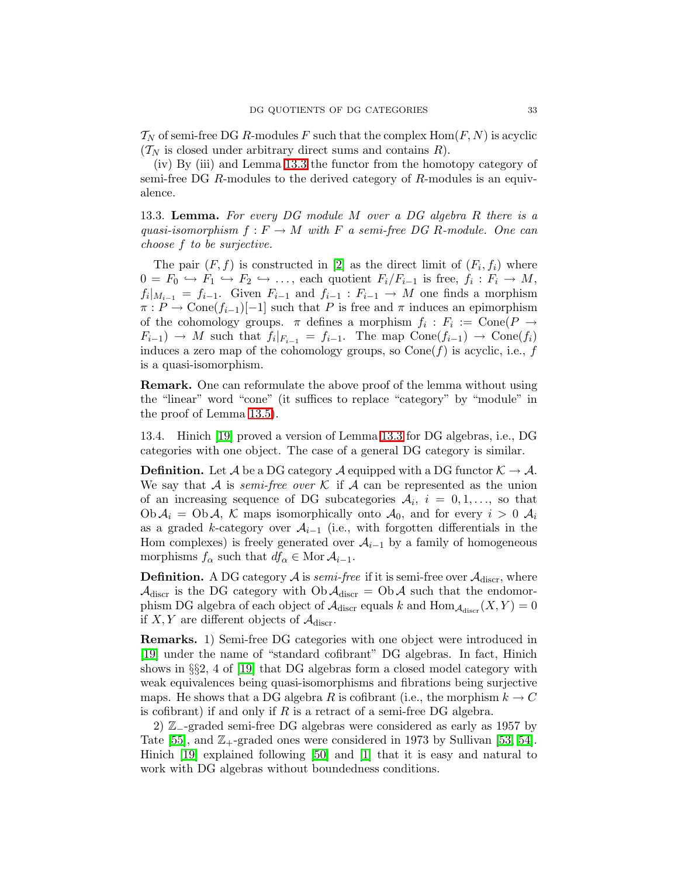$\mathcal{T}_N$  of semi-free DG R-modules F such that the complex Hom $(F, N)$  is acyclic  $(\mathcal{T}_N$  is closed under arbitrary direct sums and contains R).

(iv) By (iii) and Lemma [13.3](#page-32-1) the functor from the homotopy category of semi-free DG R-modules to the derived category of R-modules is an equivalence.

<span id="page-32-1"></span>13.3. Lemma. For every DG module M over a DG algebra R there is a quasi-isomorphism  $f : F \to M$  with F a semi-free DG R-module. One can choose f to be surjective.

The pair  $(F, f)$  is constructed in [\[2\]](#page-46-2) as the direct limit of  $(F_i, f_i)$  where  $0 = F_0 \hookrightarrow F_1 \hookrightarrow F_2 \hookrightarrow \dots$ , each quotient  $F_i/F_{i-1}$  is free,  $f_i : F_i \to M$ ,  $f_i|_{M_{i-1}} = f_{i-1}$ . Given  $F_{i-1}$  and  $f_{i-1} : F_{i-1} \to M$  one finds a morphism  $\pi : P \to \text{Cone}(f_{i-1})[-1]$  such that P is free and  $\pi$  induces an epimorphism of the cohomology groups.  $\pi$  defines a morphism  $f_i : F_i := \text{Cone}(P \to$  $F_{i-1}$   $\rightarrow$  M such that  $f_i|_{F_{i-1}} = f_{i-1}$ . The map  $Cone(f_{i-1}) \rightarrow Cone(f_i)$ induces a zero map of the cohomology groups, so  $Cone(f)$  is acyclic, i.e., f is a quasi-isomorphism.

Remark. One can reformulate the above proof of the lemma without using the "linear" word "cone" (it suffices to replace "category" by "module" in the proof of Lemma [13.5\)](#page-33-1).

<span id="page-32-0"></span>13.4. Hinich [\[19\]](#page-47-21) proved a version of Lemma [13.3](#page-32-1) for DG algebras, i.e., DG categories with one object. The case of a general DG category is similar.

**Definition.** Let A be a DG category A equipped with a DG functor  $K \to \mathcal{A}$ . We say that A is *semi-free over* K if A can be represented as the union of an increasing sequence of DG subcategories  $A_i$ ,  $i = 0, 1, \ldots$ , so that  $Ob \mathcal{A}_i = Ob \mathcal{A}, \mathcal{K}$  maps isomorphically onto  $\mathcal{A}_0$ , and for every  $i > 0$   $\mathcal{A}_i$ as a graded k-category over  $A_{i-1}$  (i.e., with forgotten differentials in the Hom complexes) is freely generated over  $A_{i-1}$  by a family of homogeneous morphisms  $f_{\alpha}$  such that  $df_{\alpha} \in \text{Mor } A_{i-1}$ .

**Definition.** A DG category  $\mathcal{A}$  is *semi-free* if it is semi-free over  $\mathcal{A}_{discr}$ , where  $\mathcal{A}_{\text{discr}}$  is the DG category with  $\mathrm{Ob}\, \mathcal{A}_{\text{discr}} = \mathrm{Ob}\, \mathcal{A}$  such that the endomorphism DG algebra of each object of  $\mathcal{A}_{\text{discr}}$  equals k and  $\text{Hom}_{\mathcal{A}_{\text{discr}}}(X, Y) = 0$ if X, Y are different objects of  $\mathcal{A}_{discr}$ .

Remarks. 1) Semi-free DG categories with one object were introduced in [\[19\]](#page-47-21) under the name of "standard cofibrant" DG algebras. In fact, Hinich shows in §§2, 4 of [\[19\]](#page-47-21) that DG algebras form a closed model category with weak equivalences being quasi-isomorphisms and fibrations being surjective maps. He shows that a DG algebra R is cofibrant (i.e., the morphism  $k \to C$ is cofibrant) if and only if  $R$  is a retract of a semi-free DG algebra.

2) Z<sub>−</sub>-graded semi-free DG algebras were considered as early as 1957 by Tate [\[55\]](#page-48-17), and  $\mathbb{Z}_+$ -graded ones were considered in 1973 by Sullivan [\[53,](#page-48-18) [54\]](#page-48-19). Hinich [\[19\]](#page-47-21) explained following [\[50\]](#page-48-11) and [\[1\]](#page-46-3) that it is easy and natural to work with DG algebras without boundedness conditions.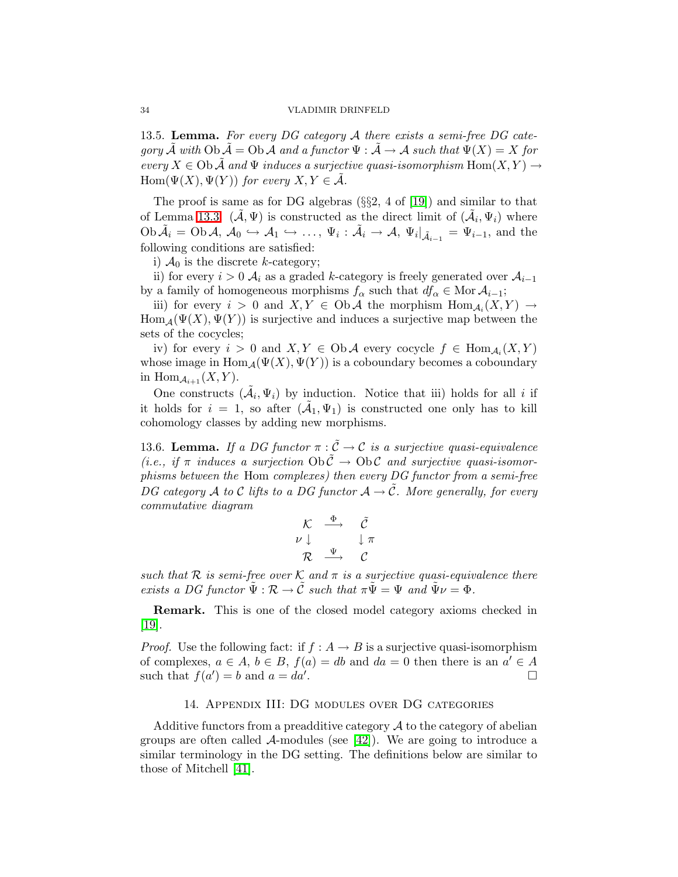<span id="page-33-1"></span>13.5. Lemma. For every DG category  $A$  there exists a semi-free DG category  $\tilde{\mathcal{A}}$  with  $\mathrm{Ob}\,\tilde{\mathcal{A}} = \mathrm{Ob}\,\mathcal{A}$  and a functor  $\Psi : \tilde{\mathcal{A}} \to \mathcal{A}$  such that  $\Psi(X) = X$  for every  $X \in \mathrm{Ob}\, \tilde{\mathcal{A}}$  and  $\Psi$  induces a surjective quasi-isomorphism  $\mathrm{Hom}(X,Y) \to$  $Hom(\Psi(X), \Psi(Y))$  for every  $X, Y \in \mathcal{A}$ .

The proof is same as for DG algebras (§§2, 4 of [\[19\]](#page-47-21)) and similar to that of Lemma [13.3.](#page-32-1)  $(\tilde{\mathcal{A}}, \Psi)$  is constructed as the direct limit of  $(\tilde{\mathcal{A}}_i, \Psi_i)$  where  $\mathrm{Ob}\,\tilde{\mathcal{A}}_i=\mathrm{Ob}\,\mathcal{A},\ \mathcal{A}_0\hookrightarrow\mathcal{A}_1\hookrightarrow\ldots,\ \Psi_i:\tilde{\mathcal{A}}_i\to\mathcal{A},\ \Psi_i|_{\tilde{\mathcal{A}}_{i-1}}=\Psi_{i-1},\ \text{and the}$ following conditions are satisfied:

i)  $\mathcal{A}_0$  is the discrete k-category;

ii) for every  $i > 0$   $A_i$  as a graded k-category is freely generated over  $A_{i-1}$ by a family of homogeneous morphisms  $f_{\alpha}$  such that  $df_{\alpha} \in \text{Mor } A_{i-1}$ ;

iii) for every  $i > 0$  and  $X, Y \in \mathrm{Ob}\,\mathcal{A}$  the morphism  $\mathrm{Hom}_{\mathcal{A}_i}(X, Y) \to$  $\text{Hom}_{\mathcal{A}}(\Psi(X), \Psi(Y))$  is surjective and induces a surjective map between the sets of the cocycles;

iv) for every  $i > 0$  and  $X, Y \in Ob \mathcal{A}$  every cocycle  $f \in Hom_{\mathcal{A}_i}(X, Y)$ whose image in  $\text{Hom}_{\mathcal{A}}(\Psi(X), \Psi(Y))$  is a coboundary becomes a coboundary in  $\text{Hom}_{\mathcal{A}_{i+1}}(X, Y)$ .

One constructs  $(\tilde{\mathcal{A}}_i, \Psi_i)$  by induction. Notice that iii) holds for all i if it holds for  $i = 1$ , so after  $(\tilde{A}_1, \Psi_1)$  is constructed one only has to kill cohomology classes by adding new morphisms.

<span id="page-33-2"></span>13.6. Lemma. If a DG functor  $\pi : \tilde{C} \to C$  is a surjective quasi-equivalence (i.e., if  $\pi$  induces a surjection  $Ob \tilde{C} \rightarrow Ob \mathcal{C}$  and surjective quasi-isomorphisms between the Hom complexes) then every DG functor from a semi-free DG category A to C lifts to a DG functor  $A \rightarrow \tilde{C}$ . More generally, for every commutative diagram

$$
\begin{array}{ccc}\n\mathcal{K} & \xrightarrow{\Phi} & \tilde{\mathcal{C}} \\
\nu \downarrow & & \downarrow \pi \\
\mathcal{R} & \xrightarrow{\Psi} & \mathcal{C}\n\end{array}
$$

such that R is semi-free over K and  $\pi$  is a surjective quasi-equivalence there exists a DG functor  $\Psi : \mathcal{R} \to \tilde{\mathcal{C}}$  such that  $\pi \tilde{\Psi} = \Psi$  and  $\tilde{\Psi} \nu = \Phi$ .

Remark. This is one of the closed model category axioms checked in  $|19|$ .

*Proof.* Use the following fact: if  $f : A \rightarrow B$  is a surjective quasi-isomorphism of complexes,  $a \in A$ ,  $b \in B$ ,  $f(a) = db$  and  $da = 0$  then there is an  $a' \in A$ such that  $f(a') = b$  and  $a = da'$ . The contract of the contract of  $\Box$ 

### 14. Appendix III: DG modules over DG categories

<span id="page-33-0"></span>Additive functors from a preadditive category  $\mathcal A$  to the category of abelian groups are often called  $\mathcal{A}$ -modules (see [\[42\]](#page-48-20)). We are going to introduce a similar terminology in the DG setting. The definitions below are similar to those of Mitchell [\[41\]](#page-48-21).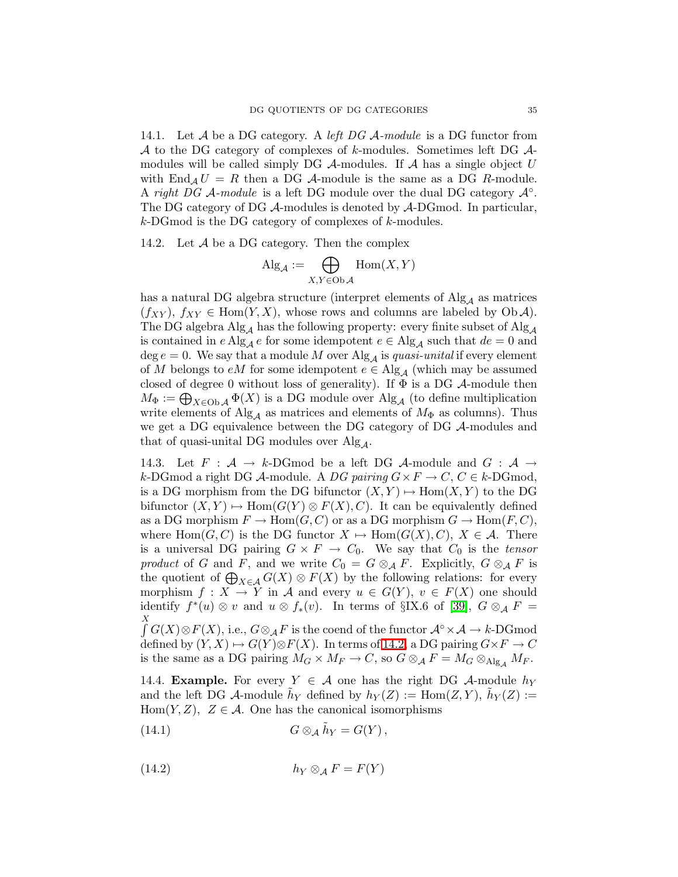14.1. Let  $A$  be a DG category. A *left DG A-module* is a DG functor from A to the DG category of complexes of k-modules. Sometimes left DG  $\mathcal{A}$ modules will be called simply DG  $\mathcal A$ -modules. If  $\mathcal A$  has a single object U with  $\text{End}_A U = R$  then a DG A-module is the same as a DG R-module. A right DG  $\mathcal A$ -module is a left DG module over the dual DG category  $\mathcal A^\circ$ . The DG category of DG A-modules is denoted by A-DGmod. In particular,  $k$ -DGmod is the DG category of complexes of  $k$ -modules.

<span id="page-34-1"></span>14.2. Let  $A$  be a DG category. Then the complex

$$
Alg_{\mathcal{A}} := \bigoplus_{X,Y \in \mathrm{Ob}\,\mathcal{A}} \mathrm{Hom}(X,Y)
$$

has a natural DG algebra structure (interpret elements of  $\text{Alg}_{A}$  as matrices  $(f_{XY})$ ,  $f_{XY} \in \text{Hom}(Y, X)$ , whose rows and columns are labeled by Ob A). The DG algebra  $\text{Alg}_{\mathcal{A}}$  has the following property: every finite subset of  $\text{Alg}_{\mathcal{A}}$ is contained in e Alg<sub>A</sub> e for some idempotent  $e \in Alg_A$  such that  $de = 0$  and deg  $e = 0$ . We say that a module M over Alg<sub>A</sub> is quasi-unital if every element of M belongs to  $eM$  for some idempotent  $e \in Alg_{\mathcal{A}}$  (which may be assumed closed of degree 0 without loss of generality). If  $\Phi$  is a DG A-module then  $M_{\Phi} := \bigoplus_{X \in \text{Ob } A} \Phi(X)$  is a DG module over  $\text{Alg}_{A}$  (to define multiplication write elements of  $\text{Alg}_{\mathcal{A}}$  as matrices and elements of  $M_{\Phi}$  as columns). Thus we get a DG equivalence between the DG category of DG A-modules and that of quasi-unital DG modules over  $\text{Alg}_{\mathcal{A}}$ .

<span id="page-34-0"></span>14.3. Let  $F : A \rightarrow k\text{-DGmod}$  be a left DG A-module and  $G : A \rightarrow$ k-DGmod a right DG A-module. A DG pairing  $G \times F \to C$ ,  $C \in k$ -DGmod, is a DG morphism from the DG bifunctor  $(X, Y) \mapsto \text{Hom}(X, Y)$  to the DG bifunctor  $(X, Y) \mapsto \text{Hom}(G(Y) \otimes F(X), C)$ . It can be equivalently defined as a DG morphism  $F \to \text{Hom}(G, C)$  or as a DG morphism  $G \to \text{Hom}(F, C)$ , where Hom $(G, C)$  is the DG functor  $X \mapsto \text{Hom}(G(X), C)$ ,  $X \in \mathcal{A}$ . There is a universal DG pairing  $G \times F \to C_0$ . We say that  $C_0$  is the tensor product of G and F, and we write  $C_0 = G \otimes_A F$ . Explicitly,  $G \otimes_A F$  is the quotient of  $\bigoplus_{X \in \mathcal{A}} G(X) \otimes F(X)$  by the following relations: for every morphism  $f: X \to Y$  in A and every  $u \in G(Y)$ ,  $v \in F(X)$  one should identify  $f^*(u) \otimes v$  and  $u \otimes f_*(v)$ . In terms of §IX.6 of [\[39\]](#page-48-22),  $G \otimes_{\mathcal{A}} F =$ R  $\int G(X) \otimes F(X),$  i.e.,  $G \otimes_{\mathcal{A}} F$  is the coend of the functor  $\mathcal{A}^\circ \times \mathcal{A} \to k\text{-DGmod}$ defined by  $(Y, X) \mapsto G(Y) \otimes F(X)$ . In terms of [14.2,](#page-34-1) a DG pairing  $G \times F \to C$ 

is the same as a DG pairing  $M_G \times M_F \to C$ , so  $G \otimes_A F = M_G \otimes_{\text{Alg}_A} M_F$ .

<span id="page-34-2"></span>14.4. **Example.** For every  $Y \in \mathcal{A}$  one has the right DG  $\mathcal{A}$ -module  $h_Y$ and the left DG A-module  $\tilde{h}_Y$  defined by  $h_Y(Z) := \text{Hom}(Z, Y)$ ,  $\tilde{h}_Y(Z) :=$  $Hom(Y, Z)$ ,  $Z \in \mathcal{A}$ . One has the canonical isomorphisms

<span id="page-34-3"></span>(14.1) 
$$
G \otimes_{\mathcal{A}} \tilde{h}_Y = G(Y),
$$

$$
(14.2) \t\t\t h_Y \otimes_{\mathcal{A}} F = F(Y)
$$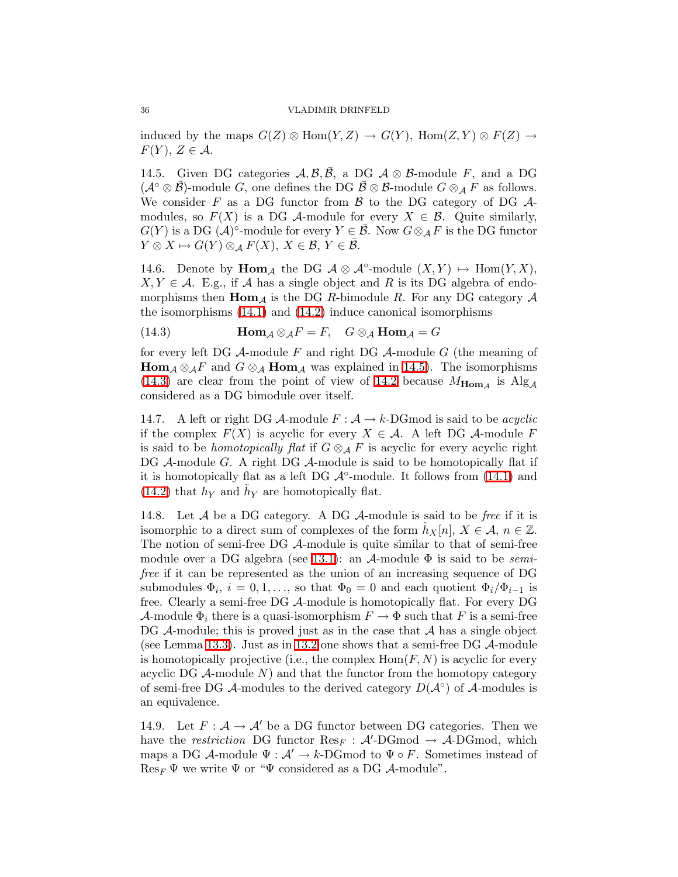induced by the maps  $G(Z) \otimes \text{Hom}(Y, Z) \to G(Y)$ ,  $\text{Hom}(Z, Y) \otimes F(Z) \to$  $F(Y), Z \in \mathcal{A}.$ 

<span id="page-35-2"></span>14.5. Given DG categories  $\mathcal{A}, \mathcal{B}, \mathcal{B}, \mathcal{A}$  DG  $\mathcal{A} \otimes \mathcal{B}$ -module F, and a DG  $(\mathcal{A} \circ \otimes \mathcal{B})$ -module G, one defines the DG  $\mathcal{B} \otimes \mathcal{B}$ -module  $G \otimes_{\mathcal{A}} F$  as follows. We consider F as a DG functor from  $\beta$  to the DG category of DG  $\mathcal{A}$ modules, so  $F(X)$  is a DG A-module for every  $X \in \mathcal{B}$ . Quite similarly,  $G(Y)$  is a DG  $(A)^\circ$ -module for every  $Y \in \overline{\mathcal{B}}$ . Now  $G \otimes_{\mathcal{A}} F$  is the DG functor  $Y \otimes X \mapsto G(Y) \otimes_A F(X), X \in \mathcal{B}, Y \in \overline{\mathcal{B}}.$ 

<span id="page-35-4"></span><span id="page-35-3"></span>14.6. Denote by  $\text{Hom}_{\mathcal{A}}$  the DG  $\mathcal{A} \otimes \mathcal{A}^{\circ}\text{-module } (X,Y) \mapsto \text{Hom}(Y,X),$  $X, Y \in \mathcal{A}$ . E.g., if A has a single object and R is its DG algebra of endomorphisms then  $\text{Hom}_{\mathcal{A}}$  is the DG R-bimodule R. For any DG category  $\mathcal A$ the isomorphisms [\(14.1\)](#page-34-2) and [\(14.2\)](#page-34-3) induce canonical isomorphisms

(14.3) 
$$
\mathbf{Hom}_{\mathcal{A}} \otimes_{\mathcal{A}} F = F, \quad G \otimes_{\mathcal{A}} \mathbf{Hom}_{\mathcal{A}} = G
$$

for every left DG  $\mathcal A$ -module F and right DG  $\mathcal A$ -module G (the meaning of **Hom**<sub>A</sub>  $\otimes_A F$  and  $G \otimes_A \text{Hom}_A$  was explained in [14.5\)](#page-35-2). The isomorphisms [\(14.3\)](#page-35-3) are clear from the point of view of [14.2](#page-34-1) because  $M_{\text{Hom}_\mathcal{A}}$  is  $\text{Alg}_\mathcal{A}$ considered as a DG bimodule over itself.

<span id="page-35-5"></span>14.7. A left or right DG  $\mathcal{A}\text{-module } F : \mathcal{A} \to k\text{-DGmod}$  is said to be *acyclic* if the complex  $F(X)$  is acyclic for every  $X \in \mathcal{A}$ . A left DG  $\mathcal{A}$ -module F is said to be *homotopically flat* if  $G \otimes_A F$  is acyclic for every acyclic right DG A-module G. A right DG A-module is said to be homotopically flat if it is homotopically flat as a left DG  $\mathcal{A}^{\circ}$ -module. It follows from [\(14.1\)](#page-34-2) and [\(14.2\)](#page-34-3) that  $h_Y$  and  $\tilde{h}_Y$  are homotopically flat.

<span id="page-35-0"></span>14.8. Let  $A$  be a DG category. A DG  $A$ -module is said to be *free* if it is isomorphic to a direct sum of complexes of the form  $h_X[n], X \in \mathcal{A}, n \in \mathbb{Z}$ . The notion of semi-free DG A-module is quite similar to that of semi-free module over a DG algebra (see [13.1\)](#page-31-1): an  $\mathcal{A}$ -module  $\Phi$  is said to be *semi*free if it can be represented as the union of an increasing sequence of DG submodules  $\Phi_i$ ,  $i = 0, 1, \ldots$ , so that  $\Phi_0 = 0$  and each quotient  $\Phi_i / \Phi_{i-1}$  is free. Clearly a semi-free DG A-module is homotopically flat. For every DG A-module  $\Phi_i$  there is a quasi-isomorphism  $F \to \Phi$  such that F is a semi-free DG  $\mathcal A$ -module; this is proved just as in the case that  $\mathcal A$  has a single object (see Lemma [13.3\)](#page-32-1). Just as in [13.2](#page-31-2) one shows that a semi-free DG  $\mathcal A$ -module is homotopically projective (i.e., the complex  $\text{Hom}(F, N)$ ) is acyclic for every acyclic DG  $A$ -module  $N$ ) and that the functor from the homotopy category of semi-free DG  $\mathcal A$ -modules to the derived category  $D(\mathcal A\circ)$  of  $\mathcal A$ -modules is an equivalence.

<span id="page-35-1"></span>14.9. Let  $F: \mathcal{A} \to \mathcal{A}'$  be a DG functor between DG categories. Then we have the *restriction* DG functor  $\text{Res}_F$ :  $\mathcal{A}'$ -DGmod  $\rightarrow$  A-DGmod, which maps a DG A-module  $\Psi : \mathcal{A}' \to k$ -DGmod to  $\Psi \circ F$ . Sometimes instead of  $\text{Res}_F \Psi$  we write  $\Psi$  or " $\Psi$  considered as a DG A-module".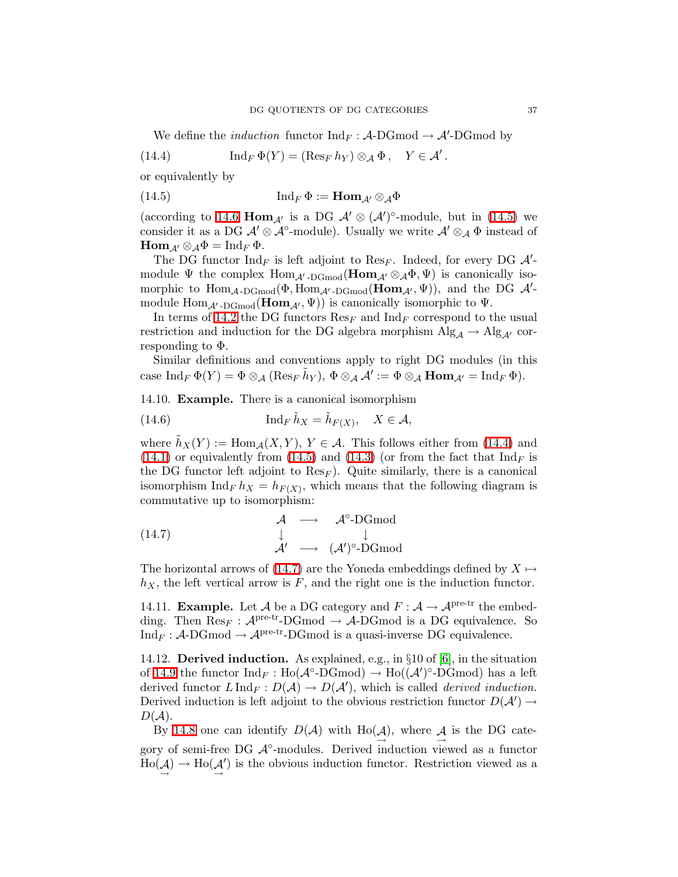<span id="page-36-2"></span>We define the *induction* functor  $\text{Ind}_F : A\text{-DGmod} \to A'\text{-DGmod}$  by

<span id="page-36-1"></span>(14.4) 
$$
\operatorname{Ind}_F \Phi(Y) = (\operatorname{Res}_F h_Y) \otimes_{\mathcal{A}} \Phi, \quad Y \in \mathcal{A}'.
$$

or equivalently by

(14.5) 
$$
\operatorname{Ind}_F \Phi := \operatorname{Hom}_{\mathcal{A}'} \otimes_{\mathcal{A}} \Phi
$$

(according to [14.6](#page-35-4) Hom<sub>A'</sub> is a DG  $\mathcal{A}' \otimes (\mathcal{A}')^{\circ}$ -module, but in [\(14.5\)](#page-36-1) we consider it as a DG  $\mathcal{A}' \otimes \mathcal{A}^{\circ}$ -module). Usually we write  $\mathcal{A}' \otimes_{\mathcal{A}} \Phi$  instead of  $\text{Hom}_{\mathcal{A}'} \otimes_{\mathcal{A}} \Phi = \text{Ind}_F \Phi.$ 

The DG functor  $\text{Ind}_F$  is left adjoint to  $\text{Res}_F$ . Indeed, for every DG  $\mathcal{A}'$ module  $\Psi$  the complex  $\text{Hom}_{\mathcal{A}' \text{-}\text{DGmod}}(\text{Hom}_{\mathcal{A}'} \otimes_{\mathcal{A}} \Phi, \Psi)$  is canonically isomorphic to  $\text{Hom}_{\mathcal{A}\text{-}\text{DGmod}}(\Phi, \text{Hom}_{\mathcal{A}'\text{-}\text{DGmod}}(\text{Hom}_{\mathcal{A}'}, \Psi))$ , and the DG  $\mathcal{A}'$ module  $\text{Hom}_{\mathcal{A}'\text{-}\text{DGmod}}(\text{Hom}_{\mathcal{A}'}, \Psi)$  is canonically isomorphic to  $\Psi$ .

In terms of [14.2](#page-34-1) the DG functors  $\text{Res}_F$  and  $\text{Ind}_F$  correspond to the usual restriction and induction for the DG algebra morphism  $\mathrm{Alg}_{\mathcal{A}} \to \mathrm{Alg}_{\mathcal{A}'}$  corresponding to Φ.

Similar definitions and conventions apply to right DG modules (in this case  $\mathrm{Ind}_F \, \Phi(Y) = \Phi \otimes_{\mathcal{A}} (\mathrm{Res}_F \, \tilde{h}_Y), \, \Phi \otimes_{\mathcal{A}} \mathcal{A}' := \Phi \otimes_{\mathcal{A}} \mathbf{Hom}_{\mathcal{A}'} = \mathrm{Ind}_F \, \Phi.$ 

14.10. Example. There is a canonical isomorphism

(14.6) 
$$
\operatorname{Ind}_F \tilde{h}_X = \tilde{h}_{F(X)}, \quad X \in \mathcal{A},
$$

where  $\tilde{h}_X(Y) := \text{Hom}_{\mathcal{A}}(X, Y), Y \in \mathcal{A}$ . This follows either from [\(14.4\)](#page-36-2) and [\(14.1\)](#page-34-2) or equivalently from [\(14.5\)](#page-36-1) and [\(14.3\)](#page-35-3) (or from the fact that  $\text{Ind}_F$  is the DG functor left adjoint to  $\text{Res}_F$ ). Quite similarly, there is a canonical isomorphism  $\text{Ind}_F h_X = h_{F(X)}$ , which means that the following diagram is commutative up to isomorphism:

<span id="page-36-3"></span>(14.7) 
$$
\begin{array}{ccc}\n\mathcal{A} & \longrightarrow & \mathcal{A}^{\circ}\text{-DGmod} \\
\downarrow & & \downarrow \\
\mathcal{A}' & \longrightarrow & (\mathcal{A}')^{\circ}\text{-DGmod}\n\end{array}
$$

The horizontal arrows of [\(14.7\)](#page-36-3) are the Yoneda embeddings defined by  $X \mapsto$  $h_X$ , the left vertical arrow is F, and the right one is the induction functor.

<span id="page-36-0"></span>14.11. **Example.** Let A be a DG category and  $F : A \to A^{pre-tr}$  the embedding. Then  $\text{Res}_F : \mathcal{A}^{\text{pre-tr}}$ -DGmod  $\rightarrow \mathcal{A}$ -DGmod is a DG equivalence. So  $Ind_F : \mathcal{A}\text{-}\mathrm{DGmod} \to \mathcal{A}^{\mathrm{pre-tr}}\text{-}\mathrm{DGmod}$  is a quasi-inverse DG equivalence.

14.12. Derived induction. As explained, e.g., in §10 of [\[6\]](#page-47-13), in the situation of [14.9](#page-35-1) the functor  $\text{Ind}_F : \text{Ho}(\mathcal{A}^\circ \text{-}\text{DGmod}) \to \text{Ho}((\mathcal{A}')^\circ \text{-}\text{D}\text{Gmod})$  has a left derived functor  $L \operatorname{Ind}_F : D(\mathcal{A}) \to D(\mathcal{A}')$ , which is called *derived induction*. Derived induction is left adjoint to the obvious restriction functor  $D(\mathcal{A}') \rightarrow$  $D(A).$ 

By [14.8](#page-35-0) one can identify  $D(\mathcal{A})$  with  $\text{Ho}(\mathcal{A})$ , where  $\mathcal{A}$  is the DG category of semi-free DG  $\mathcal{A}^\circ$ -modules. Derived induction viewed as a functor  $\text{Ho}(\mathcal{A}) \to \text{Ho}(\mathcal{A})$ ′ ) is the obvious induction functor. Restriction viewed as a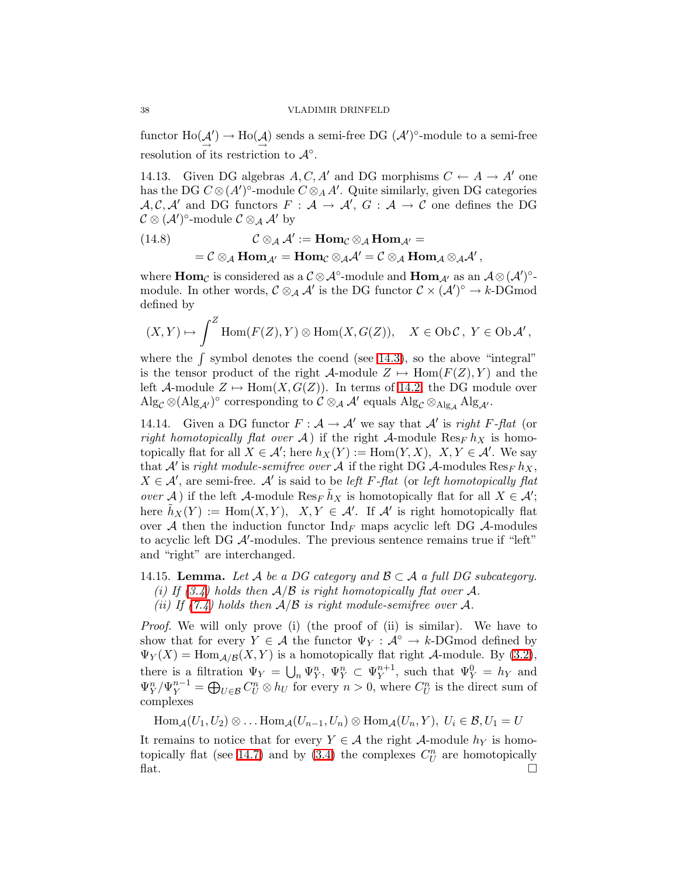functor  $\text{Ho}(\mathcal{A}') \to \text{Ho}(\mathcal{A})$  sends a semi-free DG  $(\mathcal{A}')^{\circ}$ -module to a semi-free  $\rightarrow$  $\rightarrow$ resolution of its restriction to  $\mathcal{A}^{\circ}$ .

14.13. Given DG algebras  $A, C, A'$  and DG morphisms  $C \leftarrow A \rightarrow A'$  one has the DG  $C \otimes (A')^{\circ}$ -module  $C \otimes_A A'$ . Quite similarly, given DG categories  $A, C, A'$  and DG functors  $F : A \to A', G : A \to C$  one defines the DG  $\mathcal{C} \otimes (\mathcal{A}')^{\circ}$ -module  $\mathcal{C} \otimes_{\mathcal{A}} \mathcal{A}'$  by

<span id="page-37-1"></span>(14.8) 
$$
\mathcal{C} \otimes_{\mathcal{A}} \mathcal{A}' := \text{Hom}_{\mathcal{C}} \otimes_{\mathcal{A}} \text{Hom}_{\mathcal{A}'} =
$$

$$
= \mathcal{C} \otimes_{\mathcal{A}} \text{Hom}_{\mathcal{A}'} = \text{Hom}_{\mathcal{C}} \otimes_{\mathcal{A}} \mathcal{A}' = \mathcal{C} \otimes_{\mathcal{A}} \text{Hom}_{\mathcal{A}} \otimes_{\mathcal{A}} \mathcal{A}',
$$

where  $\text{Hom}_{\mathcal{C}}$  is considered as a  $\mathcal{C} \otimes \mathcal{A}^{\circ}\text{-module}$  and  $\text{Hom}_{\mathcal{A}'}$  as an  $\mathcal{A} \otimes (\mathcal{A}')^{\circ}\text{-}$ module. In other words,  $\mathcal{C} \otimes_{\mathcal{A}} \mathcal{A}'$  is the DG functor  $\mathcal{C} \times (\mathcal{A}')^{\circ} \to k\text{-}\mathbf{D} \mathbf{G}$  mod defined by

$$
(X,Y)\mapsto \int^Z \operatorname{Hom}(F(Z),Y)\otimes \operatorname{Hom}(X,G(Z)),\quad X\in \operatorname{Ob}\mathcal{C},\ Y\in \operatorname{Ob}\mathcal{A}',
$$

where the  $\int$  symbol denotes the coend (see [14.3\)](#page-34-0), so the above "integral" is the tensor product of the right  $\mathcal{A}\text{-module }Z \mapsto \text{Hom}(F(Z),Y)$  and the left A-module  $Z \mapsto \text{Hom}(X, G(Z))$ . In terms of [14.2,](#page-34-1) the DG module over  $\mathrm{Alg}_{\mathcal{C}} \otimes (\mathrm{Alg}_{\mathcal{A}'})^{\circ}$  corresponding to  $\mathcal{C} \otimes_{\mathcal{A}} \mathcal{A}'$  equals  $\mathrm{Alg}_{\mathcal{C}} \otimes_{\mathrm{Alg}_{\mathcal{A}}} \mathrm{Alg}_{\mathcal{A}'}$ .

14.14. Given a DG functor  $F : A \to A'$  we say that A' is right F-flat (or right homotopically flat over A) if the right A-module  $\text{Res}_F h_X$  is homotopically flat for all  $X \in \mathcal{A}'$ ; here  $h_X(Y) := \text{Hom}(Y, X)$ ,  $X, Y \in \mathcal{A}'$ . We say that  $\mathcal{A}'$  is right module-semifree over  $\mathcal{A}$  if the right DG  $\mathcal{A}$ -modules  $\text{Res}_F h_X$ ,  $X \in \mathcal{A}'$ , are semi-free.  $\mathcal{A}'$  is said to be left F-flat (or left homotopically flat over A) if the left A-module  $\text{Res}_F \tilde{h}_X$  is homotopically flat for all  $X \in \mathcal{A}'$ ; here  $\tilde{h}_X(Y) := \text{Hom}(X, Y), X, Y \in \mathcal{A}'$ . If  $\mathcal{A}'$  is right homotopically flat over A then the induction functor  $\text{Ind}_F$  maps acyclic left DG A-modules to acyclic left DG  $A'$ -modules. The previous sentence remains true if "left" and "right" are interchanged.

- <span id="page-37-0"></span>14.15. Lemma. Let A be a DG category and  $\mathcal{B} \subset \mathcal{A}$  a full DG subcategory. (i) If  $(3.4)$  holds then  $A/B$  is right homotopically flat over A.
	- (ii) If  $(7.4)$  holds then  $A/B$  is right module-semifree over A.

Proof. We will only prove (i) (the proof of (ii) is similar). We have to show that for every  $Y \in \mathcal{A}$  the functor  $\Psi_Y : \mathcal{A}^\circ \to k\text{-DGmod}$  defined by  $\Psi_Y(X) = \text{Hom}_{\mathcal{A}/\mathcal{B}}(X, Y)$  is a homotopically flat right  $\mathcal{A}\text{-module}$ . By [\(3.2\)](#page-10-5), there is a filtration  $\Psi_Y = \bigcup_n \Psi_Y^n, \Psi_Y^n \subset \Psi_Y^{n+1}$  $y_Y^{n+1}$ , such that  $\Psi_Y^0 = h_Y$  and  $\Psi_Y^n / \Psi_Y^{n-1} = \bigoplus_{U \in \mathcal{B}} C_U^n \otimes h_U$  for every  $n > 0$ , where  $C_U^n$  is the direct sum of complexes

 $\text{Hom}_{\mathcal{A}}(U_1,U_2) \otimes \ldots \text{Hom}_{\mathcal{A}}(U_{n-1},U_n) \otimes \text{Hom}_{\mathcal{A}}(U_n,Y), U_i \in \mathcal{B}, U_1 = U$ 

It remains to notice that for every  $Y \in \mathcal{A}$  the right  $\mathcal{A}$ -module  $h_Y$  is homo-topically flat (see [14.7\)](#page-35-5) and by [\(3.4\)](#page-10-3) the complexes  $C_U^n$  are homotopically  $\mathbb{R}$  flat.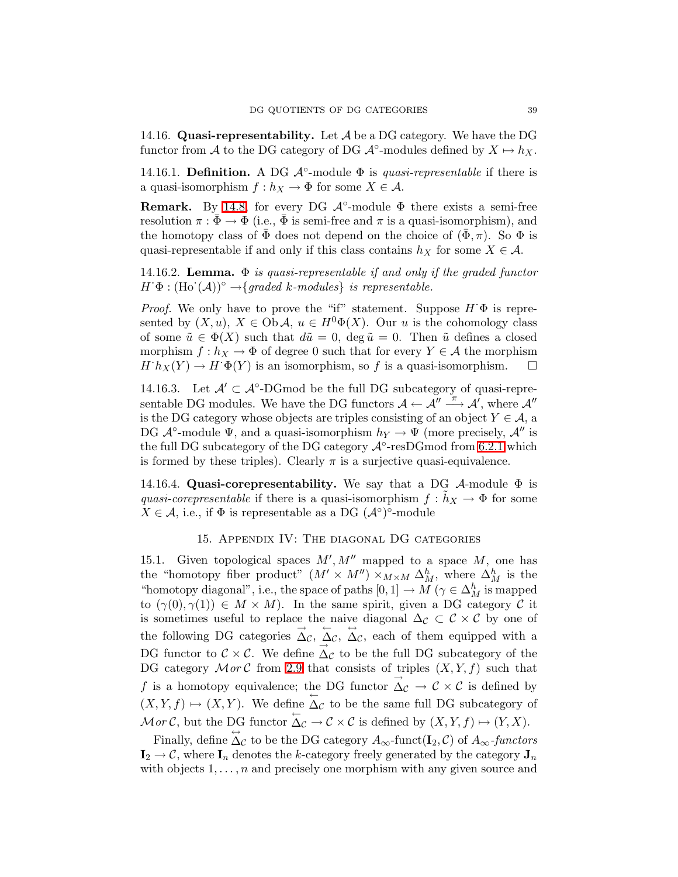<span id="page-38-4"></span>14.16. Quasi-representability. Let  $A$  be a DG category. We have the DG functor from A to the DG category of DG  $\mathcal{A}^{\circ}$ -modules defined by  $X \mapsto h_X$ .

14.16.1. Definition. A DG  $A^{\circ}$ -module  $\Phi$  is *quasi-representable* if there is a quasi-isomorphism  $f : h_X \to \Phi$  for some  $X \in \mathcal{A}$ .

**Remark.** By [14.8,](#page-35-0) for every DG  $\mathcal{A}^{\circ}$ -module  $\Phi$  there exists a semi-free resolution  $\pi : \Phi \to \Phi$  (i.e.,  $\bar{\Phi}$  is semi-free and  $\pi$  is a quasi-isomorphism), and the homotopy class of  $\bar{\Phi}$  does not depend on the choice of  $(\bar{\Phi}, \pi)$ . So  $\Phi$  is quasi-representable if and only if this class contains  $h_X$  for some  $X \in \mathcal{A}$ .

<span id="page-38-0"></span>14.16.2. **Lemma.**  $\Phi$  is quasi-representable if and only if the graded functor  $H^{\cdot} \Phi : (\text{Ho}^{\cdot}(\mathcal{A}))^{\circ} \rightarrow \{graded \ k\text{-modules}\} \ \text{is representable.}$ 

*Proof.* We only have to prove the "if" statement. Suppose  $H \Phi$  is represented by  $(X, u)$ ,  $X \in Ob \mathcal{A}$ ,  $u \in H^0 \Phi(X)$ . Our u is the cohomology class of some  $\tilde{u} \in \Phi(X)$  such that  $d\tilde{u} = 0$ , deg  $\tilde{u} = 0$ . Then  $\tilde{u}$  defines a closed morphism  $f : h_X \to \Phi$  of degree 0 such that for every  $Y \in \mathcal{A}$  the morphism  $H^{\dagger}h_X(Y) \to H^{\dagger}\Phi(Y)$  is an isomorphism, so f is a quasi-isomorphism.  $\square$ 

<span id="page-38-1"></span>14.16.3. Let  $\mathcal{A}' \subset \mathcal{A}^{\circ}\text{-}\mathrm{DG}$  mod be the full DG subcategory of quasi-representable DG modules. We have the DG functors  $\mathcal{A} \leftarrow \mathcal{A}'' \stackrel{\pi}{\longrightarrow} \mathcal{A}'$ , where  $\mathcal{A}''$ is the DG category whose objects are triples consisting of an object  $Y \in \mathcal{A}$ , a DG  $\mathcal{A}^{\circ}$ -module  $\Psi$ , and a quasi-isomorphism  $h_Y \to \Psi$  (more precisely,  $\mathcal{A}''$  is the full DG subcategory of the DG category  $\mathcal{A}^{\circ}$ -resDGmod from [6.2.1](#page-20-3) which is formed by these triples). Clearly  $\pi$  is a surjective quasi-equivalence.

14.16.4. Quasi-corepresentability. We say that a DG  $\mathcal{A}\text{-module } \Phi$  is quasi-corepresentable if there is a quasi-isomorphism  $f : \tilde{h}_X \to \Phi$  for some  $X \in \mathcal{A}$ , i.e., if  $\Phi$  is representable as a DG  $(\mathcal{A}^{\circ})^{\circ}$ -module

## 15. Appendix IV: The diagonal DG categories

<span id="page-38-3"></span><span id="page-38-2"></span>15.1. Given topological spaces  $M', M''$  mapped to a space  $M$ , one has the "homotopy fiber product"  $(M' \times M'') \times_{M \times M} \Delta_M^h$ , where  $\Delta_M^h$  is the "homotopy diagonal", i.e., the space of paths  $[0,1] \to M$  ( $\gamma \in \Delta_M^h$  is mapped to  $(\gamma(0), \gamma(1)) \in M \times M$ ). In the same spirit, given a DG category C it is sometimes useful to replace the naive diagonal  $\Delta_{\mathcal{C}} \subset \mathcal{C} \times \mathcal{C}$  by one of the following DG categories  $\overrightarrow{\Delta}_{\mathcal{C}}, \overleftarrow{\Delta}_{\mathcal{C}}, \overrightarrow{\Delta}_{\mathcal{C}},$  each of them equipped with a DG functor to  $\mathcal{C} \times \mathcal{C}$ . We define  $\Delta_{\mathcal{C}}$  to be the full DG subcategory of the DG category  $Mor \mathcal{C}$  from [2.9](#page-9-2) that consists of triples  $(X, Y, f)$  such that f is a homotopy equivalence; the DG functor  $\overrightarrow{\Delta}_{\mathcal{C}} \rightarrow \overrightarrow{\mathcal{C}} \times \overrightarrow{\mathcal{C}}$  is defined by  $(X, Y, f) \mapsto (X, Y)$ . We define  $\overline{\Delta_{\mathcal{C}}}$  to be the same full DG subcategory of  $\mathcal{M}$ or C, but the DG functor  $\overleftarrow{\Delta_{\mathcal{C}}} \to \mathcal{C} \times \mathcal{C}$  is defined by  $(X, Y, f) \mapsto (Y, X)$ .

Finally, define  $\overleftrightarrow{\Delta}_{\mathcal{C}}$  to be the DG category  $A_{\infty}$ -functors  $\overleftrightarrow{A_{\infty}}$ -functors  $I_2 \rightarrow \mathcal{C}$ , where  $I_n$  denotes the k-category freely generated by the category  $J_n$ with objects  $1, \ldots, n$  and precisely one morphism with any given source and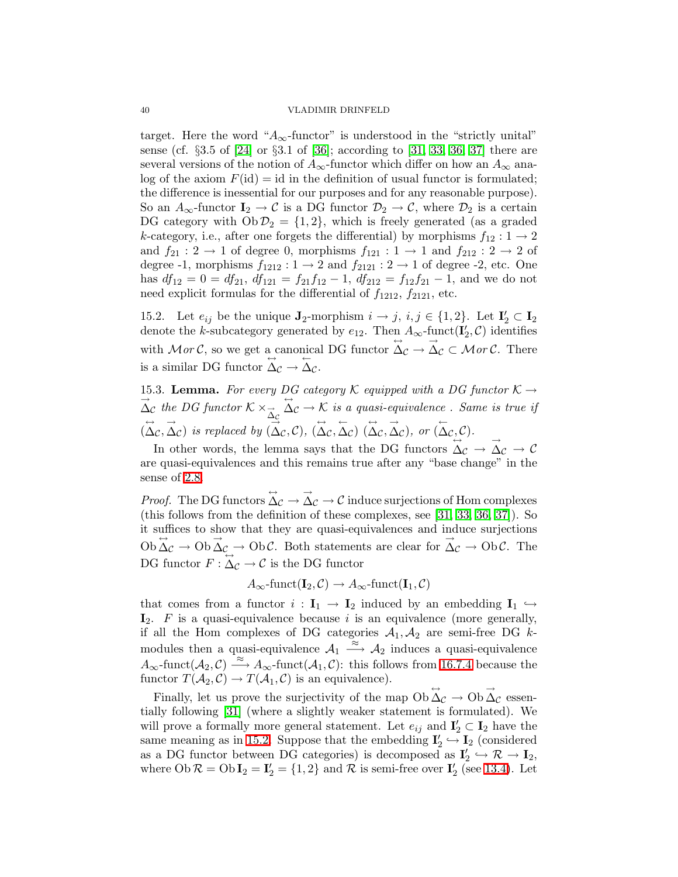target. Here the word " $A_{\infty}$ -functor" is understood in the "strictly unital" sense (cf. §3.5 of [\[24\]](#page-47-4) or §3.1 of [\[36\]](#page-48-4); according to [\[31,](#page-48-2) [33,](#page-48-3) [36,](#page-48-4) [37\]](#page-48-5) there are several versions of the notion of  $A_{\infty}$ -functor which differ on how an  $A_{\infty}$  analog of the axiom  $F(id) = id$  in the definition of usual functor is formulated; the difference is inessential for our purposes and for any reasonable purpose). So an  $A_{\infty}$ -functor  $I_2 \to \mathcal{C}$  is a DG functor  $\mathcal{D}_2 \to \mathcal{C}$ , where  $\mathcal{D}_2$  is a certain DG category with  $Ob \mathcal{D}_2 = \{1, 2\}$ , which is freely generated (as a graded k-category, i.e., after one forgets the differential) by morphisms  $f_{12}: 1 \rightarrow 2$ and  $f_{21}: 2 \rightarrow 1$  of degree 0, morphisms  $f_{121}: 1 \rightarrow 1$  and  $f_{212}: 2 \rightarrow 2$  of degree -1, morphisms  $f_{1212}: 1 \rightarrow 2$  and  $f_{2121}: 2 \rightarrow 1$  of degree -2, etc. One has  $df_{12} = 0 = df_{21}$ ,  $df_{121} = f_{21}f_{12} - 1$ ,  $df_{212} = f_{12}f_{21} - 1$ , and we do not need explicit formulas for the differential of  $f_{1212}$ ,  $f_{2121}$ , etc.

<span id="page-39-1"></span>15.2. Let  $e_{ij}$  be the unique  $\mathbf{J}_2$ -morphism  $i \to j$ ,  $i, j \in \{1, 2\}$ . Let  $\mathbf{I}'_2 \subset \mathbf{I}_2$ denote the k-subcategory generated by  $e_{12}$ . Then  $A_{\infty}$ -funct $(\mathbf{I}'_2, \mathcal{C})$  identifies with Mor C, so we get a canonical DG functor  $\overrightarrow{\Delta}_{\mathcal{C}} \rightarrow \overrightarrow{\Delta}_{\mathcal{C}} \subset \mathcal{M}$  or C. There is a similar DG functor  $\Delta \mathcal{C} \rightarrow \Delta \mathcal{C}$ .

<span id="page-39-0"></span>15.3. Lemma. For every DG category K equipped with a DG functor  $K \rightarrow$  $\Delta_{\mathcal{C}}$  the DG functor  $\mathcal{K} \times_{\overrightarrow{\Delta}_{\mathcal{C}}}$  $\overrightarrow{\Delta}_{\mathcal{C}} \rightarrow \overrightarrow{\mathcal{K}}$  is a quasi-equivalence. Same is true if  $(\overrightarrow{\Delta}_{\mathcal{C}}, \overrightarrow{\Delta}_{\mathcal{C}})$  is replaced by  $(\overrightarrow{\Delta}_{\mathcal{C}}, \mathcal{C}), (\overrightarrow{\Delta}_{\mathcal{C}}, \overrightarrow{\Delta}_{\mathcal{C}})$   $(\overrightarrow{\Delta}_{\mathcal{C}}, \overrightarrow{\Delta}_{\mathcal{C}})$ , or  $(\overrightarrow{\Delta}_{\mathcal{C}}, \mathcal{C})$ .

In other words, the lemma says that the DG functors  $\overrightarrow{\Delta}_{\mathcal{C}} \rightarrow \overrightarrow{\Delta}_{\mathcal{C}} \rightarrow \mathcal{C}$ are quasi-equivalences and this remains true after any "base change" in the sense of [2.8.](#page-8-2)

*Proof.* The DG functors  $\overrightarrow{\Delta}_{\mathcal{C}} \rightarrow \overrightarrow{\Delta}_{\mathcal{C}} \rightarrow \mathcal{C}$  induce surjections of Hom complexes (this follows from the definition of these complexes, see [\[31,](#page-48-2) [33,](#page-48-3) [36,](#page-48-4) [37\]](#page-48-5)). So it suffices to show that they are quasi-equivalences and induce surjections  $\overrightarrow{Ob} \overrightarrow{\Delta}_{\mathcal{C}} \rightarrow \overrightarrow{Ob} \overrightarrow{\Delta}_{\mathcal{C}}$   $\rightarrow \overrightarrow{Ob} \overrightarrow{C}$ . Both statements are clear for  $\overrightarrow{\Delta}_{\mathcal{C}} \rightarrow \overrightarrow{Ob} \overrightarrow{C}$ . The DG functor  $F: \Delta_{\mathcal{C}} \to \mathcal{C}$  is the DG functor

$$
A_{\infty}\text{-funct}(\mathbf{I}_2, \mathcal{C}) \to A_{\infty}\text{-funct}(\mathbf{I}_1, \mathcal{C})
$$

that comes from a functor  $i : I_1 \to I_2$  induced by an embedding  $I_1 \hookrightarrow$  $\mathbf{I}_2$ . F is a quasi-equivalence because i is an equivalence (more generally, if all the Hom complexes of DG categories  $A_1, A_2$  are semi-free DG kmodules then a quasi-equivalence  $A_1 \stackrel{\approx}{\longrightarrow} A_2$  induces a quasi-equivalence  $A_{\infty}$ -funct $(\mathcal{A}_2, \mathcal{C}) \stackrel{\sim}{\longrightarrow} A_{\infty}$ -funct $(\mathcal{A}_1, \mathcal{C})$ : this follows from [16.7.4](#page-45-1) because the functor  $T(A_2, C) \to T(A_1, C)$  is an equivalence).

Finally, let us prove the surjectivity of the map  $Ob \vec{\Delta}_{\mathcal{C}} \to Ob \vec{\Delta}_{\mathcal{C}}$  essentially following [\[31\]](#page-48-2) (where a slightly weaker statement is formulated). We will prove a formally more general statement. Let  $e_{ij}$  and  $\mathbf{I}'_2 \subset \mathbf{I}_2$  have the same meaning as in [15.2.](#page-39-1) Suppose that the embedding  $I'_2 \hookrightarrow I_2$  (considered as a DG functor between DG categories) is decomposed as  $I'_2 \nightharpoonup \mathcal{R} \to I_2$ , where  $Ob \mathcal{R} = Ob \mathbf{I}_2 = \mathbf{I}'_2 = \{1, 2\}$  and  $\mathcal{R}$  is semi-free over  $\mathbf{I}'_2$  (see [13.4\)](#page-32-0). Let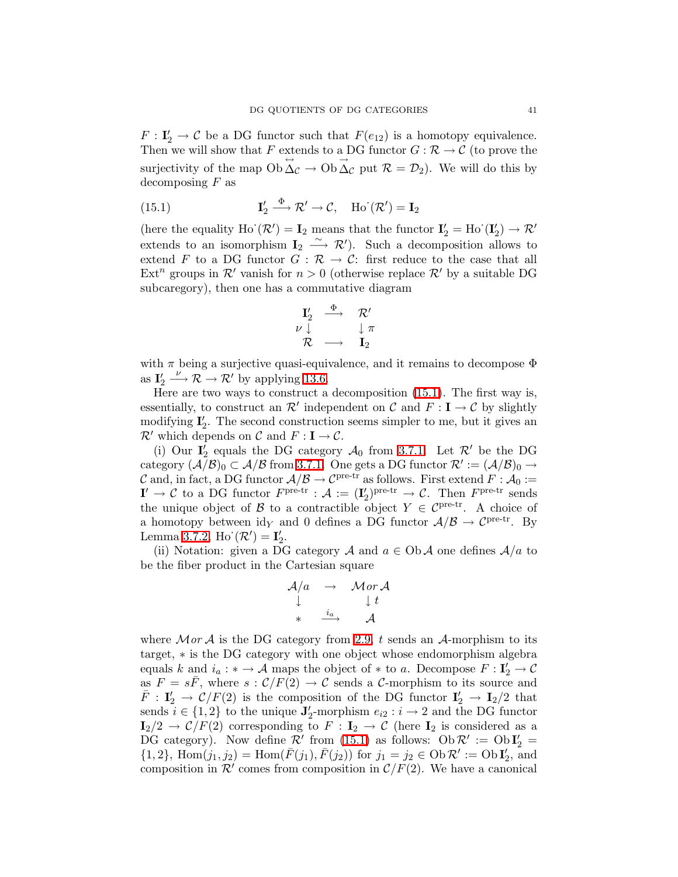<span id="page-40-0"></span> $F: I'_2 \to C$  be a DG functor such that  $F(e_{12})$  is a homotopy equivalence. Then we will show that F extends to a DG functor  $G : \mathcal{R} \to \mathcal{C}$  (to prove the surjectivity of the map  $Ob \overrightarrow{\Delta}_{\mathcal{C}} \to Ob \overrightarrow{\Delta}_{\mathcal{C}}$  put  $\mathcal{R} = \mathcal{D}_2$ ). We will do this by decomposing  $F$  as

(15.1) 
$$
\mathbf{I}'_2 \stackrel{\Phi}{\longrightarrow} \mathcal{R}' \to \mathcal{C}, \quad \text{Ho}^{\cdot}(\mathcal{R}') = \mathbf{I}_2
$$

(here the equality  $Ho^{\cdot}(\mathcal{R}') = I_2$  means that the functor  $I'_2 = Ho^{\cdot}(I'_2) \rightarrow \mathcal{R}'$ extends to an isomorphism  $\mathbf{I}_2 \xrightarrow{\sim} \mathcal{R}'$ ). Such a decomposition allows to extend F to a DG functor  $G : \mathcal{R} \to \mathcal{C}$ : first reduce to the case that all Ext<sup>n</sup> groups in  $\mathcal{R}'$  vanish for  $n > 0$  (otherwise replace  $\mathcal{R}'$  by a suitable DG subcaregory), then one has a commutative diagram

$$
\begin{array}{ccc}\n\mathbf{I}_{2}^{\prime}&\stackrel{\Phi}{\longrightarrow}&\mathcal{R}^{\prime}\\ \nu\downarrow&&\downarrow\pi\\ \mathcal{R}&\longrightarrow&\mathbf{I}_{2}\end{array}
$$

with  $\pi$  being a surjective quasi-equivalence, and it remains to decompose  $\Phi$ as  $I'_2 \stackrel{\nu}{\longrightarrow} \mathcal{R} \stackrel{\cdot}{\longrightarrow} \mathcal{R}'$  by applying [13.6.](#page-33-2)

Here are two ways to construct a decomposition [\(15.1\)](#page-40-0). The first way is, essentially, to construct an  $\mathcal{R}'$  independent on  $\mathcal{C}$  and  $F: \mathbf{I} \to \mathcal{C}$  by slightly modifying  $I'_2$ . The second construction seems simpler to me, but it gives an  $\mathcal{R}'$  which depends on  $\mathcal{C}$  and  $F : I \to \mathcal{C}$ .

(i) Our  $I_2^{\prime}$  equals the DG category  $\mathcal{A}_0$  from [3.7.1.](#page-11-3) Let  $\mathcal{R}'$  be the DG category  $(\tilde{\mathcal{A}}/\mathcal{B})_0 \subset \mathcal{A}/\mathcal{B}$  from [3.7.1.](#page-11-3) One gets a DG functor  $\mathcal{R}' := (\mathcal{A}/\mathcal{B})_0 \to$ C and, in fact, a DG functor  $A/B \to C^{\text{pre-tr}}$  as follows. First extend  $F : A_0 :=$  $I' \to \mathcal{C}$  to a DG functor  $F^{\text{pre-tr}} : \mathcal{A} := (I'_2)^{\text{pre-tr}} \to \mathcal{C}$ . Then  $F^{\text{pre-tr}}$  sends the unique object of B to a contractible object  $Y \in \mathcal{C}^{\text{pre-tr}}$ . A choice of a homotopy between  $\mathrm{id}_Y$  and 0 defines a DG functor  $\mathcal{A}/\mathcal{B} \to \mathcal{C}^{\mathrm{pre-tr}}$ . By Lemma [3.7.2,](#page-11-2) Ho $(\mathcal{R}') = I'_2$ .

(ii) Notation: given a DG category A and  $a \in Ob \mathcal{A}$  one defines  $\mathcal{A}/a$  to be the fiber product in the Cartesian square

$$
\begin{array}{ccc}\mathcal{A}/a & \to & \mathcal{M}or\,\mathcal{A} \\ \downarrow & & \downarrow t \\ * & \stackrel{i_a}{\longrightarrow} & \mathcal{A}\end{array}
$$

where  $\mathcal{M}$  or  $\mathcal{A}$  is the DG category from [2.9,](#page-9-2) t sends an  $\mathcal{A}$ -morphism to its target, ∗ is the DG category with one object whose endomorphism algebra equals k and  $i_a : * \to \mathcal{A}$  maps the object of  $*$  to a. Decompose  $F : I'_2 \to \mathcal{C}$ as  $F = s\bar{F}$ , where  $s : C/F(2) \to C$  sends a C-morphism to its source and  $\bar{F}$ :  $I'_2 \rightarrow C/F(2)$  is the composition of the DG functor  $I'_2 \rightarrow I_2/2$  that sends  $i \in \{1,2\}$  to the unique  $J'_2$ -morphism  $e_{i2} : i \to 2$  and the DG functor  $\mathbf{I}_2/2 \to \mathcal{C}/F(2)$  corresponding to  $F : \mathbf{I}_2 \to \mathcal{C}$  (here  $\mathbf{I}_2$  is considered as a DG category). Now define  $\mathcal{R}'$  from [\(15.1\)](#page-40-0) as follows:  $Ob \mathcal{R}' := Ob I'_2 =$  $\{1,2\}, \text{ Hom}(j_1, j_2) = \text{Hom}(\bar{F}(j_1), \bar{F}(j_2)) \text{ for } j_1 = j_2 \in \text{Ob } \mathcal{R}' := \text{Ob } \mathbf{I}'_2, \text{ and }$ composition in  $\mathcal{R}'$  comes from composition in  $\mathcal{C}/F(2)$ . We have a canonical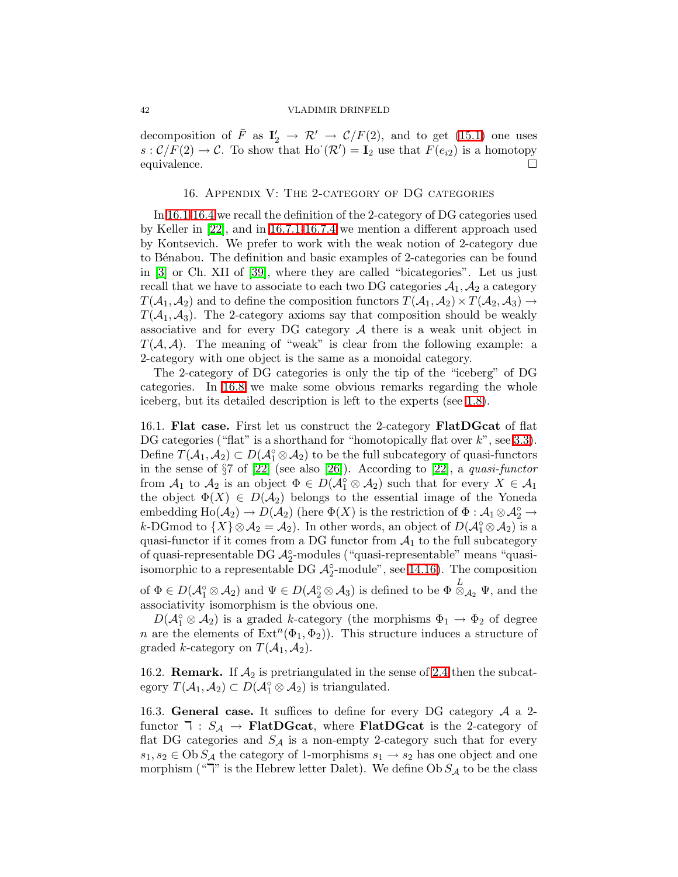decomposition of  $\bar{F}$  as  $I'_2 \to \mathcal{R}' \to \mathcal{C}/F(2)$ , and to get [\(15.1\)](#page-40-0) one uses  $s: \mathcal{C}/F(2) \to \mathcal{C}$ . To show that Ho' $(\mathcal{R}') = \mathbf{I}_2$ 'use that  $F(e_{i2})$ 'is a homotopy equivalence.

#### 16. Appendix V: The 2-category of DG categories

<span id="page-41-0"></span>In [16.1-](#page-41-1)[16.4](#page-42-2) we recall the definition of the 2-category of DG categories used by Keller in [\[22\]](#page-47-10), and in [16.7.1-](#page-43-0)[16.7.4](#page-45-1) we mention a different approach used by Kontsevich. We prefer to work with the weak notion of 2-category due to B´enabou. The definition and basic examples of 2-categories can be found in [\[3\]](#page-46-4) or Ch. XII of [\[39\]](#page-48-22), where they are called "bicategories". Let us just recall that we have to associate to each two DG categories  $A_1, A_2$  a category  $T(A_1, A_2)$  and to define the composition functors  $T(A_1, A_2) \times T(A_2, A_3) \rightarrow$  $T(A_1, A_3)$ . The 2-category axioms say that composition should be weakly associative and for every DG category  $A$  there is a weak unit object in  $T(\mathcal{A}, \mathcal{A})$ . The meaning of "weak" is clear from the following example: a 2-category with one object is the same as a monoidal category.

The 2-category of DG categories is only the tip of the "iceberg" of DG categories. In [16.8](#page-45-0) we make some obvious remarks regarding the whole iceberg, but its detailed description is left to the experts (see [1.8\)](#page-5-2).

<span id="page-41-1"></span>16.1. Flat case. First let us construct the 2-category FlatDGcat of flat DG categories ("flat" is a shorthand for "homotopically flat over  $k$ ", see [3.3\)](#page-10-1). Define  $T(\mathcal{A}_1, \mathcal{A}_2) \subset D(\mathcal{A}_1^{\circ} \otimes \mathcal{A}_2)$  to be the full subcategory of quasi-functors in the sense of §7 of [\[22\]](#page-47-10) (see also [\[26\]](#page-47-22)). According to [\[22\]](#page-47-10), a quasi-functor from  $\mathcal{A}_1$  to  $\mathcal{A}_2$  is an object  $\Phi \in D(\mathcal{A}_1^{\circ} \otimes \mathcal{A}_2)$  such that for every  $X \in \mathcal{A}_1$ the object  $\Phi(X) \in D(\mathcal{A}_2)$  belongs to the essential image of the Yoneda  $\text{embedding }\text{Ho}(\mathcal{A}_2)\to D(\mathcal{A}_2) \text{ (here } \Phi(X) \text{ is the restriction of } \Phi:\mathcal{A}_1\otimes \mathcal{A}_2^\circ\to 0.$ k-DGmod to  $\{X\} \otimes \mathcal{A}_2 = \mathcal{A}_2$ . In other words, an object of  $D(\mathcal{A}_1^{\circ} \otimes \mathcal{A}_2)$  is a quasi-functor if it comes from a DG functor from  $A_1$  to the full subcategory of quasi-representable DG  $\mathcal{A}_2^{\circ}$ -modules ("quasi-representable" means "quasiisomorphic to a representable DG  $\mathcal{A}_2^{\circ}$ -module", see [14.16\)](#page-38-4). The composition of  $\Phi \in D(\mathcal{A}_{1}^{\circ} \otimes \mathcal{A}_{2})$  and  $\Psi \in D(\mathcal{A}_{2}^{\circ} \otimes \mathcal{A}_{3})$  is defined to be  $\Phi \stackrel{L}{\otimes}_{\mathcal{A}_{2}} \Psi$ , and the associativity isomorphism is the obvious one.

 $D(\mathcal{A}_{1}^{\circ}\otimes\mathcal{A}_{2})$  is a graded k-category (the morphisms  $\Phi_{1}\to\Phi_{2}$  of degree *n* are the elements of  $\text{Ext}^n(\Phi_1, \Phi_2)$ . This structure induces a structure of graded k-category on  $T(A_1, A_2)$ .

<span id="page-41-2"></span>16.2. **Remark.** If  $A_2$  is pretriangulated in the sense of [2.4](#page-7-0) then the subcategory  $T(A_1, A_2) \subset D(A_1^{\circ} \otimes A_2)$  is triangulated.

16.3. General case. It suffices to define for every DG category  $A$  a 2functor  $\mathbf{T} : S_{\mathcal{A}} \to \mathbf{FlatDGcat},$  where FlatDGcat is the 2-category of flat DG categories and  $S_A$  is a non-empty 2-category such that for every  $s_1, s_2 \in \text{Ob } S_\mathcal{A}$  the category of 1-morphisms  $s_1 \to s_2$  has one object and one morphism (" $\overline{\phantom{a}}$ " is the Hebrew letter Dalet). We define Ob  $S_{\mathcal{A}}$  to be the class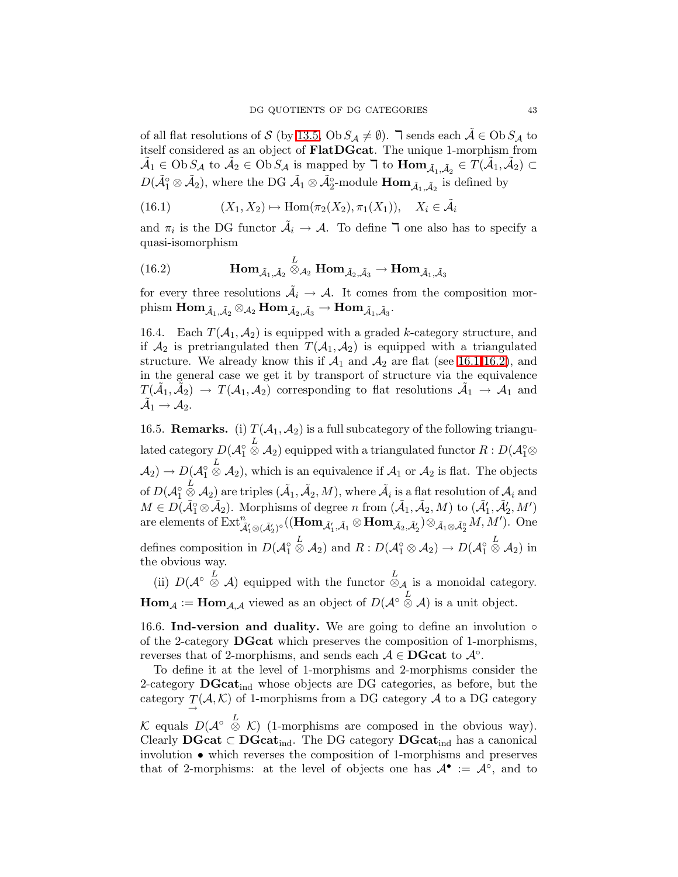of all flat resolutions of S (by [13.5,](#page-33-1) Ob  $S_A \neq \emptyset$ ).  $\exists$  sends each  $\tilde{A} \in \text{Ob } S_A$  to itself considered as an object of FlatDGcat. The unique 1-morphism from  $\tilde{\mathcal{A}}_1 \in \mathrm{Ob}\, S_{\mathcal{A}}$  to  $\tilde{\mathcal{A}}_2 \in \mathrm{Ob}\, S_{\mathcal{A}}$  is mapped by  $\mathcal{T}$  to  $\text{Hom}_{\tilde{\mathcal{A}}_1,\tilde{\mathcal{A}}_2} \in T(\tilde{\mathcal{A}}_1,\tilde{\mathcal{A}}_2) \subset$  $D(\tilde{\mathcal{A}}_1^{\circ} \otimes \tilde{\mathcal{A}}_2)$ , where the DG  $\tilde{\mathcal{A}}_1 \otimes \tilde{\mathcal{A}}_2^{\circ}$ -module  $\textbf{Hom}_{\tilde{\mathcal{A}}_1, \tilde{\mathcal{A}}_2}$  is defined by

(16.1) 
$$
(X_1, X_2) \mapsto \text{Hom}(\pi_2(X_2), \pi_1(X_1)), \quad X_i \in \tilde{\mathcal{A}}_i
$$

and  $\pi_i$  is the DG functor  $\tilde{A}_i \to A$ . To define  $\overline{\mathsf{I}}$  one also has to specify a quasi-isomorphism

(16.2) 
$$
\operatorname{Hom}_{\tilde{A}_1, \tilde{A}_2} \stackrel{L}{\otimes}_{A_2} \operatorname{Hom}_{\tilde{A}_2, \tilde{A}_3} \to \operatorname{Hom}_{\tilde{A}_1, \tilde{A}_3}
$$

for every three resolutions  $\tilde{\mathcal{A}}_i \to \mathcal{A}$ . It comes from the composition mor- $\operatorname{phism} \ \mathbf{Hom}_{\tilde{\mathcal A}_1, \tilde{\mathcal A}_2} \otimes_{\mathcal A_2} \mathbf{Hom}_{\tilde{\mathcal A}_2, \tilde{\mathcal A}_3} \to \mathbf{Hom}_{\tilde{\mathcal A}_1, \tilde{\mathcal A}_3}.$ 

<span id="page-42-2"></span>16.4. Each  $T(A_1, A_2)$  is equipped with a graded k-category structure, and if  $\mathcal{A}_2$  is pretriangulated then  $T(\mathcal{A}_1, \mathcal{A}_2)$  is equipped with a triangulated structure. We already know this if  $\mathcal{A}_1$  and  $\mathcal{A}_2$  are flat (see [16.1](#page-41-1)[-16.2\)](#page-41-2), and in the general case we get it by transport of structure via the equivalence  $T(\tilde{A}_1, \tilde{A}_2) \to T(A_1, A_2)$  corresponding to flat resolutions  $\tilde{A}_1 \to A_1$  and  $\mathcal{\tilde{A}}_1 \rightarrow \mathcal{A}_2.$ 

<span id="page-42-0"></span>16.5. **Remarks.** (i)  $T(A_1, A_2)$  is a full subcategory of the following triangulated category  $D(\mathcal{A}_1^{\circ})$  $\stackrel{L}{\otimes} \mathcal{A}_2)$  equipped with a triangulated functor  $R$  :  $D(\mathcal{A}_1^{\circ} \otimes$  $\mathcal{A}_2$ )  $\rightarrow D(\mathcal{A}_1^{\circ})$  $\stackrel{L}{\otimes}$  A<sub>2</sub>), which is an equivalence if  $A_1$  or  $A_2$  is flat. The objects of  $D(\mathcal{A}_1^\circ)$  $\stackrel{L}{\otimes}$  A<sub>2</sub>) are triples  $(\tilde{A}_1, \tilde{A}_2, M)$ , where  $\tilde{A}_i$  is a flat resolution of  $A_i$  and  $M \in D(\tilde{\mathcal{A}}_1^{\circ} \otimes \tilde{\mathcal{A}}_2)$ . Morphisms of degree n from  $(\tilde{\mathcal{A}}_1, \tilde{\mathcal{A}}_2, M)$  to  $(\tilde{\mathcal{A}}'_1, \tilde{\mathcal{A}}'_2, M')$ are elements of  $\mathrm{Ext}^n_{\tilde{\mathcal{A}}'_1\otimes (\tilde{\mathcal{A}}'_2)^{\circ}}((\mathbf{Hom}_{\tilde{\mathcal{A}}'_1, \tilde{\mathcal{A}}_1}\otimes \mathbf{Hom}_{\tilde{\mathcal{A}}_2, \tilde{\mathcal{A}}'_2})\otimes_{\tilde{\mathcal{A}}_1\otimes \tilde{\mathcal{A}}_2^{\circ}} M, M').$  One defines composition in  $D(\mathcal{A}_{1}^{\circ})$  $\stackrel{L}{\otimes}$  A<sub>2</sub>) and  $R: D(\mathcal{A}_{1}^{\circ} \otimes \mathcal{A}_{2}) \rightarrow D(\mathcal{A}_{1}^{\circ})$  $\stackrel{L}{\otimes} \mathcal{A}_2)$  in the obvious way.

(ii)  $D(\mathcal{A}^{\circ} \overset{L}{\otimes} \mathcal{A})$  equipped with the functor  $\overset{L}{\otimes}_{\mathcal{A}}$  is a monoidal category.  $\mathbf{Hom}_{\mathcal{A}} := \mathbf{Hom}_{\mathcal{A},\mathcal{A}}$  viewed as an object of  $D(\mathcal{A}^{\circ} \overset{L}{\otimes} \mathcal{A})$  is a unit object.

<span id="page-42-1"></span>16.6. Ind-version and duality. We are going to define an involution  $\circ$ of the 2-category DGcat which preserves the composition of 1-morphisms, reverses that of 2-morphisms, and sends each  $A \in \mathbf{DGcat}$  to  $\mathcal{A}^{\circ}$ .

To define it at the level of 1-morphisms and 2-morphisms consider the 2-category  $DGcat_{ind}$  whose objects are DG categories, as before, but the category  $T(\mathcal{A}, \mathcal{K})$  of 1-morphisms from a DG category  $\mathcal A$  to a DG category K equals  $D(\mathcal{A}^{\circ} \overset{L}{\otimes} \mathcal{K})$  (1-morphisms are composed in the obvious way). Clearly  $DGcat \subset DGcat_{ind}$ . The DG category  $DGcat_{ind}$  has a canonical involution • which reverses the composition of 1-morphisms and preserves that of 2-morphisms: at the level of objects one has  $\mathcal{A}^{\bullet} := \mathcal{A}^{\circ}$ , and to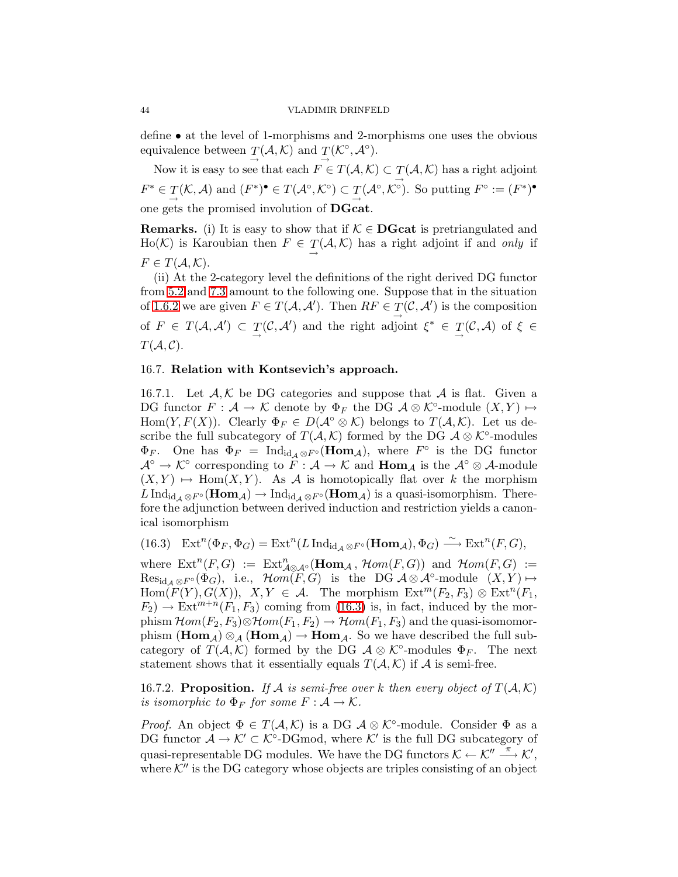define • at the level of 1-morphisms and 2-morphisms one uses the obvious equivalence between  $T(A, K)$  and  $T(K^{\circ}, A^{\circ})$ . → →

Now it is easy to see that each  $F \in T(A, \mathcal{K}) \subset T(A, \mathcal{K})$  has a right adjoint →  $F^* \in T(\mathcal{K}, \mathcal{A})$  and  $(F^*)^{\bullet} \in T(\mathcal{A}^{\circ}, \mathcal{K}^{\circ}) \subset T(\mathcal{A}^{\circ}, \mathcal{K}^{\circ})$ . So putting  $F^{\circ} := (F^*)^{\bullet}$ one gets the promised involution of DGcat.

**Remarks.** (i) It is easy to show that if  $K \in \mathbf{DGcat}$  is pretriangulated and  $\text{Ho}(\mathcal{K})$  is Karoubian then  $F \in \mathcal{T}(\mathcal{A}, \mathcal{K})$  has a right adjoint if and only if  $F \in T(A, \mathcal{K}).$ 

(ii) At the 2-category level the definitions of the right derived DG functor from [5.2](#page-18-0) and [7.3](#page-22-5) amount to the following one. Suppose that in the situation of [1.6.2](#page-4-0) we are given  $F \in T(A, A')$ . Then  $RF \in T(\mathcal{C}, A')$  is the composition of  $F \in T(\mathcal{A}, \mathcal{A}') \subset T(\mathcal{C}, \mathcal{A}')$  and the right adjoint  $\xi^* \in T(\mathcal{C}, \mathcal{A})$  of  $\xi \in$  $T(A, C)$ .

### <span id="page-43-0"></span>16.7. Relation with Kontsevich's approach.

16.7.1. Let  $A, K$  be DG categories and suppose that A is flat. Given a DG functor  $F: \mathcal{A} \to \mathcal{K}$  denote by  $\Phi_F$  the DG  $\mathcal{A} \otimes \mathcal{K}^{\circ}\text{-module } (X, Y) \mapsto$ Hom $(Y, F(X))$ . Clearly  $\Phi_F \in D(\mathcal{A}^{\circ} \otimes \mathcal{K})$  belongs to  $T(\mathcal{A}, \mathcal{K})$ . Let us describe the full subcategory of  $T(A, \mathcal{K})$  formed by the DG  $\mathcal{A} \otimes \mathcal{K}^{\circ}$ -modules  $\Phi_F$ . One has  $\Phi_F = \text{Ind}_{\text{id}_A \otimes F^{\circ}}(\text{Hom}_A)$ , where  $F^{\circ}$  is the DG functor  $\mathcal{A}^{\circ} \to \mathcal{K}^{\circ}$  corresponding to  $\widehat{F} : \mathcal{A} \to \mathcal{K}$  and  $\text{Hom}_{\mathcal{A}}$  is the  $\mathcal{A}^{\circ} \otimes \mathcal{A}$ -module  $(X,Y) \mapsto \text{Hom}(X,Y)$ . As A is homotopically flat over k the morphism  $L\operatorname{Ind}_{\mathrm{id}_{\mathcal{A}}\otimes F^{\circ}}(\mathrm{Hom}_{\mathcal{A}})\to \mathrm{Ind}_{\mathrm{id}_{\mathcal{A}}\otimes F^{\circ}}(\mathrm{Hom}_{\mathcal{A}})$  is a quasi-isomorphism. Therefore the adjunction between derived induction and restriction yields a canonical isomorphism

<span id="page-43-2"></span> $(16.3) \quad \text{Ext}^n(\Phi_F, \Phi_G) = \text{Ext}^n(L \operatorname{Ind}_{\text{id}_{\mathcal{A}}} \otimes F\circ (\text{Hom}_{\mathcal{A}}), \Phi_G) \stackrel{\sim}{\longrightarrow} \text{Ext}^n(F, G),$ 

where  $\text{Ext}^n(F, G) := \text{Ext}^n_{\mathcal{A}\otimes\mathcal{A}^\circ}(\text{Hom}_{\mathcal{A}}, \mathcal{H}om(F, G))$  and  $\mathcal{H}om(F, G) :=$  $\text{Res}_{\text{id}_{\mathcal{A}} \otimes F^{\circ}}(\Phi_G)$ , i.e.,  $\text{Hom}(F, G)$  is the DG  $\mathcal{A} \otimes \mathcal{A}^{\circ}\text{-module } (X, Y) \mapsto$  $\text{Hom}(F(Y), G(X)), X, Y \in \mathcal{A}$ . The morphism  $\text{Ext}^m(F_2, F_3) \otimes \text{Ext}^n(F_1, F_2)$  $F_2$   $\rightarrow$  Ext<sup>m+n</sup>( $F_1, F_3$ ) coming from [\(16.3\)](#page-43-2) is, in fact, induced by the morphism  $\mathcal{H}om(F_2,F_3)\otimes\mathcal{H}om(F_1,F_2)\rightarrow\mathcal{H}om(F_1,F_3)$  and the quasi-isomomorphism  $(Hom_A) \otimes_A (Hom_A) \rightarrow Hom_A$ . So we have described the full subcategory of  $T(A,\mathcal{K})$  formed by the DG  $\mathcal{A} \otimes \mathcal{K}^{\circ}$ -modules  $\Phi_F$ . The next statement shows that it essentially equals  $T(A, \mathcal{K})$  if A is semi-free.

<span id="page-43-1"></span>16.7.2. Proposition. If A is semi-free over k then every object of  $T(A, K)$ is isomorphic to  $\Phi_F$  for some  $F : A \to \mathcal{K}$ .

*Proof.* An object  $\Phi \in T(A, \mathcal{K})$  is a DG  $\mathcal{A} \otimes \mathcal{K}^{\circ}$ -module. Consider  $\Phi$  as a DG functor  $\mathcal{A} \to \mathcal{K}' \subset \mathcal{K}^{\circ}\text{-}\mathrm{DGmod}$ , where  $\mathcal{K}'$  is the full DG subcategory of quasi-representable DG modules. We have the DG functors  $\mathcal{K} \leftarrow \mathcal{K}'' \stackrel{\pi}{\longrightarrow} \mathcal{K}',$ where  $\mathcal{K}''$  is the DG category whose objects are triples consisting of an object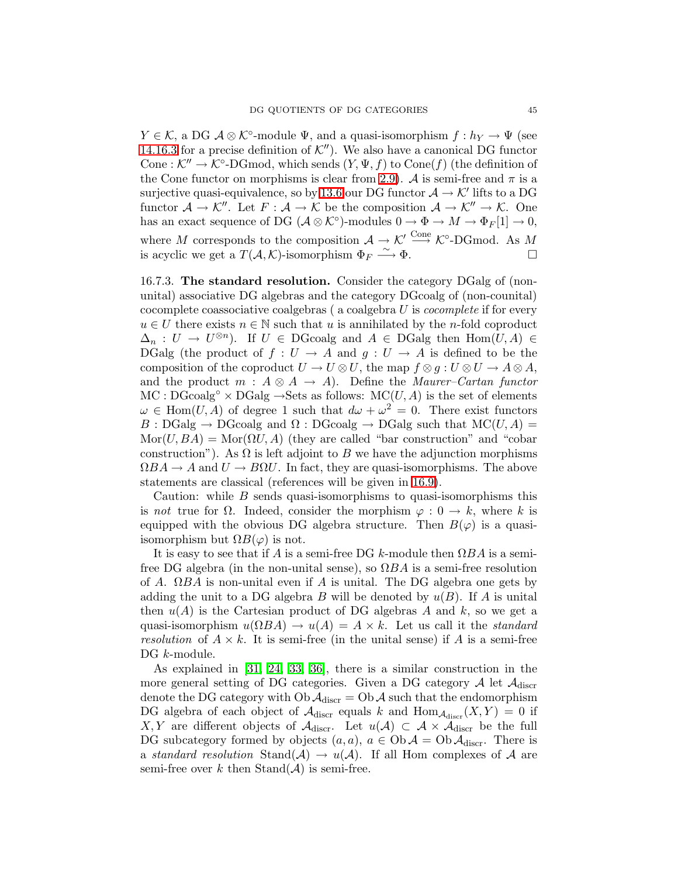$Y \in \mathcal{K}$ , a DG  $\mathcal{A} \otimes \mathcal{K}^{\circ}$ -module  $\Psi$ , and a quasi-isomorphism  $f : h_Y \to \Psi$  (see [14.16.3](#page-38-1) for a precise definition of  $K''$ ). We also have a canonical DG functor Cone:  $\mathcal{K}'' \to \mathcal{K}^{\circ}\text{-}\mathrm{DGmod}$ , which sends  $(Y, \Psi, f)$  to  $\mathrm{Cone}(f)$  (the definition of the Cone functor on morphisms is clear from [2.9\)](#page-9-2). A is semi-free and  $\pi$  is a surjective quasi-equivalence, so by [13.6](#page-33-2) our DG functor  $\mathcal{A} \to \mathcal{K}'$  lifts to a DG functor  $\mathcal{A} \to \mathcal{K}''$ . Let  $F : \mathcal{A} \to \mathcal{K}$  be the composition  $\mathcal{A} \to \mathcal{K}'' \to \mathcal{K}$ . One has an exact sequence of DG  $(\mathcal{A} \otimes \mathcal{K}^{\circ})$ -modules  $0 \to \Phi \to M \to \Phi_F[1] \to 0$ , where M corresponds to the composition  $\mathcal{A} \to \mathcal{K}' \xrightarrow{\text{Cone}} \mathcal{K}^{\circ}\text{-DGmod.}$  As M is acyclic we get a  $T(A, \mathcal{K})$ -isomorphism  $\Phi_F \stackrel{\sim}{\longrightarrow} \Phi$ .

<span id="page-44-0"></span>16.7.3. The standard resolution. Consider the category DGalg of (nonunital) associative DG algebras and the category DGcoalg of (non-counital) cocomplete coassociative coalgebras  $(a \ncoalgebra U)$  is *cocomplete* if for every  $u \in U$  there exists  $n \in \mathbb{N}$  such that u is annihilated by the n-fold coproduct  $\Delta_n: U \to U^{\otimes n}$ . If  $U \in \text{DGcoalg}$  and  $A \in \text{DGalg}$  then  $\text{Hom}(U, A) \in$ DGalg (the product of  $f: U \to A$  and  $g: U \to A$  is defined to be the composition of the coproduct  $U \to U \otimes U$ , the map  $f \otimes g : U \otimes U \to A \otimes A$ , and the product  $m : A \otimes A \rightarrow A$ . Define the *Maurer–Cartan functor*  $MC : DGcoalg<sup>o</sup> \times DGalg \rightarrow Sets$  as follows:  $MC(U, A)$  is the set of elements  $\omega \in \text{Hom}(U, A)$  of degree 1 such that  $d\omega + \omega^2 = 0$ . There exist functors  $B : DGalg \to DGcoalg$  and  $\Omega : DGcoalg \to DGalg$  such that  $MC(U, A) =$  $\text{Mor}(U,BA) = \text{Mor}(\Omega U, A)$  (they are called "bar construction" and "cobar construction"). As  $\Omega$  is left adjoint to B we have the adjunction morphisms  $\Omega BA \to A$  and  $U \to B\Omega U$ . In fact, they are quasi-isomorphisms. The above statements are classical (references will be given in [16.9\)](#page-46-5).

Caution: while  $B$  sends quasi-isomorphisms to quasi-isomorphisms this is not true for  $\Omega$ . Indeed, consider the morphism  $\varphi: 0 \to k$ , where k is equipped with the obvious DG algebra structure. Then  $B(\varphi)$  is a quasiisomorphism but  $\Omega B(\varphi)$  is not.

It is easy to see that if A is a semi-free DG k-module then  $\Omega BA$  is a semifree DG algebra (in the non-unital sense), so  $\Omega BA$  is a semi-free resolution of A.  $\Omega BA$  is non-unital even if A is unital. The DG algebra one gets by adding the unit to a DG algebra B will be denoted by  $u(B)$ . If A is unital then  $u(A)$  is the Cartesian product of DG algebras A and k, so we get a quasi-isomorphism  $u(\Omega BA) \to u(A) = A \times k$ . Let us call it the *standard* resolution of  $A \times k$ . It is semi-free (in the unital sense) if A is a semi-free DG  $k$ -module.

As explained in [\[31,](#page-48-2) [24,](#page-47-4) [33,](#page-48-3) [36\]](#page-48-4), there is a similar construction in the more general setting of DG categories. Given a DG category  $A$  let  $A_{discr}$ denote the DG category with  $\text{Ob }\mathcal{A}_{\text{discr}} = \text{Ob }\mathcal{A}$  such that the endomorphism DG algebra of each object of  $\mathcal{A}_{\text{discr}}$  equals k and  $\text{Hom}_{\mathcal{A}_{\text{discr}}}(X, Y) = 0$  if X, Y are different objects of  $\mathcal{A}_{discr}$ . Let  $u(\mathcal{A}) \subset \mathcal{A} \times \mathcal{A}_{discr}$  be the full DG subcategory formed by objects  $(a, a)$ ,  $a \in Ob \mathcal{A} = Ob \mathcal{A}_{discr}$ . There is a standard resolution Stand(A)  $\rightarrow u(A)$ . If all Hom complexes of A are semi-free over k then  $\text{Stand}(\mathcal{A})$  is semi-free.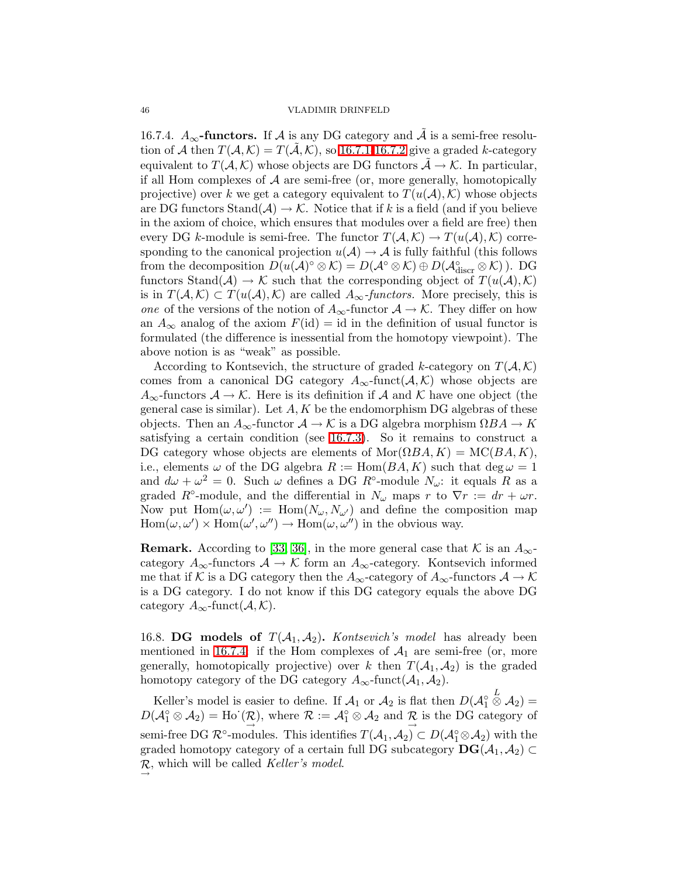<span id="page-45-1"></span>16.7.4.  $A_{\infty}$ -functors. If A is any DG category and  $\tilde{A}$  is a semi-free resolution of A then  $T(A, \mathcal{K}) = T(A, \mathcal{K})$ , so [16.7.1-](#page-43-0)[16.7.2](#page-43-1) give a graded k-category equivalent to  $T(A, \mathcal{K})$  whose objects are DG functors  $\tilde{\mathcal{A}} \to \mathcal{K}$ . In particular, if all Hom complexes of  $A$  are semi-free (or, more generally, homotopically projective) over k we get a category equivalent to  $T(u(A), K)$  whose objects are DG functors Stand( $\mathcal{A}$ )  $\rightarrow \mathcal{K}$ . Notice that if k is a field (and if you believe in the axiom of choice, which ensures that modules over a field are free) then every DG k-module is semi-free. The functor  $T(A, \mathcal{K}) \to T(u(\mathcal{A}), \mathcal{K})$  corresponding to the canonical projection  $u(A) \to A$  is fully faithful (this follows from the decomposition  $D(u(\mathcal{A})^{\circ} \otimes \mathcal{K}) = D(\mathcal{A}^{\circ} \otimes \mathcal{K}) \oplus D(\mathcal{A}_{\text{discr}}^{\circ} \otimes \mathcal{K})$ . DG functors Stand( $A$ )  $\rightarrow$  K such that the corresponding object of  $T(u(A), K)$ is in  $T(A, \mathcal{K}) \subset T(u(\mathcal{A}), \mathcal{K})$  are called  $A_{\infty}$ -functors. More precisely, this is one of the versions of the notion of  $A_{\infty}$ -functor  $A \to \mathcal{K}$ . They differ on how an  $A_{\infty}$  analog of the axiom  $F(\text{id}) = \text{id}$  in the definition of usual functor is formulated (the difference is inessential from the homotopy viewpoint). The above notion is as "weak" as possible.

According to Kontsevich, the structure of graded k-category on  $T(A, K)$ comes from a canonical DG category  $A_{\infty}$ -funct $(A, K)$  whose objects are  $A_{\infty}$ -functors  $A \to \mathcal{K}$ . Here is its definition if A and K have one object (the general case is similar). Let  $A, K$  be the endomorphism DG algebras of these objects. Then an  $A_{\infty}$ -functor  $\mathcal{A} \to \mathcal{K}$  is a DG algebra morphism  $\Omega BA \to K$ satisfying a certain condition (see [16.7.3\)](#page-44-0). So it remains to construct a DG category whose objects are elements of  $\text{Mor}(\Omega BA, K) = \text{MC}(BA, K),$ i.e., elements  $\omega$  of the DG algebra  $R := \text{Hom}(BA, K)$  such that  $\deg \omega = 1$ and  $d\omega + \omega^2 = 0$ . Such  $\omega$  defines a DG  $R^{\circ}$ -module  $N_{\omega}$ : it equals R as a graded R<sup>°</sup>-module, and the differential in  $N_{\omega}$  maps r to  $\nabla r := dr + \omega r$ . Now put  $\text{Hom}(\omega, \omega') := \text{Hom}(N_{\omega}, N_{\omega'})$  and define the composition map  $\text{Hom}(\omega,\omega')\times\text{Hom}(\omega',\omega'')\to\text{Hom}(\omega,\omega'')$  in the obvious way.

**Remark.** According to [\[33,](#page-48-3) [36\]](#page-48-4), in the more general case that K is an  $A_{\infty}$ category  $A_{\infty}$ -functors  $A \to \mathcal{K}$  form an  $A_{\infty}$ -category. Kontsevich informed me that if K is a DG category then the  $A_{\infty}$ -category of  $A_{\infty}$ -functors  $\mathcal{A} \to \mathcal{K}$ is a DG category. I do not know if this DG category equals the above DG category  $A_{\infty}$ -funct $(\mathcal{A}, \mathcal{K})$ .

<span id="page-45-0"></span>16.8. DG models of  $T(A_1, A_2)$ . *Kontsevich's model* has already been mentioned in [16.7.4:](#page-45-1) if the Hom complexes of  $A_1$  are semi-free (or, more generally, homotopically projective) over k then  $T(A_1, A_2)$  is the graded homotopy category of the DG category  $A_{\infty}$ -funct $(A_1, A_2)$ .

Keller's model is easier to define. If  $\mathcal{A}_1$  or  $\mathcal{A}_2$  is flat then  $D(\mathcal{A}_1^{\circ})$  $\stackrel{L}{\otimes} {\cal A}_2) =$  $D(\mathcal{A}_{1}^{\circ}\otimes\mathcal{A}_{2})=\text{Ho}^{'}(\mathcal{R})$ , where  $\mathcal{R}:=\mathcal{A}_{1}^{\circ}\otimes\mathcal{A}_{2}$  and  $\mathcal{R}$  is the DG category of semi-free DG  $\mathcal{R}^{\circ}$ -modules. This identifies  $T(A_1, A_2) \subset D(\mathcal{A}_1^{\circ} \otimes A_2)$  with the graded homotopy category of a certain full DG subcategory  $\text{DG}(\mathcal{A}_1, \mathcal{A}_2) \subset$  $\mathcal{R}$ , which will be called *Keller's model*.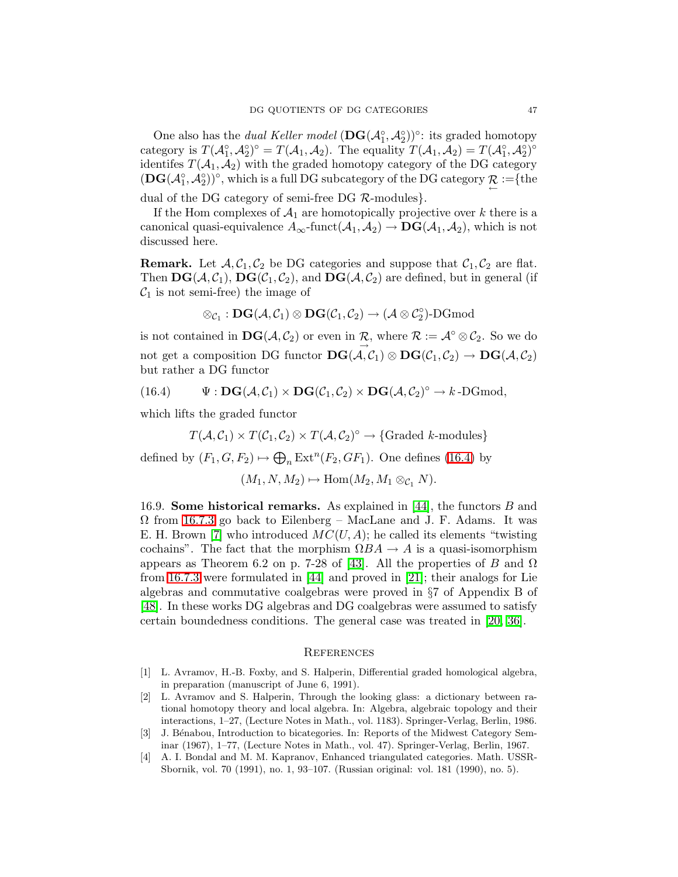One also has the *dual Keller model*  $(DG(\mathcal{A}_1^{\circ}, \mathcal{A}_2^{\circ}))^{\circ}$ : its graded homotopy category is  $T(A_1^{\circ}, A_2^{\circ})^{\circ} = T(A_1, A_2)$ . The equality  $T(A_1, A_2) = T(A_1^{\circ}, A_2^{\circ})^{\circ}$ identifes  $T(A_1, A_2)$  with the graded homotopy category of the DG category  $(DG(\mathcal{A}_1^{\circ}, \mathcal{A}_2^{\circ}))^{\circ}$ , which is a full DG subcategory of the DG category  $\mathcal{R} :=$ {the

dual of the DG category of semi-free DG  $R$ -modules $\}$ .

If the Hom complexes of  $A_1$  are homotopically projective over k there is a canonical quasi-equivalence  $A_{\infty}$ -funct $(\mathcal{A}_1, \mathcal{A}_2) \to \mathbf{DG}(\mathcal{A}_1, \mathcal{A}_2)$ , which is not discussed here.

**Remark.** Let  $A, C_1, C_2$  be DG categories and suppose that  $C_1, C_2$  are flat. Then  $\textbf{DG}(\mathcal{A}, \mathcal{C}_1)$ ,  $\textbf{DG}(\mathcal{C}_1, \mathcal{C}_2)$ , and  $\textbf{DG}(\mathcal{A}, \mathcal{C}_2)$  are defined, but in general (if  $C_1$  is not semi-free) the image of

<span id="page-46-1"></span>
$$
\otimes_{\mathcal{C}_1} : \mathbf{DG}(\mathcal{A},\mathcal{C}_1) \otimes \mathbf{DG}(\mathcal{C}_1,\mathcal{C}_2) \rightarrow (\mathcal{A} \otimes \mathcal{C}_2^\circ)\text{-}\mathrm{DGmod}
$$

is not contained in  $\mathbf{DG}(\mathcal{A}, \mathcal{C}_2)$  or even in  $\mathcal{R}$ , where  $\mathcal{R} := \mathcal{A}^{\circ} \otimes \mathcal{C}_2$ . So we do not get a composition DG functor  $\textbf{DG}(\mathcal{A}, \mathcal{C}_1) \otimes \textbf{DG}(\mathcal{C}_1, \mathcal{C}_2) \to \textbf{DG}(\mathcal{A}, \mathcal{C}_2)$ but rather a DG functor

(16.4) 
$$
\Psi : \mathbf{DG}(\mathcal{A}, \mathcal{C}_1) \times \mathbf{DG}(\mathcal{C}_1, \mathcal{C}_2) \times \mathbf{DG}(\mathcal{A}, \mathcal{C}_2)^\circ \to k\text{-DGmod},
$$

which lifts the graded functor

$$
T(A, C_1) \times T(C_1, C_2) \times T(A, C_2)^\circ \to \{ \text{Graded } k\text{-modules} \}
$$

defined by  $(F_1, G, F_2) \mapsto \bigoplus_n \text{Ext}^n(F_2, GF_1)$ . One defines [\(16.4\)](#page-46-1) by

$$
(M_1, N, M_2) \mapsto \text{Hom}(M_2, M_1 \otimes_{\mathcal{C}_1} N).
$$

<span id="page-46-5"></span>16.9. Some historical remarks. As explained in [\[44\]](#page-48-23), the functors B and  $\Omega$  from [16.7.3](#page-44-0) go back to Eilenberg – MacLane and J. F. Adams. It was E. H. Brown [\[7\]](#page-47-23) who introduced  $MC(U, A)$ ; he called its elements "twisting cochains". The fact that the morphism  $\Omega BA \to A$  is a quasi-isomorphism appears as Theorem 6.2 on p. 7-28 of [\[43\]](#page-48-24). All the properties of B and  $\Omega$ from [16.7.3](#page-44-0) were formulated in [\[44\]](#page-48-23) and proved in [\[21\]](#page-47-24); their analogs for Lie algebras and commutative coalgebras were proved in §7 of Appendix B of [\[48\]](#page-48-25). In these works DG algebras and DG coalgebras were assumed to satisfy certain boundedness conditions. The general case was treated in [\[20,](#page-47-25) [36\]](#page-48-4).

### **REFERENCES**

- <span id="page-46-3"></span><span id="page-46-2"></span>[1] L. Avramov, H.-B. Foxby, and S. Halperin, Differential graded homological algebra, in preparation (manuscript of June 6, 1991).
- [2] L. Avramov and S. Halperin, Through the looking glass: a dictionary between rational homotopy theory and local algebra. In: Algebra, algebraic topology and their interactions, 1–27, (Lecture Notes in Math., vol. 1183). Springer-Verlag, Berlin, 1986.
- <span id="page-46-4"></span><span id="page-46-0"></span>[3] J. Bénabou, Introduction to bicategories. In: Reports of the Midwest Category Seminar (1967), 1–77, (Lecture Notes in Math., vol. 47). Springer-Verlag, Berlin, 1967.
- [4] A. I. Bondal and M. M. Kapranov, Enhanced triangulated categories. Math. USSR-Sbornik, vol. 70 (1991), no. 1, 93–107. (Russian original: vol. 181 (1990), no. 5).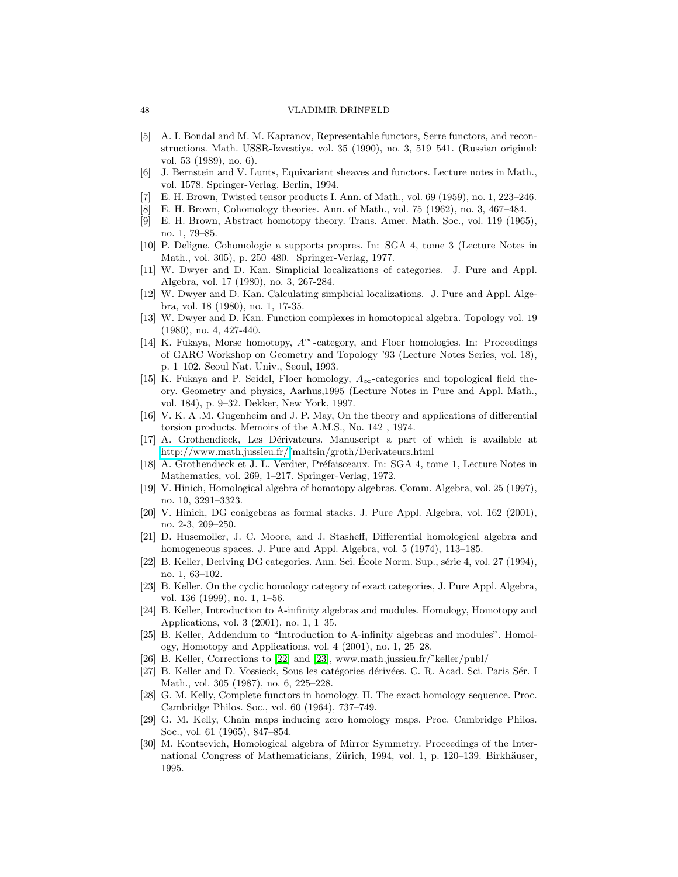- [5] A. I. Bondal and M. M. Kapranov, Representable functors, Serre functors, and reconstructions. Math. USSR-Izvestiya, vol. 35 (1990), no. 3, 519–541. (Russian original: vol. 53 (1989), no. 6).
- <span id="page-47-23"></span><span id="page-47-13"></span>[6] J. Bernstein and V. Lunts, Equivariant sheaves and functors. Lecture notes in Math., vol. 1578. Springer-Verlag, Berlin, 1994.
- <span id="page-47-17"></span><span id="page-47-16"></span>[7] E. H. Brown, Twisted tensor products I. Ann. of Math., vol. 69 (1959), no. 1, 223–246.
- E. H. Brown, Cohomology theories. Ann. of Math., vol. 75 (1962), no. 3, 467–484.
- <span id="page-47-15"></span>[9] E. H. Brown, Abstract homotopy theory. Trans. Amer. Math. Soc., vol. 119 (1965), no. 1, 79–85.
- <span id="page-47-7"></span>[10] P. Deligne, Cohomologie a supports propres. In: SGA 4, tome 3 (Lecture Notes in Math., vol. 305), p. 250–480. Springer-Verlag, 1977.
- <span id="page-47-8"></span>[11] W. Dwyer and D. Kan. Simplicial localizations of categories. J. Pure and Appl. Algebra, vol. 17 (1980), no. 3, 267-284.
- <span id="page-47-9"></span>[12] W. Dwyer and D. Kan. Calculating simplicial localizations. J. Pure and Appl. Algebra, vol. 18 (1980), no. 1, 17-35.
- <span id="page-47-1"></span>[13] W. Dwyer and D. Kan. Function complexes in homotopical algebra. Topology vol. 19 (1980), no. 4, 427-440.
- [14] K. Fukaya, Morse homotopy,  $A^{\infty}$ -category, and Floer homologies. In: Proceedings of GARC Workshop on Geometry and Topology '93 (Lecture Notes Series, vol. 18), p. 1–102. Seoul Nat. Univ., Seoul, 1993.
- <span id="page-47-2"></span>[15] K. Fukaya and P. Seidel, Floer homology,  $A_{\infty}$ -categories and topological field theory. Geometry and physics, Aarhus,1995 (Lecture Notes in Pure and Appl. Math., vol. 184), p. 9–32. Dekker, New York, 1997.
- <span id="page-47-20"></span><span id="page-47-0"></span>[16] V. K. A .M. Gugenheim and J. P. May, On the theory and applications of differential torsion products. Memoirs of the A.M.S., No. 142 , 1974.
- <span id="page-47-14"></span>[17] A. Grothendieck, Les D´erivateurs. Manuscript a part of which is available at [http://www.math.jussieu.fr/˜](http://www.math.jussieu.fr/)maltsin/groth/Derivateurs.html
- <span id="page-47-21"></span>[18] A. Grothendieck et J. L. Verdier, Préfaisceaux. In: SGA 4, tome 1, Lecture Notes in Mathematics, vol. 269, 1–217. Springer-Verlag, 1972.
- <span id="page-47-25"></span>[19] V. Hinich, Homological algebra of homotopy algebras. Comm. Algebra, vol. 25 (1997), no. 10, 3291–3323.
- <span id="page-47-24"></span>[20] V. Hinich, DG coalgebras as formal stacks. J. Pure Appl. Algebra, vol. 162 (2001), no. 2-3, 209–250.
- [21] D. Husemoller, J. C. Moore, and J. Stasheff, Differential homological algebra and homogeneous spaces. J. Pure and Appl. Algebra, vol. 5 (1974), 113–185.
- <span id="page-47-10"></span><span id="page-47-6"></span>[22] B. Keller, Deriving DG categories. Ann. Sci. École Norm. Sup., série 4, vol. 27 (1994), no. 1, 63–102.
- <span id="page-47-4"></span>[23] B. Keller, On the cyclic homology category of exact categories, J. Pure Appl. Algebra, vol. 136 (1999), no. 1, 1–56.
- <span id="page-47-5"></span>[24] B. Keller, Introduction to A-infinity algebras and modules. Homology, Homotopy and Applications, vol. 3 (2001), no. 1, 1–35.
- <span id="page-47-22"></span>[25] B. Keller, Addendum to "Introduction to A-infinity algebras and modules". Homology, Homotopy and Applications, vol. 4 (2001), no. 1, 25–28.
- <span id="page-47-19"></span>[26] B. Keller, Corrections to [\[22\]](#page-47-10) and [\[23\]](#page-47-6), www.math.jussieu.fr/˜keller/publ/
- <span id="page-47-12"></span>[27] B. Keller and D. Vossieck, Sous les catégories dérivées. C. R. Acad. Sci. Paris Sér. I Math., vol. 305 (1987), no. 6, 225–228.
- <span id="page-47-11"></span>[28] G. M. Kelly, Complete functors in homology. II. The exact homology sequence. Proc. Cambridge Philos. Soc., vol. 60 (1964), 737–749.
- <span id="page-47-3"></span>[29] G. M. Kelly, Chain maps inducing zero homology maps. Proc. Cambridge Philos. Soc., vol. 61 (1965), 847–854.
- [30] M. Kontsevich, Homological algebra of Mirror Symmetry. Proceedings of the International Congress of Mathematicians, Zürich, 1994, vol. 1, p. 120–139. Birkhäuser, 1995.

<span id="page-47-18"></span>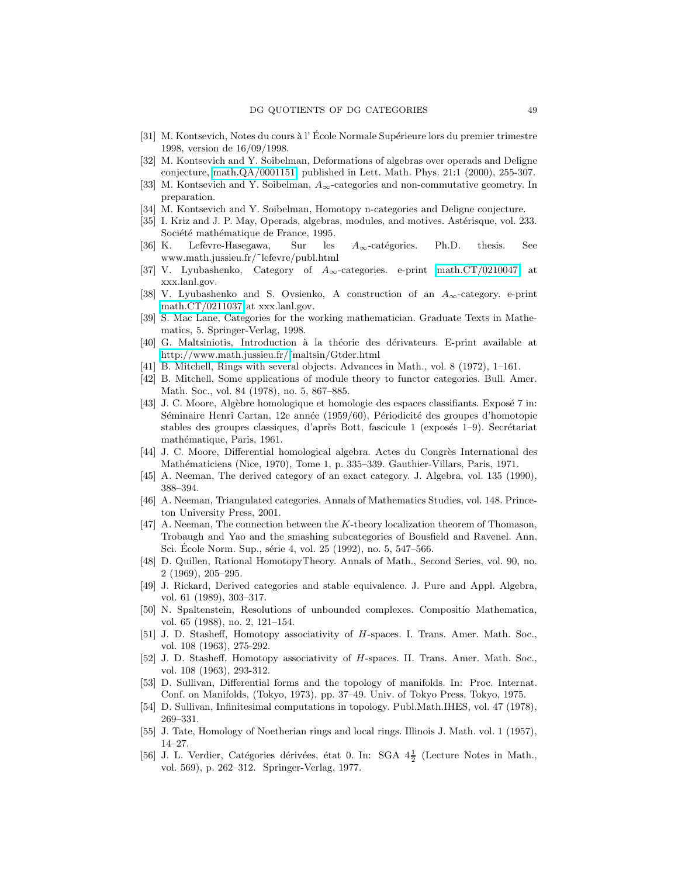- <span id="page-48-10"></span><span id="page-48-2"></span>[31] M. Kontsevich, Notes du cours à l' École Normale Supérieure lors du premier trimestre 1998, version de 16/09/1998.
- <span id="page-48-3"></span>[32] M. Kontsevich and Y. Soibelman, Deformations of algebras over operads and Deligne conjecture, [math.QA/0001151,](http://lanl.arXiv.org/abs/math/0001151) published in Lett. Math. Phys. 21:1 (2000), 255-307.
- <span id="page-48-9"></span>[33] M. Kontsevich and Y. Soibelman,  $A_{\infty}$ -categories and non-commutative geometry. In preparation.
- <span id="page-48-16"></span>[34] M. Kontsevich and Y. Soibelman, Homotopy n-categories and Deligne conjecture.
- <span id="page-48-4"></span>[35] I. Kriz and J. P. May, Operads, algebras, modules, and motives. Astérisque, vol. 233. Société mathématique de France, 1995.
- <span id="page-48-5"></span>[36] K. Lefèvre-Hasegawa, Sur les  $A_{\infty}$ -catégories. Ph.D. thesis. See www.math.jussieu.fr/˜lefevre/publ.html
- <span id="page-48-8"></span>[37] V. Lyubashenko, Category of  $A_{\infty}$ -categories. e-print [math.CT/0210047](http://lanl.arXiv.org/abs/math/0210047) at xxx.lanl.gov.
- <span id="page-48-22"></span>[38] V. Lyubashenko and S. Ovsienko, A construction of an  $A_{\infty}$ -category. e-print [math.CT/0211037](http://lanl.arXiv.org/abs/math/0211037) at xxx.lanl.gov.
- <span id="page-48-1"></span>[39] S. Mac Lane, Categories for the working mathematician. Graduate Texts in Mathematics, 5. Springer-Verlag, 1998.
- <span id="page-48-21"></span>[40] G. Maltsiniotis, Introduction à la théorie des dérivateurs. E-print available at [http://www.math.jussieu.fr/˜](http://www.math.jussieu.fr/)maltsin/Gtder.html
- <span id="page-48-20"></span>[41] B. Mitchell, Rings with several objects. Advances in Math., vol. 8 (1972), 1–161.
- <span id="page-48-24"></span>[42] B. Mitchell, Some applications of module theory to functor categories. Bull. Amer. Math. Soc., vol. 84 (1978), no. 5, 867–885.
- [43] J. C. Moore, Algèbre homologique et homologie des espaces classifiants. Exposé 7 in: Séminaire Henri Cartan, 12e année (1959/60), Périodicité des groupes d'homotopie stables des groupes classiques, d'après Bott, fascicule 1 (exposés 1–9). Secrétariat mathématique, Paris, 1961.
- <span id="page-48-23"></span><span id="page-48-15"></span>[44] J. C. Moore, Differential homological algebra. Actes du Congrès International des Mathématiciens (Nice, 1970), Tome 1, p. 335–339. Gauthier-Villars, Paris, 1971.
- <span id="page-48-13"></span>[45] A. Neeman, The derived category of an exact category. J. Algebra, vol. 135 (1990), 388–394.
- <span id="page-48-12"></span>[46] A. Neeman, Triangulated categories. Annals of Mathematics Studies, vol. 148. Princeton University Press, 2001.
- [47] A. Neeman, The connection between the K-theory localization theorem of Thomason, Trobaugh and Yao and the smashing subcategories of Bousfield and Ravenel. Ann. Sci. École Norm. Sup., série 4, vol. 25 (1992), no. 5, 547–566.
- <span id="page-48-25"></span><span id="page-48-14"></span>[48] D. Quillen, Rational HomotopyTheory. Annals of Math., Second Series, vol. 90, no. 2 (1969), 205–295.
- <span id="page-48-11"></span>[49] J. Rickard, Derived categories and stable equivalence. J. Pure and Appl. Algebra, vol. 61 (1989), 303–317.
- <span id="page-48-6"></span>[50] N. Spaltenstein, Resolutions of unbounded complexes. Compositio Mathematica, vol. 65 (1988), no. 2, 121–154.
- <span id="page-48-7"></span>[51] J. D. Stasheff, Homotopy associativity of H-spaces. I. Trans. Amer. Math. Soc., vol. 108 (1963), 275-292.
- <span id="page-48-18"></span>[52] J. D. Stasheff, Homotopy associativity of H-spaces. II. Trans. Amer. Math. Soc., vol. 108 (1963), 293-312.
- <span id="page-48-19"></span>[53] D. Sullivan, Differential forms and the topology of manifolds. In: Proc. Internat. Conf. on Manifolds, (Tokyo, 1973), pp. 37–49. Univ. of Tokyo Press, Tokyo, 1975.
- <span id="page-48-17"></span>[54] D. Sullivan, Infinitesimal computations in topology. Publ.Math.IHES, vol. 47 (1978), 269–331.
- <span id="page-48-0"></span>[55] J. Tate, Homology of Noetherian rings and local rings. Illinois J. Math. vol. 1 (1957), 14–27.
- [56] J. L. Verdier, Catégories dérivées, état 0. In: SGA  $4\frac{1}{2}$  (Lecture Notes in Math., vol. 569), p. 262–312. Springer-Verlag, 1977.